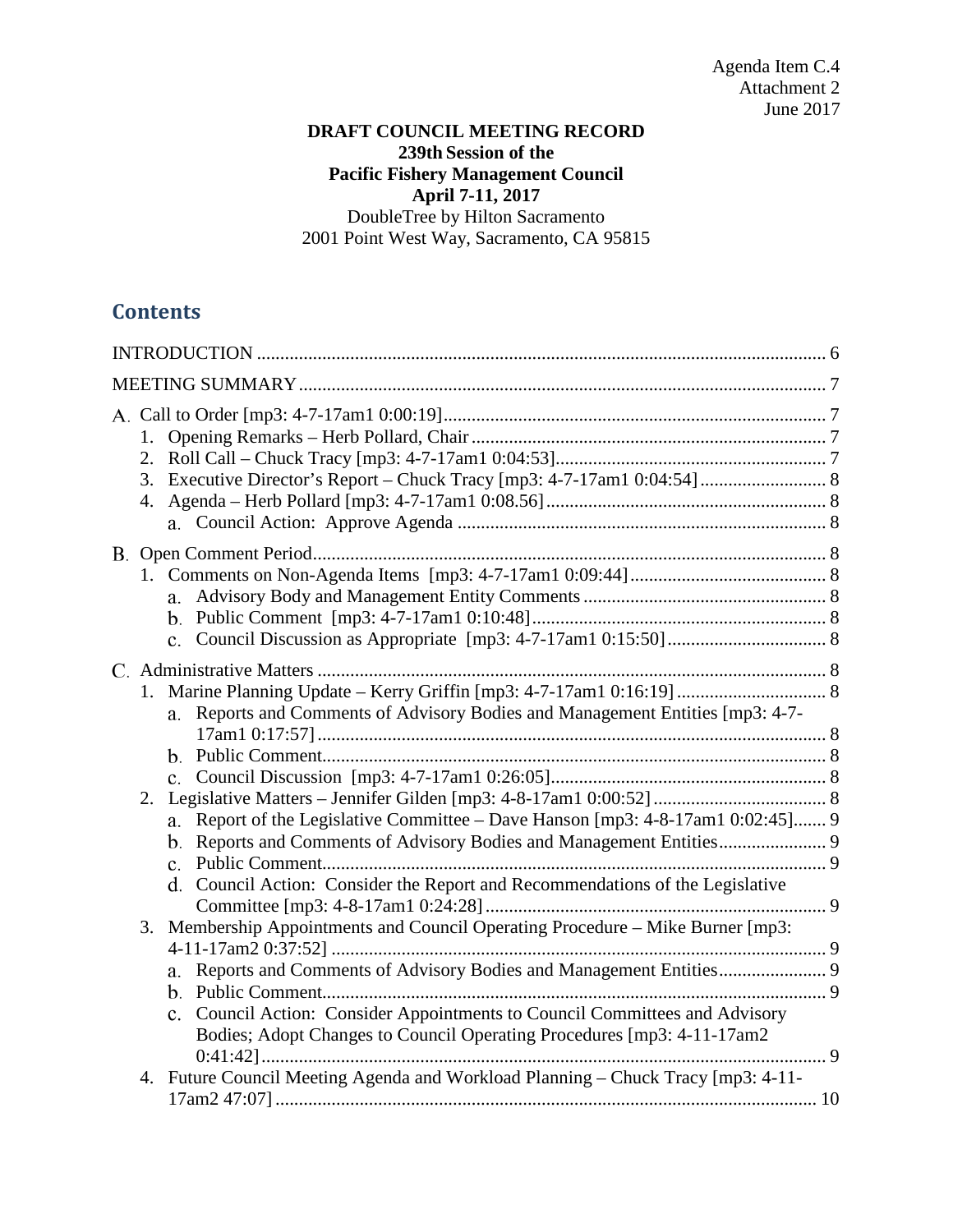# **DRAFT COUNCIL MEETING RECORD 239th Session of the Pacific Fishery Management Council April 7-11, 2017** DoubleTree by Hilton Sacramento 2001 Point West Way, Sacramento, CA 95815

# **Contents**

|    | a.                                                                                                                                                                                                                                        |  |
|----|-------------------------------------------------------------------------------------------------------------------------------------------------------------------------------------------------------------------------------------------|--|
| 1. | Reports and Comments of Advisory Bodies and Management Entities [mp3: 4-7-<br>a.                                                                                                                                                          |  |
| 2. | Report of the Legislative Committee – Dave Hanson [mp3: 4-8-17am1 0:02:45] 9<br>a.                                                                                                                                                        |  |
| 3. | d. Council Action: Consider the Report and Recommendations of the Legislative<br>Membership Appointments and Council Operating Procedure - Mike Burner [mp3:<br>a.                                                                        |  |
|    | c. Council Action: Consider Appointments to Council Committees and Advisory<br>Bodies; Adopt Changes to Council Operating Procedures [mp3: 4-11-17am2<br>4. Future Council Meeting Agenda and Workload Planning – Chuck Tracy [mp3: 4-11- |  |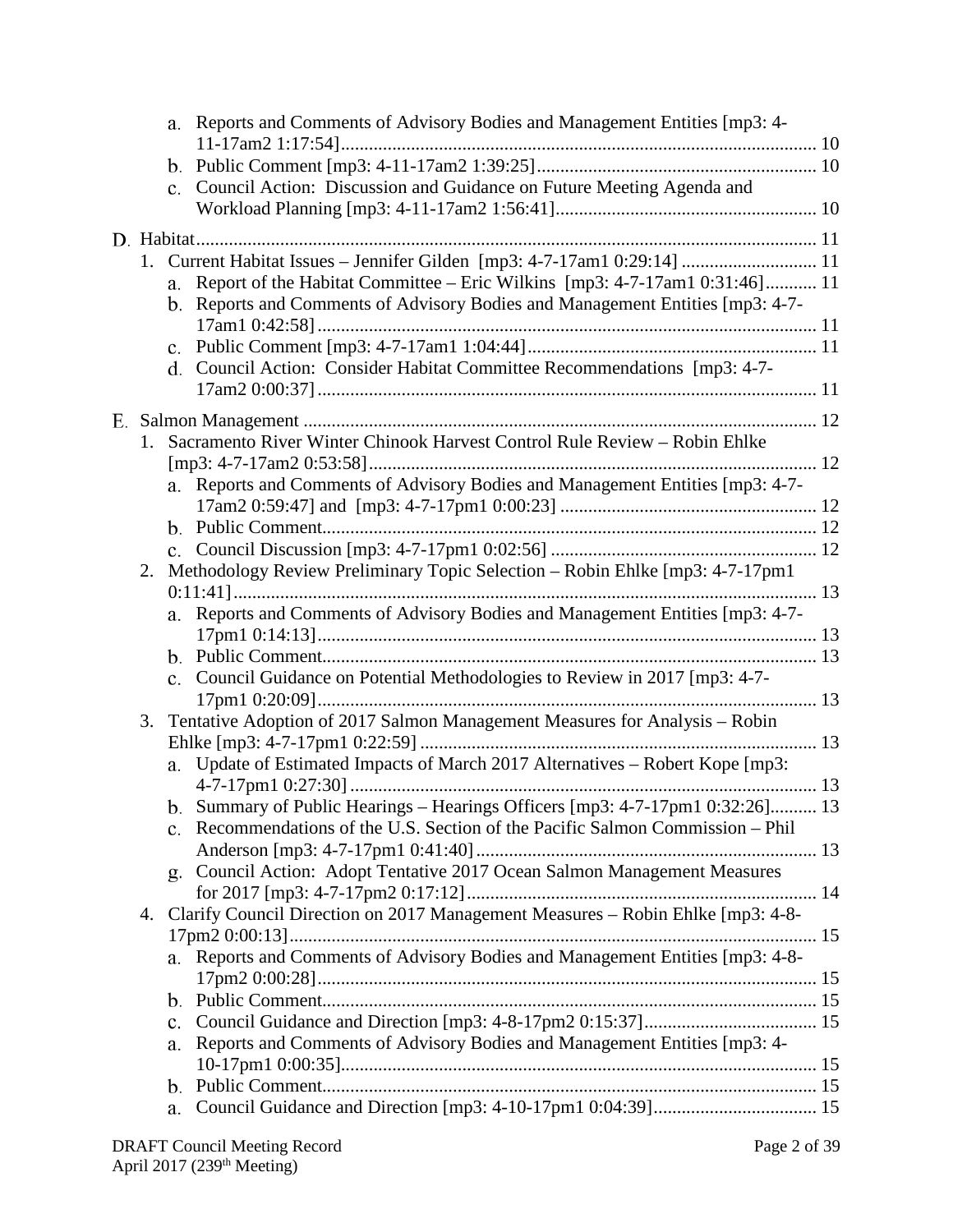|    |                | a. Reports and Comments of Advisory Bodies and Management Entities [mp3: 4-                                                                                     |
|----|----------------|-----------------------------------------------------------------------------------------------------------------------------------------------------------------|
|    |                |                                                                                                                                                                 |
|    |                | Council Action: Discussion and Guidance on Future Meeting Agenda and                                                                                            |
|    |                |                                                                                                                                                                 |
|    |                |                                                                                                                                                                 |
|    |                | 1. Current Habitat Issues - Jennifer Gilden [mp3: 4-7-17am1 0:29:14]  11                                                                                        |
|    | a.             | Report of the Habitat Committee - Eric Wilkins [mp3: 4-7-17am1 0:31:46] 11                                                                                      |
|    |                | b. Reports and Comments of Advisory Bodies and Management Entities [mp3: 4-7-                                                                                   |
|    |                |                                                                                                                                                                 |
|    |                |                                                                                                                                                                 |
|    |                | d. Council Action: Consider Habitat Committee Recommendations [mp3: 4-7-                                                                                        |
|    |                |                                                                                                                                                                 |
|    |                |                                                                                                                                                                 |
|    |                | 1. Sacramento River Winter Chinook Harvest Control Rule Review - Robin Ehlke                                                                                    |
|    |                |                                                                                                                                                                 |
|    |                | a. Reports and Comments of Advisory Bodies and Management Entities [mp3: 4-7-                                                                                   |
|    |                |                                                                                                                                                                 |
|    |                |                                                                                                                                                                 |
|    |                |                                                                                                                                                                 |
| 2. |                | Methodology Review Preliminary Topic Selection - Robin Ehlke [mp3: 4-7-17pm1                                                                                    |
|    |                |                                                                                                                                                                 |
|    |                | a. Reports and Comments of Advisory Bodies and Management Entities [mp3: 4-7-                                                                                   |
|    |                |                                                                                                                                                                 |
|    |                |                                                                                                                                                                 |
|    |                | c. Council Guidance on Potential Methodologies to Review in 2017 [mp3: 4-7-                                                                                     |
|    |                |                                                                                                                                                                 |
| 3. |                | Tentative Adoption of 2017 Salmon Management Measures for Analysis - Robin                                                                                      |
|    |                |                                                                                                                                                                 |
|    |                | a. Update of Estimated Impacts of March 2017 Alternatives - Robert Kope [mp3:                                                                                   |
|    |                |                                                                                                                                                                 |
|    |                | b. Summary of Public Hearings - Hearings Officers [mp3: 4-7-17pm1 0:32:26] 13<br>c. Recommendations of the U.S. Section of the Pacific Salmon Commission – Phil |
|    |                |                                                                                                                                                                 |
|    |                | g. Council Action: Adopt Tentative 2017 Ocean Salmon Management Measures                                                                                        |
|    |                |                                                                                                                                                                 |
| 4. |                | Clarify Council Direction on 2017 Management Measures - Robin Ehlke [mp3: 4-8-                                                                                  |
|    |                |                                                                                                                                                                 |
|    |                | a. Reports and Comments of Advisory Bodies and Management Entities [mp3: 4-8-                                                                                   |
|    |                |                                                                                                                                                                 |
|    |                |                                                                                                                                                                 |
|    | $\mathbf{c}$ . |                                                                                                                                                                 |
|    | a.             | Reports and Comments of Advisory Bodies and Management Entities [mp3: 4-                                                                                        |
|    |                |                                                                                                                                                                 |
|    |                |                                                                                                                                                                 |
|    | a.             |                                                                                                                                                                 |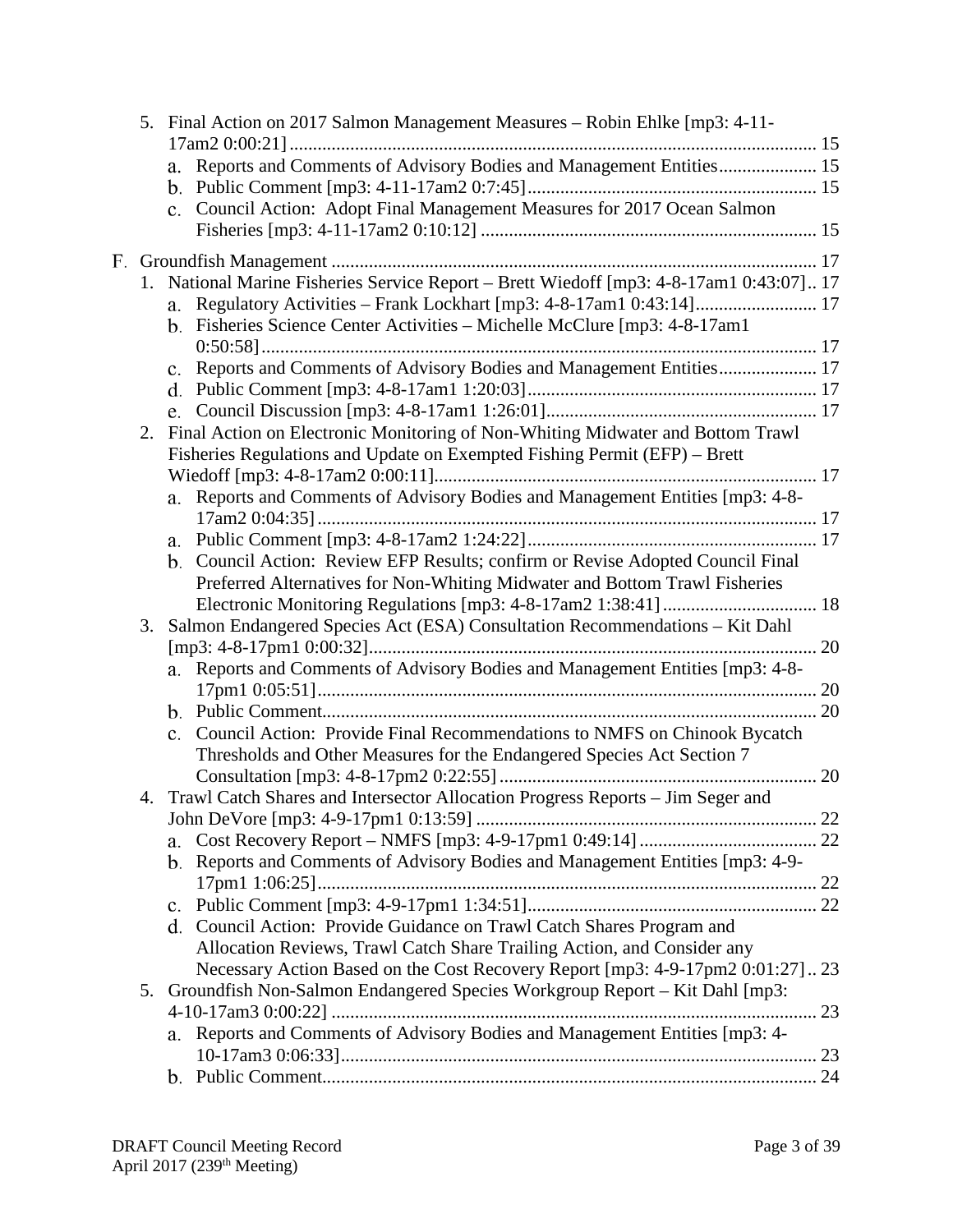|    | 5. Final Action on 2017 Salmon Management Measures – Robin Ehlke [mp3: 4-11-            |    |
|----|-----------------------------------------------------------------------------------------|----|
|    | a. Reports and Comments of Advisory Bodies and Management Entities 15                   |    |
|    |                                                                                         |    |
|    | c. Council Action: Adopt Final Management Measures for 2017 Ocean Salmon                |    |
|    |                                                                                         |    |
|    |                                                                                         |    |
|    | 1. National Marine Fisheries Service Report - Brett Wiedoff [mp3: 4-8-17am1 0:43:07] 17 |    |
|    |                                                                                         |    |
|    | b. Fisheries Science Center Activities - Michelle McClure [mp3: 4-8-17am1               |    |
|    |                                                                                         |    |
|    | c. Reports and Comments of Advisory Bodies and Management Entities 17                   |    |
|    |                                                                                         |    |
|    | e.                                                                                      |    |
| 2. | Final Action on Electronic Monitoring of Non-Whiting Midwater and Bottom Trawl          |    |
|    | Fisheries Regulations and Update on Exempted Fishing Permit (EFP) - Brett               |    |
|    |                                                                                         |    |
|    | a. Reports and Comments of Advisory Bodies and Management Entities [mp3: 4-8-           |    |
|    |                                                                                         |    |
|    |                                                                                         |    |
|    | b. Council Action: Review EFP Results; confirm or Revise Adopted Council Final          |    |
|    | Preferred Alternatives for Non-Whiting Midwater and Bottom Trawl Fisheries              |    |
|    |                                                                                         |    |
| 3. | Salmon Endangered Species Act (ESA) Consultation Recommendations - Kit Dahl             |    |
|    | a. Reports and Comments of Advisory Bodies and Management Entities [mp3: 4-8-           |    |
|    |                                                                                         |    |
|    |                                                                                         | 20 |
|    | Council Action: Provide Final Recommendations to NMFS on Chinook Bycatch                |    |
|    | Thresholds and Other Measures for the Endangered Species Act Section 7                  |    |
|    |                                                                                         |    |
|    | 4. Trawl Catch Shares and Intersector Allocation Progress Reports – Jim Seger and       |    |
|    |                                                                                         |    |
|    | a.                                                                                      |    |
|    | Reports and Comments of Advisory Bodies and Management Entities [mp3: 4-9-<br>b.        |    |
|    |                                                                                         |    |
|    |                                                                                         |    |
|    | d. Council Action: Provide Guidance on Trawl Catch Shares Program and                   |    |
|    | Allocation Reviews, Trawl Catch Share Trailing Action, and Consider any                 |    |
|    | Necessary Action Based on the Cost Recovery Report [mp3: 4-9-17pm2 0:01:27]23           |    |
| 5. | Groundfish Non-Salmon Endangered Species Workgroup Report – Kit Dahl [mp3:              |    |
|    |                                                                                         |    |
|    | a. Reports and Comments of Advisory Bodies and Management Entities [mp3: 4-             |    |
|    |                                                                                         |    |
|    |                                                                                         |    |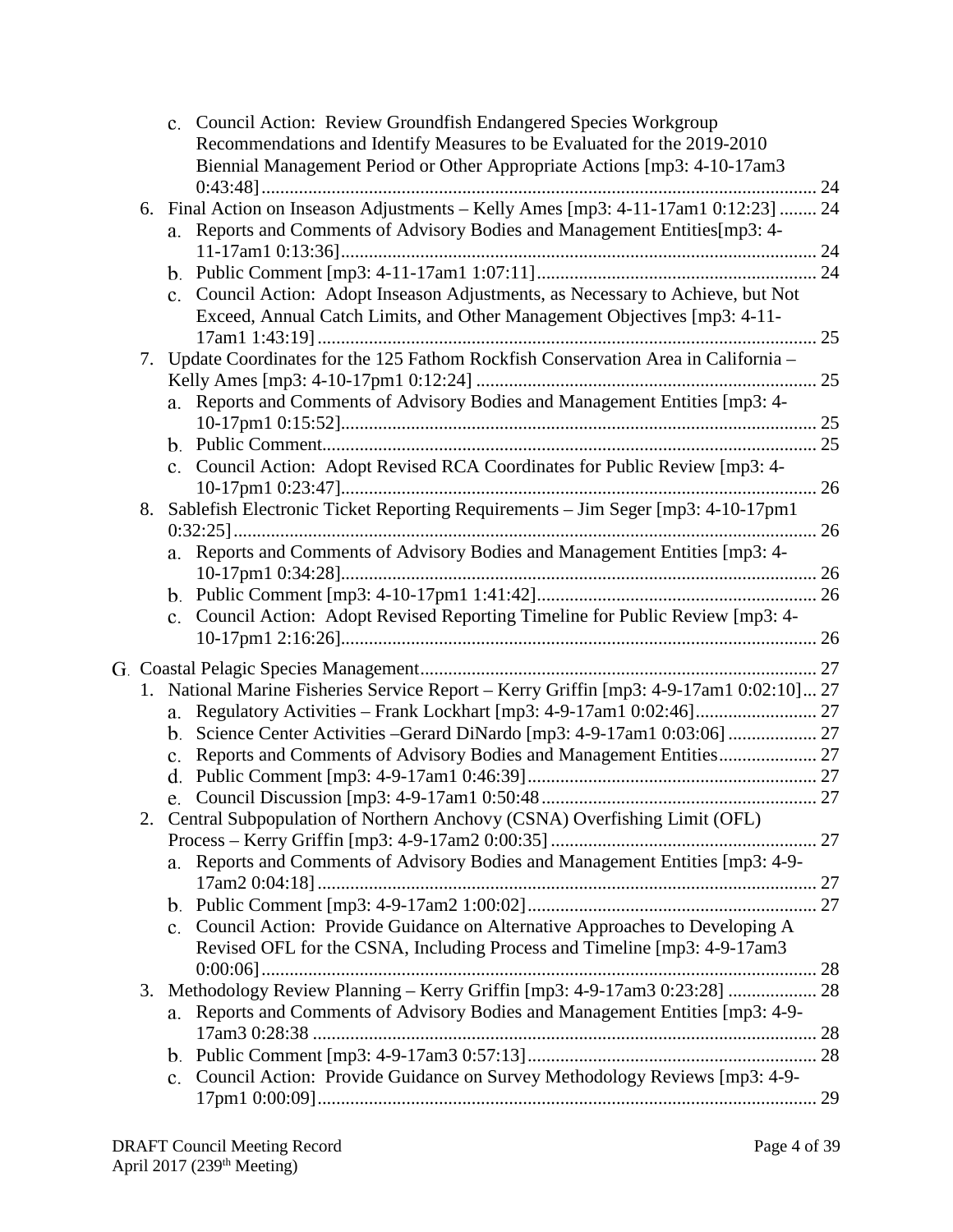|    | c. Council Action: Review Groundfish Endangered Species Workgroup                           |    |
|----|---------------------------------------------------------------------------------------------|----|
|    | Recommendations and Identify Measures to be Evaluated for the 2019-2010                     |    |
|    | Biennial Management Period or Other Appropriate Actions [mp3: 4-10-17am3                    |    |
|    |                                                                                             |    |
|    | 6. Final Action on Inseason Adjustments - Kelly Ames [mp3: 4-11-17am1 0:12:23]  24          |    |
|    | a. Reports and Comments of Advisory Bodies and Management Entities[mp3: 4-                  |    |
|    |                                                                                             |    |
|    |                                                                                             |    |
|    | c. Council Action: Adopt Inseason Adjustments, as Necessary to Achieve, but Not             |    |
|    | Exceed, Annual Catch Limits, and Other Management Objectives [mp3: 4-11-                    |    |
|    |                                                                                             |    |
| 7. | Update Coordinates for the 125 Fathom Rockfish Conservation Area in California -            |    |
|    |                                                                                             | 25 |
|    | a. Reports and Comments of Advisory Bodies and Management Entities [mp3: 4-                 |    |
|    |                                                                                             |    |
|    |                                                                                             |    |
|    | c. Council Action: Adopt Revised RCA Coordinates for Public Review [mp3: 4-                 |    |
|    |                                                                                             |    |
| 8. | Sablefish Electronic Ticket Reporting Requirements - Jim Seger [mp3: 4-10-17pm1             |    |
|    |                                                                                             |    |
|    | a. Reports and Comments of Advisory Bodies and Management Entities [mp3: 4-                 |    |
|    |                                                                                             |    |
|    |                                                                                             |    |
|    | c. Council Action: Adopt Revised Reporting Timeline for Public Review [mp3: 4-              |    |
|    |                                                                                             |    |
|    |                                                                                             |    |
|    |                                                                                             |    |
|    | 1. National Marine Fisheries Service Report - Kerry Griffin [mp3: 4-9-17am1 0:02:10] 27     |    |
|    | a.                                                                                          |    |
|    | b.                                                                                          |    |
|    | Reports and Comments of Advisory Bodies and Management Entities 27<br>c.                    |    |
|    | d.                                                                                          |    |
|    |                                                                                             |    |
|    | 2. Central Subpopulation of Northern Anchovy (CSNA) Overfishing Limit (OFL)                 |    |
|    |                                                                                             |    |
|    | Reports and Comments of Advisory Bodies and Management Entities [mp3: 4-9-<br>a.            |    |
|    |                                                                                             |    |
|    |                                                                                             |    |
|    | c. Council Action: Provide Guidance on Alternative Approaches to Developing A               |    |
|    | Revised OFL for the CSNA, Including Process and Timeline [mp3: 4-9-17am3]                   |    |
|    |                                                                                             |    |
| 3. | Methodology Review Planning - Kerry Griffin [mp3: 4-9-17am3 0:23:28]  28                    |    |
|    | Reports and Comments of Advisory Bodies and Management Entities [mp3: 4-9-<br>a.            |    |
|    |                                                                                             |    |
|    |                                                                                             |    |
|    |                                                                                             |    |
|    | Council Action: Provide Guidance on Survey Methodology Reviews [mp3: 4-9-<br>$\mathbf{c}$ . |    |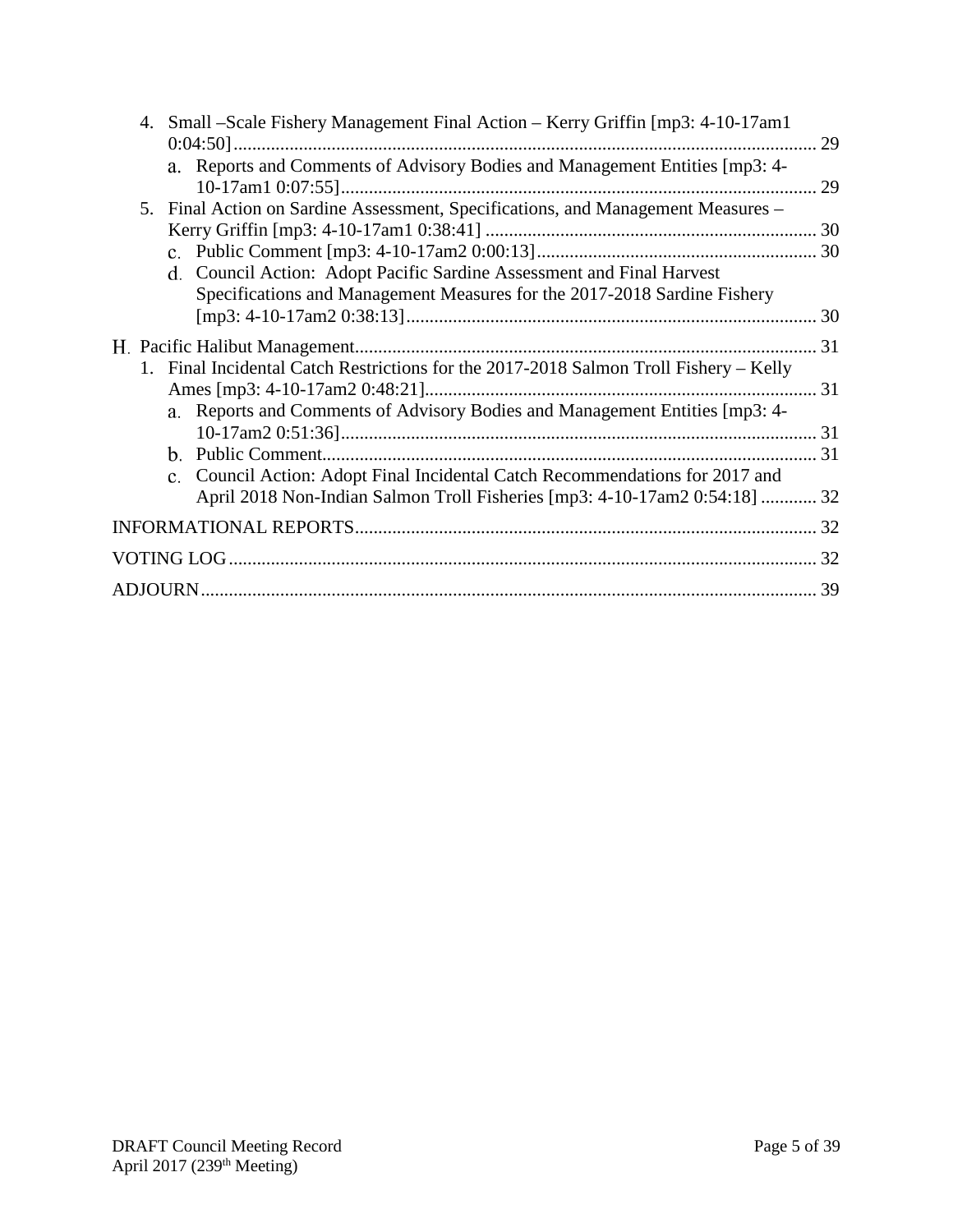| 4. Small – Scale Fishery Management Final Action – Kerry Griffin [mp3: 4-10-17am1]    |    |
|---------------------------------------------------------------------------------------|----|
| a. Reports and Comments of Advisory Bodies and Management Entities [mp3: 4-           | 29 |
|                                                                                       | 29 |
| 5. Final Action on Sardine Assessment, Specifications, and Management Measures -      |    |
|                                                                                       |    |
|                                                                                       |    |
| d. Council Action: Adopt Pacific Sardine Assessment and Final Harvest                 |    |
| Specifications and Management Measures for the 2017-2018 Sardine Fishery              |    |
|                                                                                       |    |
|                                                                                       |    |
| 1. Final Incidental Catch Restrictions for the 2017-2018 Salmon Troll Fishery – Kelly |    |
|                                                                                       |    |
| a. Reports and Comments of Advisory Bodies and Management Entities [mp3: 4-           |    |
|                                                                                       |    |
|                                                                                       |    |
| c. Council Action: Adopt Final Incidental Catch Recommendations for 2017 and          |    |
| April 2018 Non-Indian Salmon Troll Fisheries [mp3: 4-10-17am2 0:54:18]  32            |    |
|                                                                                       |    |
|                                                                                       |    |
|                                                                                       |    |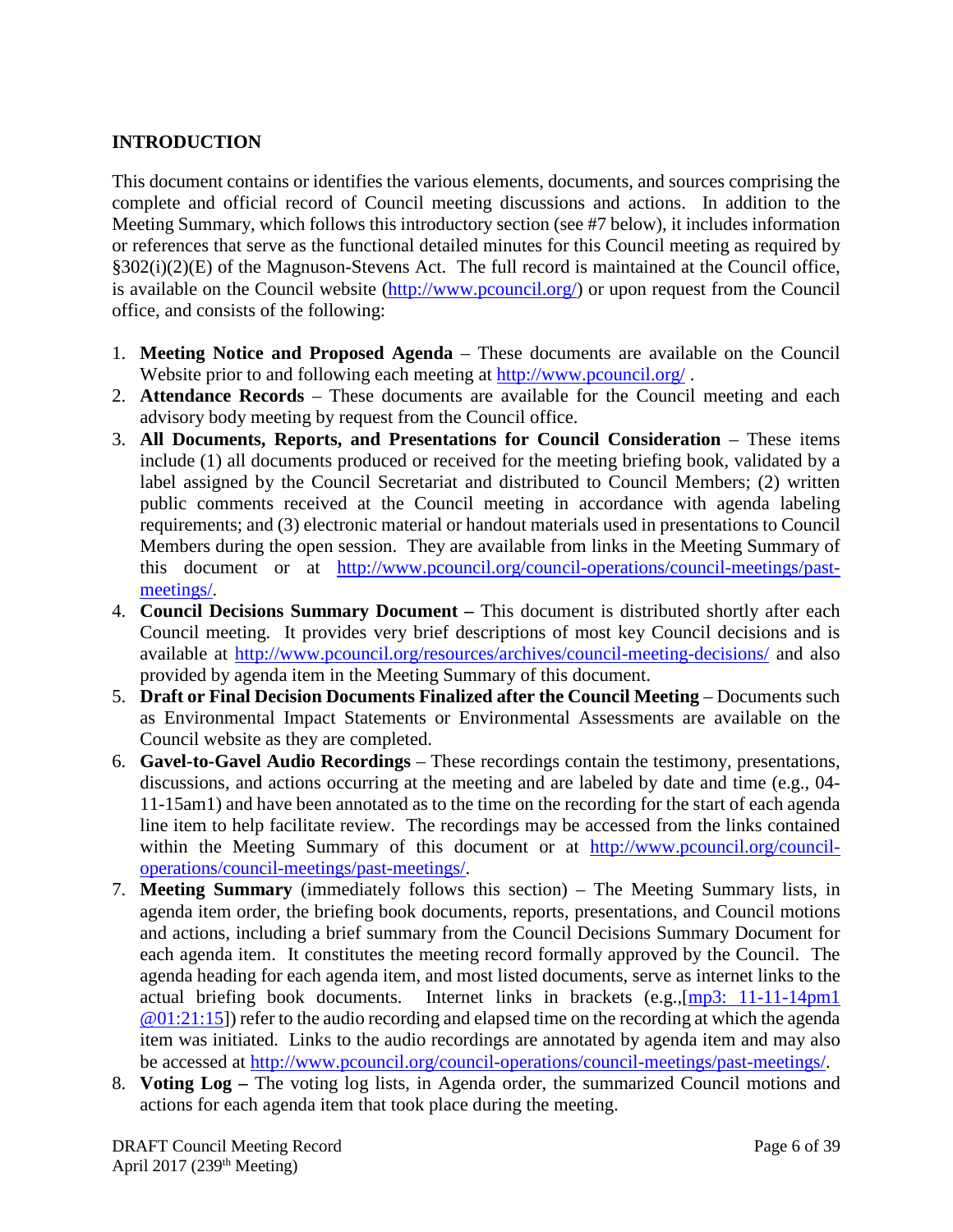# <span id="page-5-0"></span>**INTRODUCTION**

This document contains or identifies the various elements, documents, and sources comprising the complete and official record of Council meeting discussions and actions. In addition to the Meeting Summary, which follows this introductory section (see #7 below), it includes information or references that serve as the functional detailed minutes for this Council meeting as required by §302(i)(2)(E) of the Magnuson-Stevens Act. The full record is maintained at the Council office, is available on the Council website [\(http://www.pcouncil.org/\)](http://www.pcouncil.org/) or upon request from the Council office, and consists of the following:

- 1. **Meeting Notice and Proposed Agenda** These documents are available on the Council Website prior to and following each meeting at<http://www.pcouncil.org/>.
- 2. **Attendance Records** These documents are available for the Council meeting and each advisory body meeting by request from the Council office.
- 3. **All Documents, Reports, and Presentations for Council Consideration** These items include (1) all documents produced or received for the meeting briefing book, validated by a label assigned by the Council Secretariat and distributed to Council Members; (2) written public comments received at the Council meeting in accordance with agenda labeling requirements; and (3) electronic material or handout materials used in presentations to Council Members during the open session. They are available from links in the Meeting Summary of this document or at [http://www.pcouncil.org/council-operations/council-meetings/past](http://www.pcouncil.org/council-operations/council-meetings/past-meetings/)[meetings/.](http://www.pcouncil.org/council-operations/council-meetings/past-meetings/)
- 4. **Council Decisions Summary Document –** This document is distributed shortly after each Council meeting. It provides very brief descriptions of most key Council decisions and is available at<http://www.pcouncil.org/resources/archives/council-meeting-decisions/> and also provided by agenda item in the Meeting Summary of this document.
- 5. **Draft or Final Decision Documents Finalized after the Council Meeting** Documents such as Environmental Impact Statements or Environmental Assessments are available on the Council website as they are completed.
- 6. **Gavel-to-Gavel Audio Recordings** These recordings contain the testimony, presentations, discussions, and actions occurring at the meeting and are labeled by date and time (e.g., 04- 11-15am1) and have been annotated as to the time on the recording for the start of each agenda line item to help facilitate review. The recordings may be accessed from the links contained within the Meeting Summary of this document or at [http://www.pcouncil.org/council](http://www.pcouncil.org/council-operations/council-meetings/past-meetings/)[operations/council-meetings/past-meetings/.](http://www.pcouncil.org/council-operations/council-meetings/past-meetings/)
- 7. **Meeting Summary** (immediately follows this section) The Meeting Summary lists, in agenda item order, the briefing book documents, reports, presentations, and Council motions and actions, including a brief summary from the Council Decisions Summary Document for each agenda item. It constitutes the meeting record formally approved by the Council. The agenda heading for each agenda item, and most listed documents, serve as internet links to the actual briefing book documents. Internet links in brackets (e.g.,[\[mp3: 11-11-14pm1](ftp://ftp.pcouncil.org/pub/R1411_November_2014_Recordings/11-14-14pm1Copy.mp3) @01:21:15]) refer to the audio recording and elapsed time on the recording at which the agenda item was initiated. Links to the audio recordings are annotated by agenda item and may also be accessed at [http://www.pcouncil.org/council-operations/council-meetings/past-meetings/.](http://www.pcouncil.org/council-operations/council-meetings/past-meetings/)
- 8. **Voting Log –** The voting log lists, in Agenda order, the summarized Council motions and actions for each agenda item that took place during the meeting.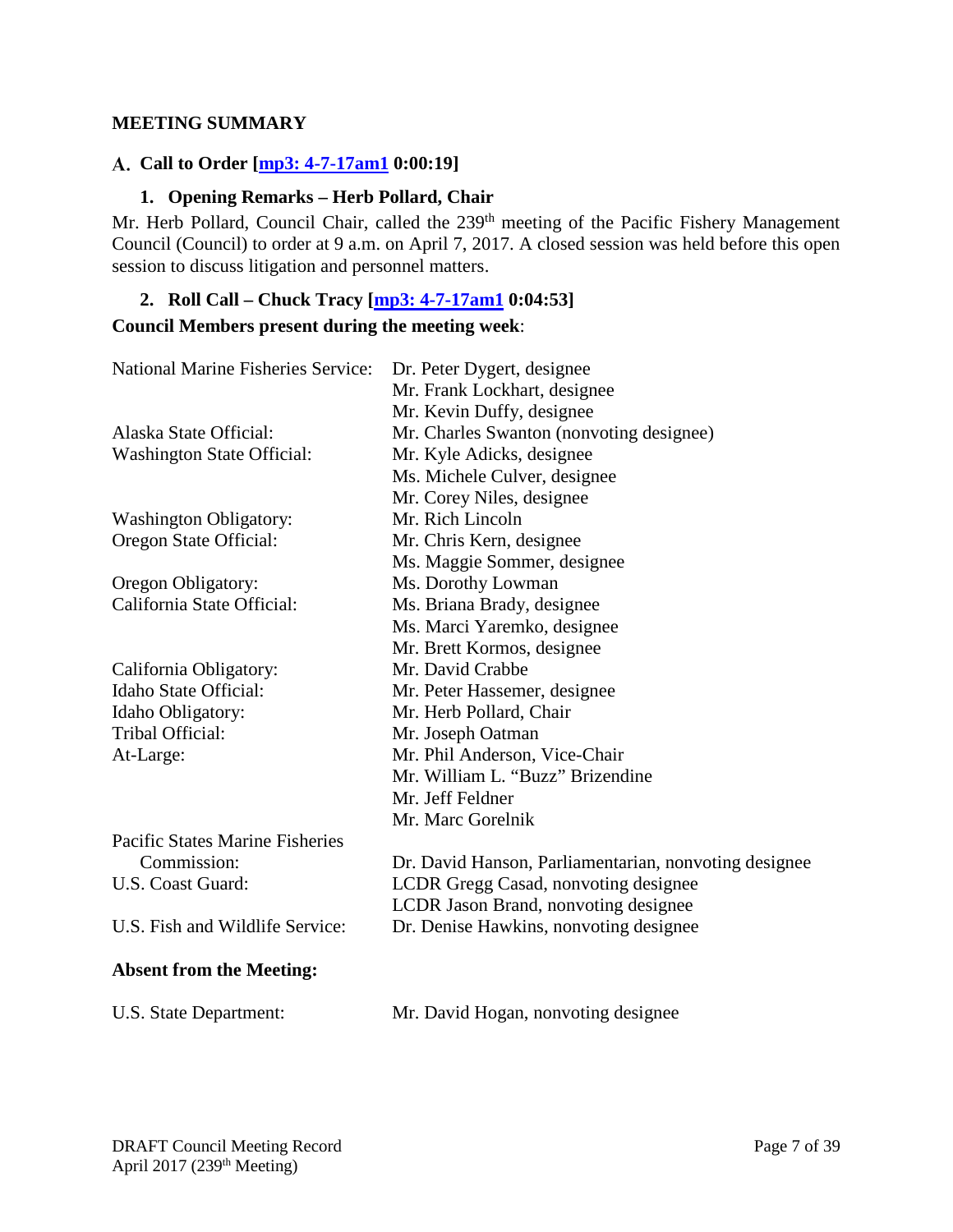#### <span id="page-6-0"></span>**MEETING SUMMARY**

## <span id="page-6-1"></span>**Call to Order [\[mp3: 4-7-17am1](ftp://ftp.pcouncil.org/pub/R1704_April_2017_Recordings/4-7-17am1Copy.mp3) 0:00:19]**

## **1. Opening Remarks – Herb Pollard, Chair**

<span id="page-6-2"></span>Mr. Herb Pollard, Council Chair, called the 239<sup>th</sup> meeting of the Pacific Fishery Management Council (Council) to order at 9 a.m. on April 7, 2017. A closed session was held before this open session to discuss litigation and personnel matters.

# <span id="page-6-3"></span>**2. Roll Call – Chuck Tracy [\[mp3: 4-7-17am1](ftp://ftp.pcouncil.org/pub/R1704_April_2017_Recordings/4-7-17am1Copy.mp3) 0:04:53] Council Members present during the meeting week**:

| <b>National Marine Fisheries Service:</b> | Dr. Peter Dygert, designee<br>Mr. Frank Lockhart, designee            |
|-------------------------------------------|-----------------------------------------------------------------------|
| Alaska State Official:                    | Mr. Kevin Duffy, designee<br>Mr. Charles Swanton (nonvoting designee) |
| <b>Washington State Official:</b>         | Mr. Kyle Adicks, designee                                             |
|                                           | Ms. Michele Culver, designee                                          |
|                                           | Mr. Corey Niles, designee                                             |
|                                           | Mr. Rich Lincoln                                                      |
| <b>Washington Obligatory:</b>             | Mr. Chris Kern, designee                                              |
| Oregon State Official:                    |                                                                       |
|                                           | Ms. Maggie Sommer, designee                                           |
| Oregon Obligatory:                        | Ms. Dorothy Lowman                                                    |
| California State Official:                | Ms. Briana Brady, designee                                            |
|                                           | Ms. Marci Yaremko, designee                                           |
|                                           | Mr. Brett Kormos, designee                                            |
| California Obligatory:                    | Mr. David Crabbe                                                      |
| Idaho State Official:                     | Mr. Peter Hassemer, designee                                          |
| Idaho Obligatory:                         | Mr. Herb Pollard, Chair                                               |
| Tribal Official:                          | Mr. Joseph Oatman                                                     |
| At-Large:                                 | Mr. Phil Anderson, Vice-Chair                                         |
|                                           | Mr. William L. "Buzz" Brizendine                                      |
|                                           | Mr. Jeff Feldner                                                      |
|                                           | Mr. Marc Gorelnik                                                     |
| Pacific States Marine Fisheries           |                                                                       |
| Commission:                               | Dr. David Hanson, Parliamentarian, nonvoting designee                 |
| U.S. Coast Guard:                         | LCDR Gregg Casad, nonvoting designee                                  |
|                                           | LCDR Jason Brand, nonvoting designee                                  |
| U.S. Fish and Wildlife Service:           | Dr. Denise Hawkins, nonvoting designee                                |
| <b>Absent from the Meeting:</b>           |                                                                       |
| U.S. State Department:                    | Mr. David Hogan, nonvoting designee                                   |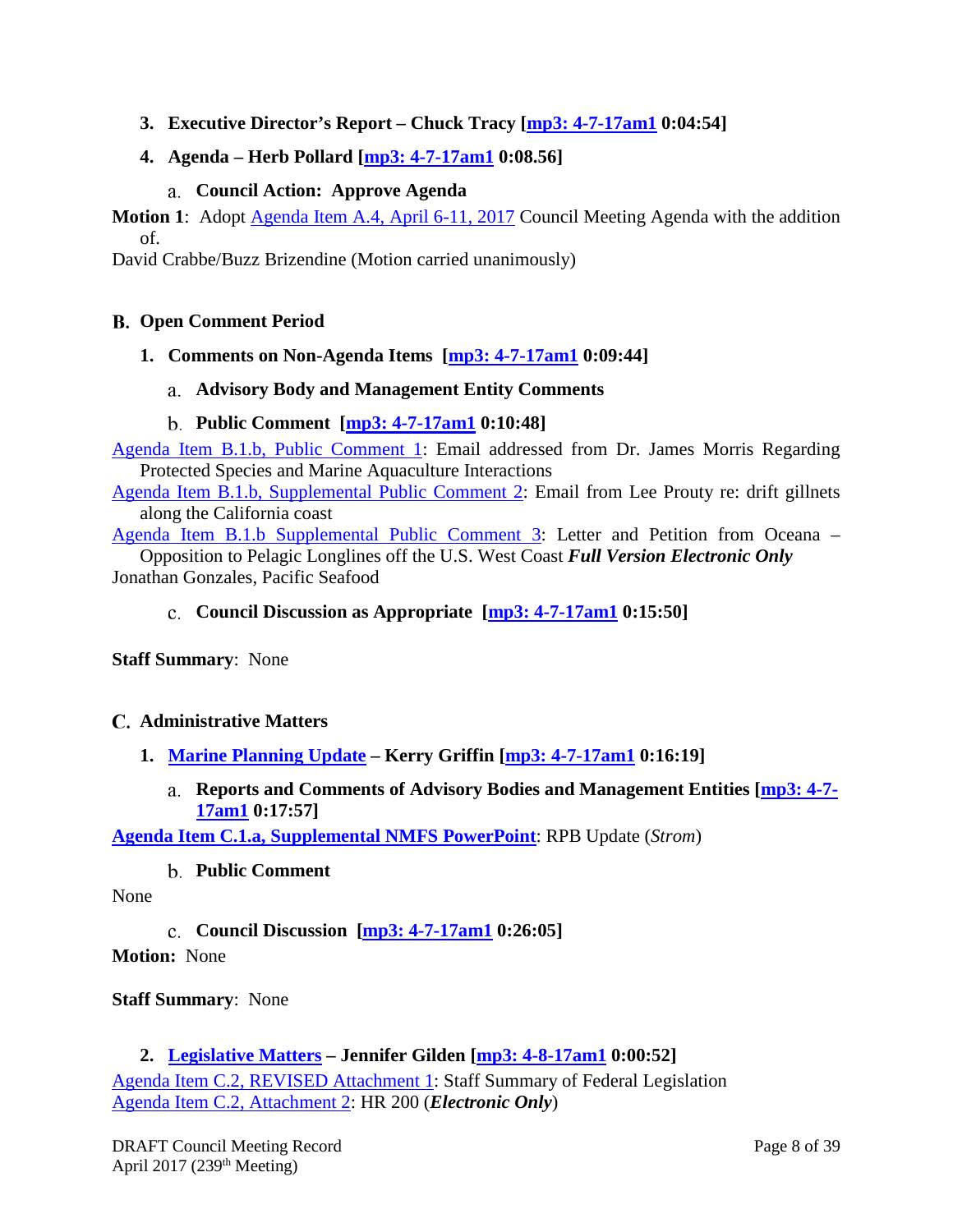<span id="page-7-0"></span>**3. Executive Director's Report – Chuck Tracy [\[mp3: 4-7-17am1](ftp://ftp.pcouncil.org/pub/R1704_April_2017_Recordings/4-7-17am1Copy.mp3) 0:04:54]**

# <span id="page-7-1"></span>**4. Agenda – Herb Pollard [\[mp3: 4-7-17am1](ftp://ftp.pcouncil.org/pub/R1704_April_2017_Recordings/4-7-17am1Copy.mp3) 0:08.56]**

# **Council Action: Approve Agenda**

<span id="page-7-2"></span>**Motion 1:** Adopt [Agenda Item A.4, April 6-11, 2017](http://www.pcouncil.org/wp-content/uploads/2017/03/A4__Agenda_Apr2017BB.pdf) Council Meeting Agenda with the addition of.

David Crabbe/Buzz Brizendine (Motion carried unanimously)

#### <span id="page-7-3"></span>**Open Comment Period**

<span id="page-7-5"></span><span id="page-7-4"></span>**1. [Comments on Non-Agenda Items](http://www.pcouncil.org/wp-content/uploads/2017/03/B1__SitSum_Apr2017BB.pdf) [\[mp3: 4-7-17am1](ftp://ftp.pcouncil.org/pub/R1704_April_2017_Recordings/4-7-17am1Copy.mp3) 0:09:44]**

#### **Advisory Body and Management Entity Comments**

#### **Public Comment [\[mp3: 4-7-17am1](ftp://ftp.pcouncil.org/pub/R1704_April_2017_Recordings/4-7-17am1Copy.mp3) 0:10:48]**

<span id="page-7-6"></span>[Agenda Item B.1.b, Public Comment 1:](http://www.pcouncil.org/wp-content/uploads/2017/03/B1b_PubCmt_1_Apr2017BB.pdf) Email addressed from Dr. James Morris Regarding Protected Species and Marine Aquaculture Interactions

[Agenda Item B.1.b, Supplemental Public Comment 2:](http://www.pcouncil.org/wp-content/uploads/2017/03/B1b_Sup_PubCmt2_Gillnet_fishing_western_coast_of_US_Apr2017BB.pdf) Email from Lee Prouty re: drift gillnets along the California coast

[Agenda Item B.1.b Supplemental Public Comment 3:](http://www.pcouncil.org/wp-content/uploads/2017/03/B1b_Sup_PubCmt3_FullVersionElectricOnly_Oceana_Apr2017BB.pdf) Letter and Petition from Oceana – Opposition to Pelagic Longlines off the U.S. West Coast *Full Version Electronic Only* Jonathan Gonzales, Pacific Seafood

## <span id="page-7-7"></span>**Council Discussion as Appropriate [\[mp3: 4-7-17am1](ftp://ftp.pcouncil.org/pub/R1704_April_2017_Recordings/4-7-17am1Copy.mp3) 0:15:50]**

**Staff Summary**: None

#### <span id="page-7-8"></span>**Administrative Matters**

- <span id="page-7-10"></span><span id="page-7-9"></span>**1. [Marine Planning Update](http://www.pcouncil.org/wp-content/uploads/2017/03/C1__Marine_Planning_Update_APR2017BB.pdf) – Kerry Griffin [\[mp3: 4-7-17am1](ftp://ftp.pcouncil.org/pub/R1704_April_2017_Recordings/4-7-17am1Copy.mp3) 0:16:19]**
	- **Reports and Comments of Advisory Bodies and Management Entities [\[mp3: 4-7-](ftp://ftp.pcouncil.org/pub/R1704_April_2017_Recordings/4-7-17am1Copy.mp3) [17am1](ftp://ftp.pcouncil.org/pub/R1704_April_2017_Recordings/4-7-17am1Copy.mp3) 0:17:57]**

<span id="page-7-11"></span>**[Agenda Item C.1.a, Supplemental NMFS PowerPoint](http://www.pcouncil.org/wp-content/uploads/2017/04/C1a_Sup_NMFS_PPT_Strom_APR2017BB.pdf)**: RPB Update (*Strom*)

# **Public Comment**

<span id="page-7-12"></span>None

**Council Discussion [\[mp3: 4-7-17am1](ftp://ftp.pcouncil.org/pub/R1704_April_2017_Recordings/4-7-17am1Copy.mp3) 0:26:05]**

**Motion:** None

#### **Staff Summary**: None

#### <span id="page-7-13"></span>**2. [Legislative Matters](http://www.pcouncil.org/wp-content/uploads/2017/03/C2__SitSum_Legislative_Matters_Apr2017BB.pdf) – Jennifer Gilden [\[mp3: 4-8-17am1](ftp://ftp.pcouncil.org/pub/R1704_April_2017_Recordings/4-8-17am1Copy.mp3) 0:00:52]**

[Agenda Item C.2, REVISED Attachment 1:](http://www.pcouncil.org/wp-content/uploads/2017/03/C2_Att1_REVISED_Staff_Summary_Fed_Legislationv2_Apr2017BB.pdf) Staff Summary of Federal Legislation [Agenda Item C.2, Attachment 2:](http://www.pcouncil.org/wp-content/uploads/2017/03/C2_Att2_HR200_ElectricOnly_Apr2017BB.pdf) HR 200 (*Electronic Only*)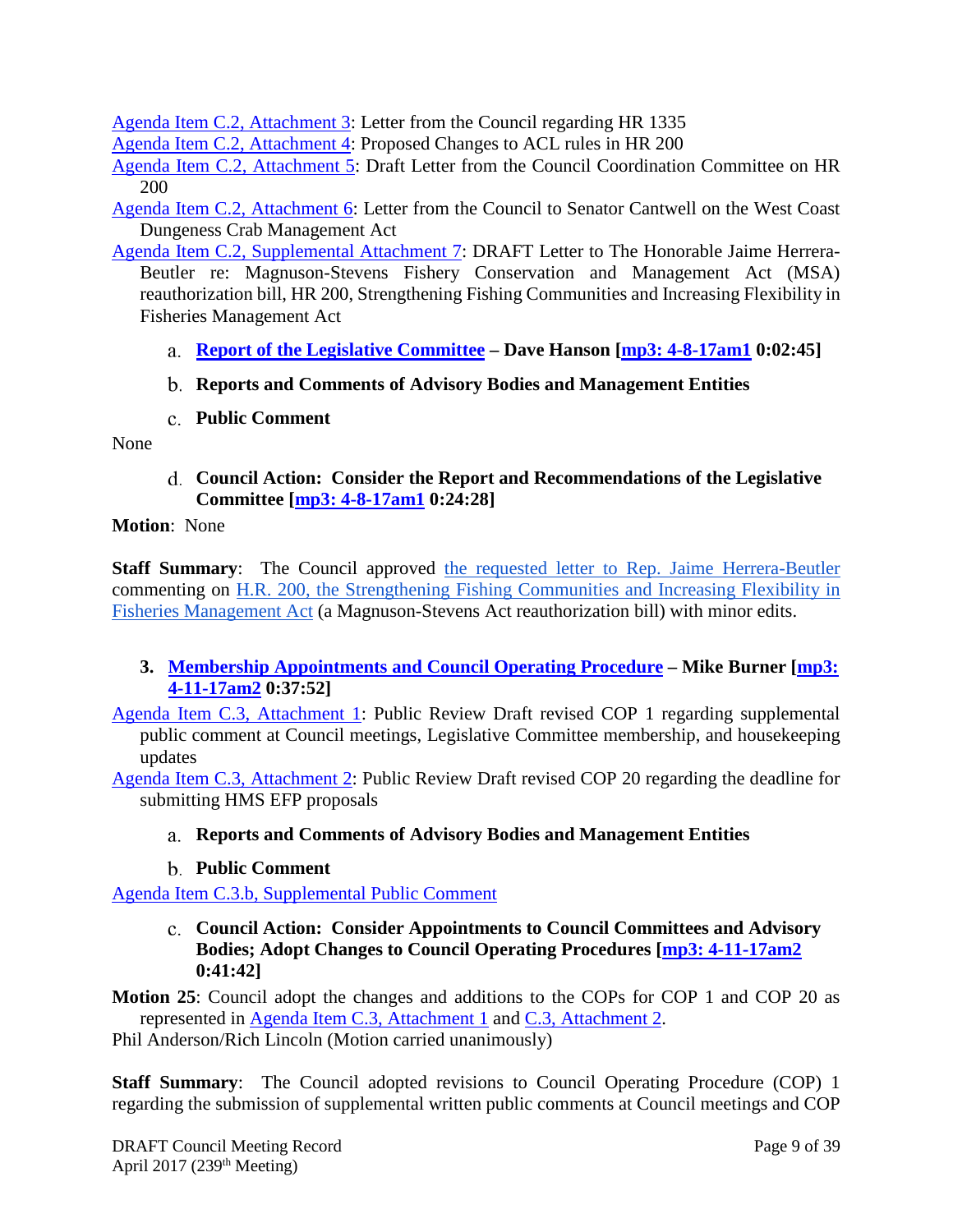[Agenda Item C.2, Attachment 3:](http://www.pcouncil.org/wp-content/uploads/2017/03/C2_Att3_Council_Ltr_on_HR1335_fromJune2015_Apr2017BB.pdf) Letter from the Council regarding HR 1335

[Agenda Item C.2, Attachment 4:](http://www.pcouncil.org/wp-content/uploads/2017/03/C2_Att4_Changes_HR200_Apr2017BB.pdf) Proposed Changes to ACL rules in HR 200

[Agenda Item C.2, Attachment 5:](http://www.pcouncil.org/wp-content/uploads/2017/03/C2_Att5_DraftCCCLtr_MSAReauth031017_Apr2017BB.pdf) Draft Letter from the Council Coordination Committee on HR 200

Agenda [Item C.2, Attachment 6:](http://www.pcouncil.org/wp-content/uploads/2017/03/C2_Att6_Cantwell_Dungess_Crab_Act_Dec2016_NEW_Apr2017BB.pdf) Letter from the Council to Senator Cantwell on the West Coast Dungeness Crab Management Act

- <span id="page-8-0"></span>[Agenda Item C.2, Supplemental Attachment 7:](http://www.pcouncil.org/wp-content/uploads/2017/04/C2_Sup_Att7_DraftLetterOnHR200_Apr2017BB.pdf) DRAFT Letter to The Honorable Jaime Herrera-Beutler re: Magnuson-Stevens Fishery Conservation and Management Act (MSA) reauthorization bill, HR 200, Strengthening Fishing Communities and Increasing Flexibility in Fisheries Management Act
	- **Report of the Legislative Committee – Dave Hanson [\[mp3: 4-8-17am1](ftp://ftp.pcouncil.org/pub/R1704_April_2017_Recordings/4-8-17am1Copy.mp3) 0:02:45]**
	- **Reports and Comments of Advisory Bodies and Management Entities**
	- **Public Comment**

<span id="page-8-3"></span><span id="page-8-2"></span><span id="page-8-1"></span>None

**Council Action: Consider the Report and Recommendations of the Legislative Committee [\[mp3: 4-8-17am1](ftp://ftp.pcouncil.org/pub/R1704_April_2017_Recordings/4-8-17am1Copy.mp3) 0:24:28]**

**Motion**: None

**Staff Summary**: The Council approved [the requested letter to Rep. Jaime Herrera-Beutler](http://www.pcouncil.org/wp-content/uploads/2017/04/C2_Sup_Att7_DraftLetterOnHR200_Apr2017BB.pdf) commenting on [H.R. 200, the Strengthening Fishing Communities and Increasing Flexibility in](http://www.pcouncil.org/wp-content/uploads/2017/03/C2_Att2_HR200_ElectricOnly_Apr2017BB.pdf)  [Fisheries Management Act](http://www.pcouncil.org/wp-content/uploads/2017/03/C2_Att2_HR200_ElectricOnly_Apr2017BB.pdf) (a Magnuson-Stevens Act reauthorization bill) with minor edits.

# <span id="page-8-4"></span>**3. [Membership Appointments and Council Operating Procedure](http://www.pcouncil.org/wp-content/uploads/2017/03/C3__SitSum_ApptsCOPs_APR2017BB.pdf) – Mike Burner [\[mp3:](ftp://ftp.pcouncil.org/pub/R1704_April_2017_Recordings/4-11-17am2Copy.mp3)  [4-11-17am2](ftp://ftp.pcouncil.org/pub/R1704_April_2017_Recordings/4-11-17am2Copy.mp3) 0:37:52]**

[Agenda Item C.3, Attachment 1:](http://www.pcouncil.org/wp-content/uploads/2017/03/C3_Att1_DraftCOP1_APR2017BB.pdf) Public Review Draft revised COP 1 regarding supplemental public comment at Council meetings, Legislative Committee membership, and housekeeping updates

<span id="page-8-5"></span>[Agenda Item C.3, Attachment 2:](http://www.pcouncil.org/wp-content/uploads/2017/03/C3_Att2_DraftCOP20_APR2017BB.pdf) Public Review Draft revised COP 20 regarding the deadline for submitting HMS EFP proposals

# **Reports and Comments of Advisory Bodies and Management Entities**

**Public Comment**

<span id="page-8-7"></span><span id="page-8-6"></span>[Agenda Item C.3.b, Supplemental Public Comment](http://www.pcouncil.org/wp-content/uploads/2017/03/C3b_Sup_PubCmt_CCC_LC_Appt_Ltr_Apr2017BB.pdf)

**Council Action: Consider Appointments to Council Committees and Advisory Bodies; Adopt Changes to Council Operating Procedures [\[mp3: 4-11-17am2](ftp://ftp.pcouncil.org/pub/R1704_April_2017_Recordings/4-11-17am2Copy.mp3) 0:41:42]**

**Motion 25**: Council adopt the changes and additions to the COPs for COP 1 and COP 20 as represented in [Agenda Item C.3, Attachment 1](http://www.pcouncil.org/wp-content/uploads/2017/03/C3_Att1_DraftCOP1_APR2017BB.pdf) and [C.3, Attachment 2.](http://www.pcouncil.org/wp-content/uploads/2017/03/C3_Att2_DraftCOP20_APR2017BB.pdf)

Phil Anderson/Rich Lincoln (Motion carried unanimously)

**Staff Summary:** The Council adopted revisions to Council Operating Procedure (COP) 1 regarding the submission of supplemental written public comments at Council meetings and COP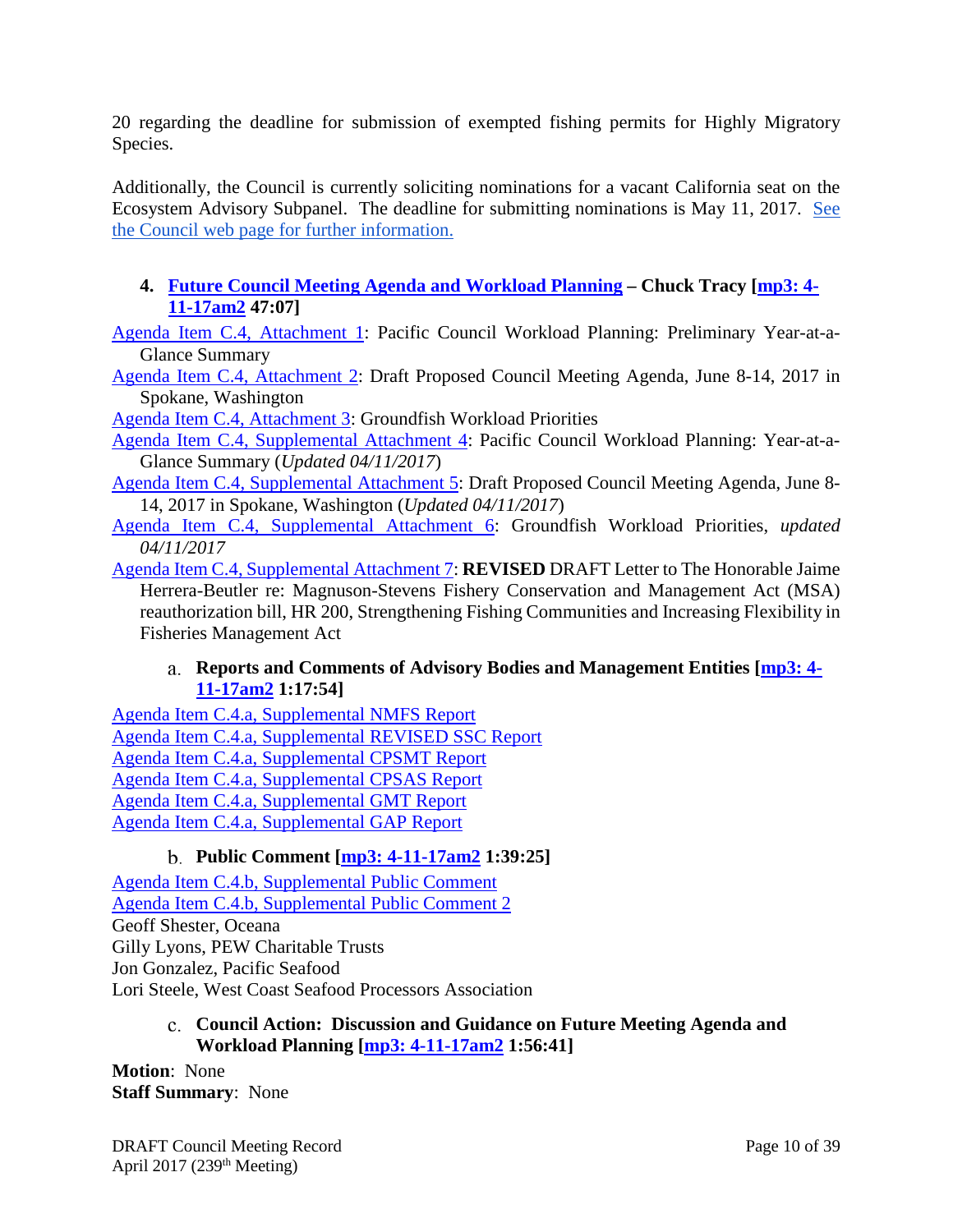20 regarding the deadline for submission of exempted fishing permits for Highly Migratory Species.

Additionally, the Council is currently soliciting nominations for a vacant California seat on the Ecosystem Advisory Subpanel. The deadline for submitting nominations is May 11, 2017. [See](http://www.pcouncil.org/2017/03/47202/request-for-nominations-ecosystem-advisory-subpanel-eas-california-seat/)  [the Council web page for](http://www.pcouncil.org/2017/03/47202/request-for-nominations-ecosystem-advisory-subpanel-eas-california-seat/) further information.

# <span id="page-9-0"></span>**4. [Future Council Meeting Agenda and Workload Planning](http://www.pcouncil.org/wp-content/uploads/2017/03/C4__SitSum_CMAgendaPlanning_APR2017BB.pdf) – Chuck Tracy [\[mp3: 4-](ftp://ftp.pcouncil.org/pub/R1704_April_2017_Recordings/4-11-17am2Copy.mp3) [11-17am2](ftp://ftp.pcouncil.org/pub/R1704_April_2017_Recordings/4-11-17am2Copy.mp3) 47:07]**

[Agenda Item C.4, Attachment 1:](http://www.pcouncil.org/wp-content/uploads/2017/03/C4_Att1_YAG_APR2017CM_Apr2017BB.pdf) Pacific Council Workload Planning: Preliminary Year-at-a-Glance Summary

[Agenda Item C.4, Attachment 2:](http://www.pcouncil.org/wp-content/uploads/2017/03/C4_Att2_Jun17QR_APR2017BB.pdf) Draft Proposed Council Meeting Agenda, June 8-14, 2017 in Spokane, Washington

[Agenda Item C.4, Attachment 3:](http://www.pcouncil.org/wp-content/uploads/2017/03/C4_Att3_GFworkload_APR2017BB.pdf) Groundfish Workload Priorities

[Agenda Item C.4, Supplemental Attachment 4:](http://www.pcouncil.org/wp-content/uploads/2017/04/C4_Sup_Att4_YAG_APR2017BB.pdf) Pacific Council Workload Planning: Year-at-a-Glance Summary (*Updated 04/11/2017*)

[Agenda Item C.4, Supplemental Attachment 5:](http://www.pcouncil.org/wp-content/uploads/2017/04/C4_Sup_Att5_Jun17QR_APR2017BB.pdf) Draft Proposed Council Meeting Agenda, June 8- 14, 2017 in Spokane, Washington (*Updated 04/11/2017*)

[Agenda Item C.4, Supplemental Attachment 6:](http://www.pcouncil.org/wp-content/uploads/2017/04/C4_Sup_Att6_GFworkload_APR2017BB.pdf) Groundfish Workload Priorities, *updated 04/11/2017*

[Agenda Item C.4, Supplemental Attachment 7:](http://www.pcouncil.org/wp-content/uploads/2017/04/C4_Sup_Att7_REVISED_DraftLetterOnHR200_APR2017BB.pdf) **REVISED** DRAFT Letter to The Honorable Jaime Herrera-Beutler re: Magnuson-Stevens Fishery Conservation and Management Act (MSA) reauthorization bill, HR 200, Strengthening Fishing Communities and Increasing Flexibility in Fisheries Management Act

#### <span id="page-9-1"></span>**Reports and Comments of Advisory Bodies and Management Entities [\[mp3: 4-](ftp://ftp.pcouncil.org/pub/R1704_April_2017_Recordings/4-11-17am2Copy.mp3) [11-17am2](ftp://ftp.pcouncil.org/pub/R1704_April_2017_Recordings/4-11-17am2Copy.mp3) 1:17:54]**

[Agenda Item C.4.a, Supplemental NMFS Report](http://www.pcouncil.org/wp-content/uploads/2017/03/C4a_Sup_NMFS_Rpt_032817_Apr2017BB.pdf) [Agenda Item C.4.a, Supplemental REVISED SSC Report](http://www.pcouncil.org/wp-content/uploads/2017/04/C4a_Sup_REVISED-SSC_Rpt_Planning_Apr2017BB.pdf) [Agenda Item C.4.a, Supplemental CPSMT Report](http://www.pcouncil.org/wp-content/uploads/2017/04/C4a_Sup_CPSMT_Rpt_Apr2016BB.pdf) [Agenda Item C.4.a, Supplemental CPSAS Report](http://www.pcouncil.org/wp-content/uploads/2017/04/C4a_Sup_CPSAS_Rpt_Apr2016BB.pdf) [Agenda Item C.4.a, Supplemental GMT Report](http://www.pcouncil.org/wp-content/uploads/2017/04/C4a_Sup_GMT_Rpt_Apr2016BB.pdf) [Agenda Item C.4.a, Supplemental GAP Report](http://www.pcouncil.org/wp-content/uploads/2017/04/C4a_Sup_GAP_Rpt_Apr2016BB.pdf)

# **Public Comment [\[mp3: 4-11-17am2](ftp://ftp.pcouncil.org/pub/R1704_April_2017_Recordings/4-11-17am2Copy.mp3) 1:39:25]**

<span id="page-9-2"></span>[Agenda Item C.4.b, Supplemental Public Comment](http://www.pcouncil.org/wp-content/uploads/2017/03/C4b_Sup_PubCmt_Apr2017BB.pdf) [Agenda Item C.4.b, Supplemental Public Comment 2](http://www.pcouncil.org/wp-content/uploads/2017/04/C4b_Sup_PubCmt2_Apr2017BB.pdf) Geoff Shester, Oceana Gilly Lyons, PEW Charitable Trusts Jon Gonzalez, Pacific Seafood Lori Steele, West Coast Seafood Processors Association

#### <span id="page-9-3"></span>**Council Action: Discussion and Guidance on Future Meeting Agenda and Workload Planning [\[mp3: 4-11-17am2](ftp://ftp.pcouncil.org/pub/R1704_April_2017_Recordings/4-11-17am2Copy.mp3) 1:56:41]**

**Motion**: None **Staff Summary**: None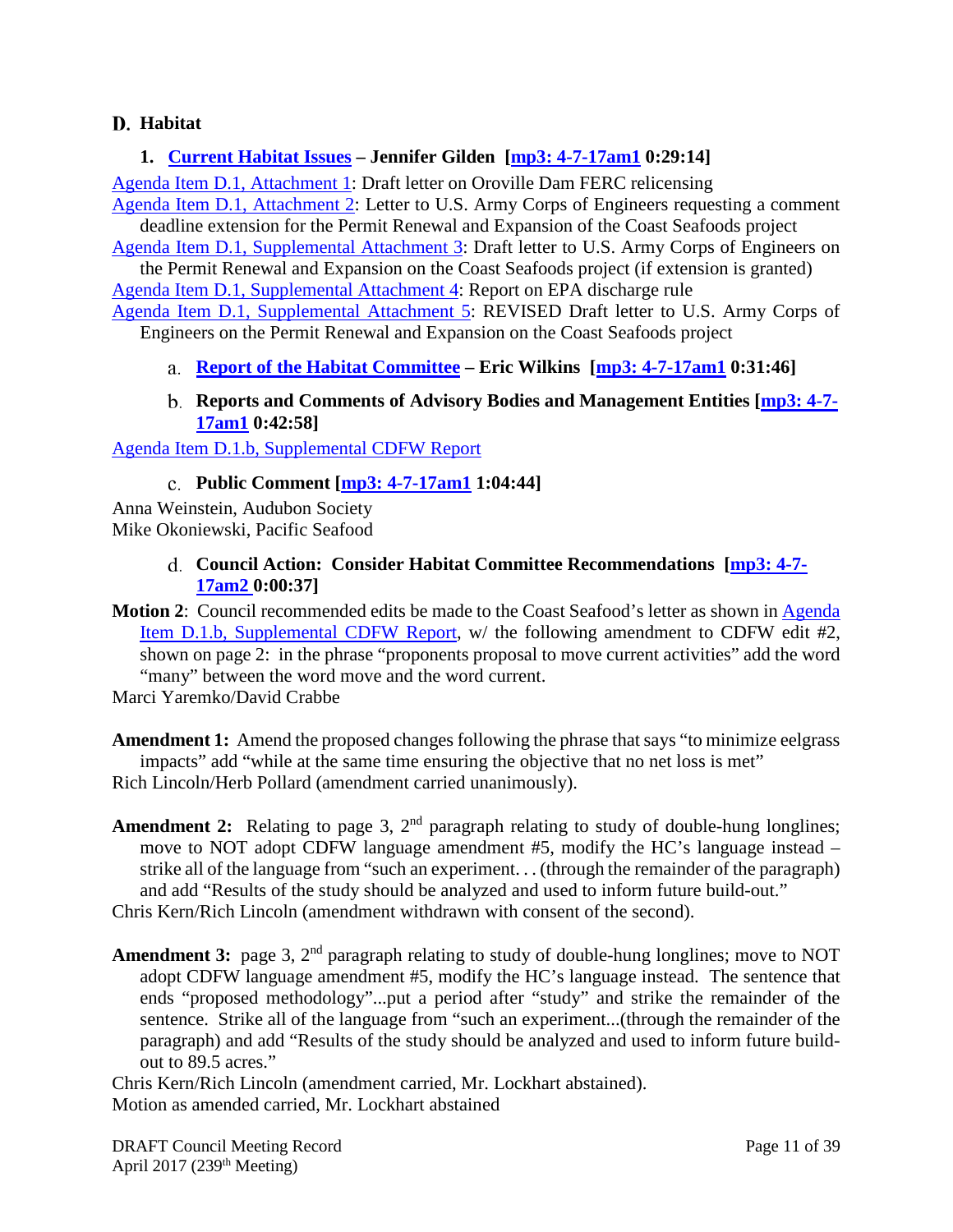# <span id="page-10-0"></span>**Habitat**

# <span id="page-10-1"></span>**1. [Current Habitat Issues](http://www.pcouncil.org/wp-content/uploads/2017/03/D1__SitSum_HabitatIssues_Apr2017BB.pdf) – Jennifer Gilden [\[mp3: 4-7-17am1](ftp://ftp.pcouncil.org/pub/R1704_April_2017_Recordings/4-7-17am1Copy.mp3) 0:29:14]**

[Agenda Item D.1, Attachment](http://www.pcouncil.org/wp-content/uploads/2017/03/D1_Att1_OrovilleDam_Ltr_v3_Apr2017BB.pdf) 1: Draft letter on Oroville Dam FERC relicensing [Agenda Item D.1, Attachment 2:](http://www.pcouncil.org/wp-content/uploads/2017/03/D1_Att2_Sirkin_ACOE_Humboldt_Coast-Seafoods_comment_ext-request_03_17_Apr2017BB.pdf) Letter to U.S. Army Corps of Engineers requesting a comment

deadline extension for the Permit Renewal and Expansion of the Coast Seafoods project

[Agenda Item D.1, Supplemental Attachment 3:](http://www.pcouncil.org/wp-content/uploads/2017/03/D1_Sup_Att3_Draft_Humboldt_Ltr_Apr2017BB.pdf) Draft letter to U.S. Army Corps of Engineers on the Permit Renewal and Expansion on the Coast Seafoods project (if extension is granted) [Agenda Item D.1, Supplemental Attachment 4:](http://www.pcouncil.org/wp-content/uploads/2017/03/D1_Sup_Att4_EPA_NPDES_RptFINAL_Apr2017BB.pdf) Report on EPA discharge rule

[Agenda Item D.1, Supplemental Attachment 5:](http://www.pcouncil.org/wp-content/uploads/2017/04/D1_Sup_Att5_Draft_REVISED_Humboldt_Ltr_Apr2017BB.pdf) REVISED Draft letter to U.S. Army Corps of Engineers on the Permit Renewal and Expansion on the Coast Seafoods project

<span id="page-10-2"></span>**[Report of the Habitat Committee](http://www.pcouncil.org/wp-content/uploads/2017/04/D1a_Sup_HC_Rpt_Apr2017BB.pdf) – Eric Wilkins [\[mp3: 4-7-17am1](ftp://ftp.pcouncil.org/pub/R1704_April_2017_Recordings/4-7-17am1Copy.mp3) 0:31:46]**

## **Reports and Comments of Advisory Bodies and Management Entities [\[mp3: 4-7-](ftp://ftp.pcouncil.org/pub/R1704_April_2017_Recordings/4-7-17am1Copy.mp3) [17am1](ftp://ftp.pcouncil.org/pub/R1704_April_2017_Recordings/4-7-17am1Copy.mp3) 0:42:58]**

<span id="page-10-4"></span><span id="page-10-3"></span>[Agenda Item D.1.b, Supplemental CDFW Report](http://www.pcouncil.org/wp-content/uploads/2017/04/D1b_Sup_CDFW_Rpt_DftCoastSeafoodsLtr_Apr2017BB.pdf)

# **Public Comment [\[mp3: 4-7-17am1](ftp://ftp.pcouncil.org/pub/R1704_April_2017_Recordings/4-7-17am1Copy.mp3) 1:04:44]**

<span id="page-10-5"></span>Anna Weinstein, Audubon Society Mike Okoniewski, Pacific Seafood

## **Council Action: Consider Habitat Committee Recommendations [\[mp3: 4-7-](ftp://ftp.pcouncil.org/pub/R1704_April_2017_Recordings/4-7-17am2Copy.mp3) [17am2 0](ftp://ftp.pcouncil.org/pub/R1704_April_2017_Recordings/4-7-17am2Copy.mp3):00:37]**

**Motion 2:** Council recommended edits be made to the Coast Seafood's letter as shown in Agenda [Item D.1.b, Supplemental CDFW Report,](http://www.pcouncil.org/wp-content/uploads/2017/04/D1b_Sup_CDFW_Rpt_DftCoastSeafoodsLtr_Apr2017BB.pdf) w/ the following amendment to CDFW edit #2, shown on page 2: in the phrase "proponents proposal to move current activities" add the word "many" between the word move and the word current.

Marci Yaremko/David Crabbe

**Amendment 1:** Amend the proposed changes following the phrase that says "to minimize eelgrass impacts" add "while at the same time ensuring the objective that no net loss is met" Rich Lincoln/Herb Pollard (amendment carried unanimously).

- **Amendment 2:** Relating to page 3,  $2<sup>nd</sup>$  paragraph relating to study of double-hung longlines; move to NOT adopt CDFW language amendment #5, modify the HC's language instead – strike all of the language from "such an experiment. . . (through the remainder of the paragraph) and add "Results of the study should be analyzed and used to inform future build-out." Chris Kern/Rich Lincoln (amendment withdrawn with consent of the second).
- Amendment 3: page 3, 2<sup>nd</sup> paragraph relating to study of double-hung longlines; move to NOT adopt CDFW language amendment #5, modify the HC's language instead. The sentence that ends "proposed methodology"...put a period after "study" and strike the remainder of the sentence. Strike all of the language from "such an experiment...(through the remainder of the paragraph) and add "Results of the study should be analyzed and used to inform future buildout to 89.5 acres."

Chris Kern/Rich Lincoln (amendment carried, Mr. Lockhart abstained). Motion as amended carried, Mr. Lockhart abstained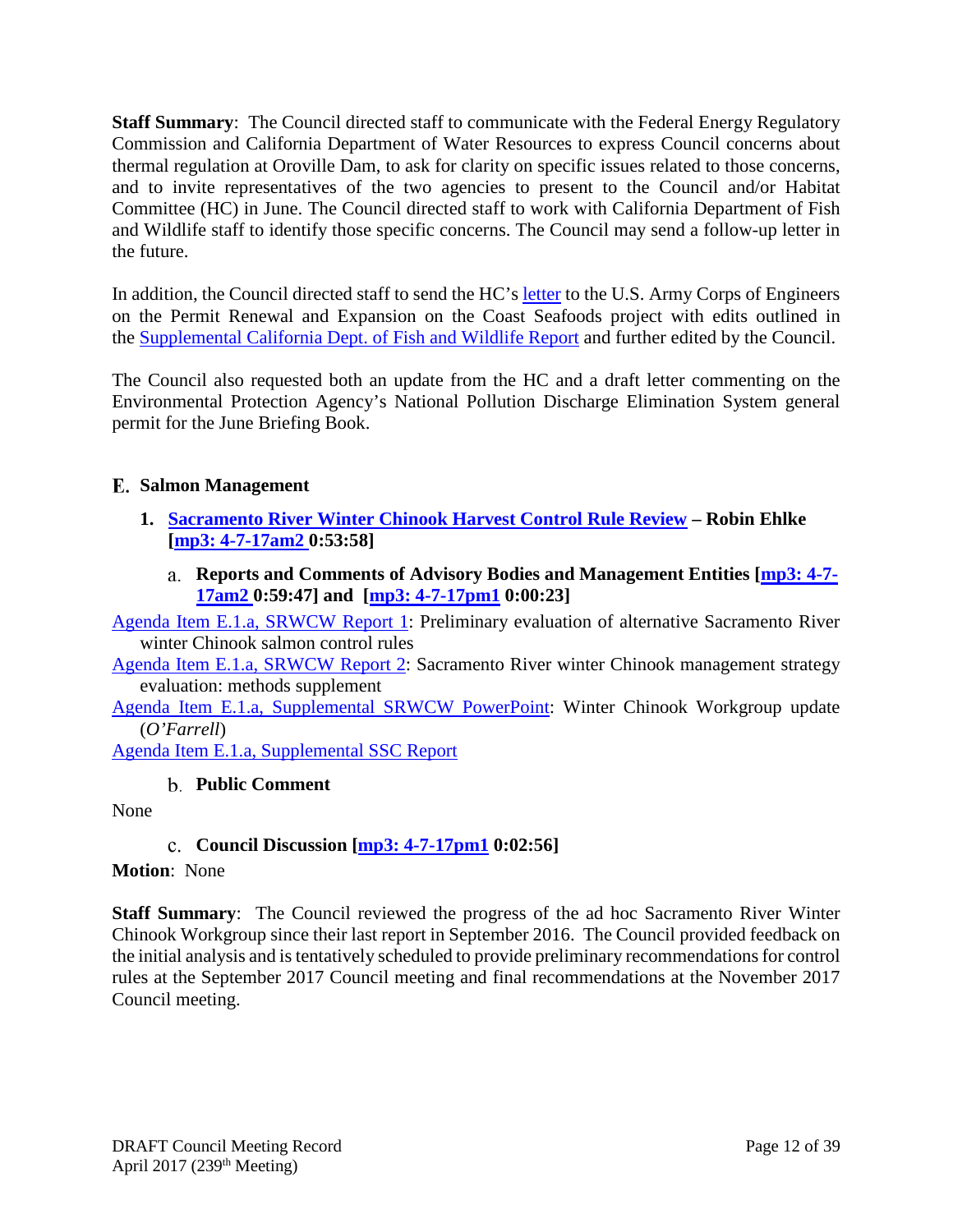**Staff Summary**: The Council directed staff to communicate with the Federal Energy Regulatory Commission and California Department of Water Resources to express Council concerns about thermal regulation at Oroville Dam, to ask for clarity on specific issues related to those concerns, and to invite representatives of the two agencies to present to the Council and/or Habitat Committee (HC) in June. The Council directed staff to work with California Department of Fish and Wildlife staff to identify those specific concerns. The Council may send a follow-up letter in the future.

In addition, the Council directed staff to send the HC's [letter](http://www.pcouncil.org/wp-content/uploads/2017/03/D1_Sup_Att3_Draft_Humboldt_Ltr_Apr2017BB.pdf) to the U.S. Army Corps of Engineers on the Permit Renewal and Expansion on the Coast Seafoods project with edits outlined in the [Supplemental California Dept. of Fish and Wildlife Report](http://www.pcouncil.org/wp-content/uploads/2017/04/D1b_Sup_CDFW_Rpt_DftCoastSeafoodsLtr_Apr2017BB.pdf) and further edited by the Council.

The Council also requested both an update from the HC and a draft letter commenting on the Environmental Protection Agency's National Pollution Discharge Elimination System general permit for the June Briefing Book.

# <span id="page-11-0"></span>**Salmon Management**

- <span id="page-11-1"></span>**1. [Sacramento River Winter Chinook Harvest Control Rule Review](http://www.pcouncil.org/wp-content/uploads/2017/03/E1__SitSum_SRWC_HOR_APR2017BB.pdf) – Robin Ehlke [\[mp3: 4-7-17am2 0](ftp://ftp.pcouncil.org/pub/R1704_April_2017_Recordings/4-7-17am2Copy.mp3):53:58]**
	- **Reports and Comments of Advisory Bodies and Management Entities [\[mp3: 4-7-](ftp://ftp.pcouncil.org/pub/R1704_April_2017_Recordings/4-7-17am2Copy.mp3) [17am2 0](ftp://ftp.pcouncil.org/pub/R1704_April_2017_Recordings/4-7-17am2Copy.mp3):59:47] and [\[mp3: 4-7-17pm1](ftp://ftp.pcouncil.org/pub/R1704_April_2017_Recordings/4-7-17pm1Copy.mp3) 0:00:23]**

<span id="page-11-2"></span>[Agenda Item E.1.a, SRWCW Report 1:](http://www.pcouncil.org/wp-content/uploads/2017/03/E1a_SRWCW_Rpt1_prelim_MSE_APR2017BB.pdf) Preliminary evaluation of alternative Sacramento River winter Chinook salmon control rules

[Agenda Item E.1.a, SRWCW Report 2:](http://www.pcouncil.org/wp-content/uploads/2017/03/E1a_SRWCW_Rpt2_MSE_MethodsAPR2017BB.pdf) Sacramento River winter Chinook management strategy evaluation: methods supplement

[Agenda Item E.1.a, Supplemental SRWCW PowerPoint:](http://www.pcouncil.org/wp-content/uploads/2017/04/E1a_Sup_SRWCW_Update_PPT_OFarrell_Apr2017BB.pdf) Winter Chinook Workgroup update (*O'Farrell*)

<span id="page-11-3"></span>[Agenda Item E.1.a, Supplemental SSC Report](http://www.pcouncil.org/wp-content/uploads/2017/04/E1a_Sup_SSC_Rpt_Apr2017BB.pdf)

# **Public Comment**

<span id="page-11-4"></span>None

# **Council Discussion [\[mp3: 4-7-17pm1](ftp://ftp.pcouncil.org/pub/R1704_April_2017_Recordings/4-7-17pm1Copy.mp3) 0:02:56]**

#### **Motion**: None

**Staff Summary**: The Council reviewed the progress of the ad hoc Sacramento River Winter Chinook Workgroup since their last report in September 2016. The Council provided feedback on the initial analysis and is tentatively scheduled to provide preliminary recommendations for control rules at the September 2017 Council meeting and final recommendations at the November 2017 Council meeting.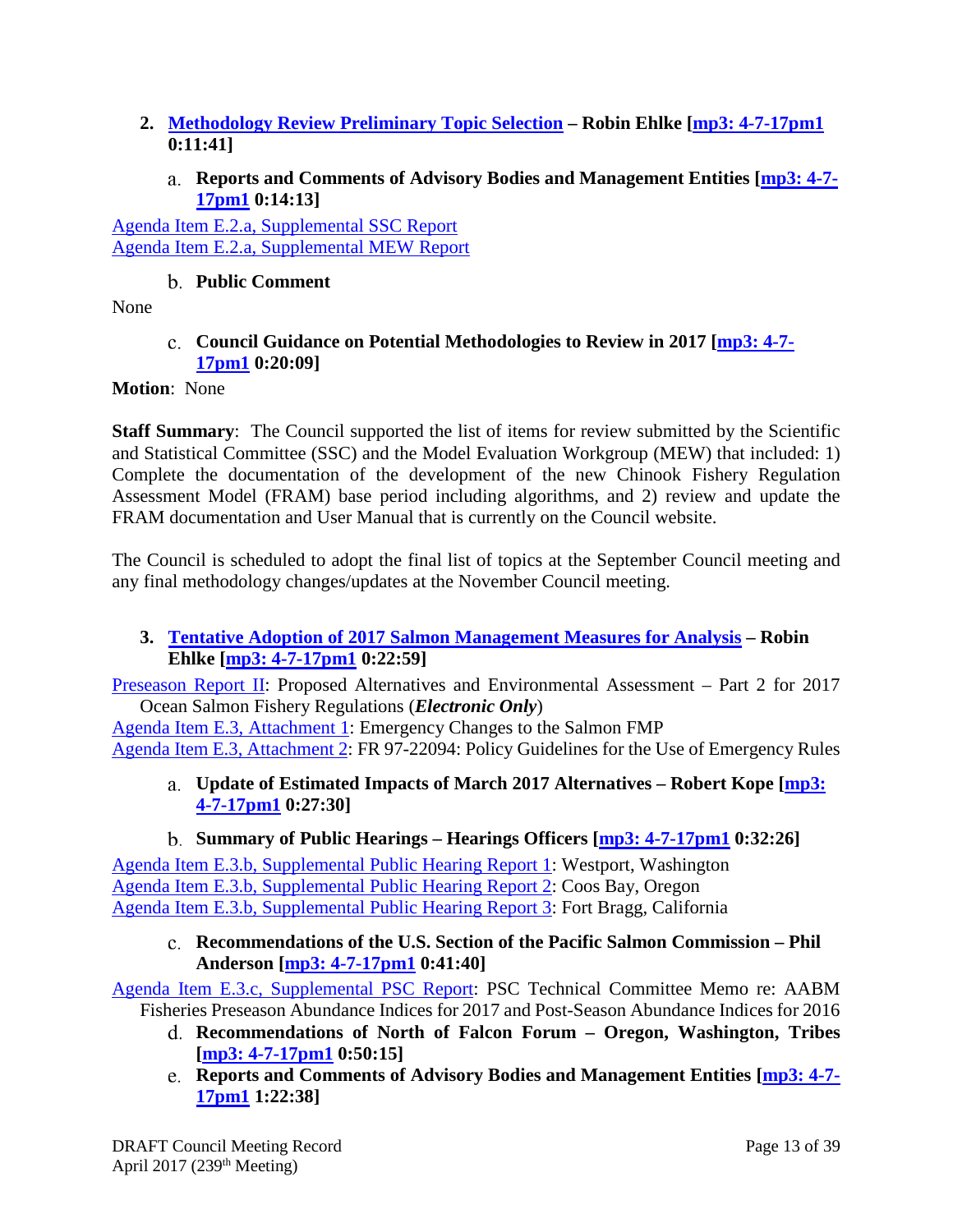- <span id="page-12-0"></span>**2. [Methodology Review Preliminary Topic Selection](http://www.pcouncil.org/wp-content/uploads/2017/03/E2__SitSum_Method-Review_APR2017BB.pdf) – Robin Ehlke [\[mp3: 4-7-17pm1](ftp://ftp.pcouncil.org/pub/R1704_April_2017_Recordings/4-7-17pm1Copy.mp3) 0:11:41]**
	- **Reports and Comments of Advisory Bodies and Management Entities [\[mp3: 4-7-](ftp://ftp.pcouncil.org/pub/R1704_April_2017_Recordings/4-7-17pm1Copy.mp3) [17pm1](ftp://ftp.pcouncil.org/pub/R1704_April_2017_Recordings/4-7-17pm1Copy.mp3) 0:14:13]**

<span id="page-12-1"></span>[Agenda Item E.2.a, Supplemental SSC Report](http://www.pcouncil.org/wp-content/uploads/2017/04/E2a_Sup_SSC_Rpt_SalmonMethodolgyReview_Apr2017BB.pdf) [Agenda Item E.2.a, Supplemental MEW Report](http://www.pcouncil.org/wp-content/uploads/2017/04/E2a_Sup_MEW_Rpt_Apr2017BB.pdf)

# **Public Comment**

<span id="page-12-3"></span><span id="page-12-2"></span>None

# **Council Guidance on Potential Methodologies to Review in 2017 [\[mp3: 4-7-](ftp://ftp.pcouncil.org/pub/R1704_April_2017_Recordings/4-7-17pm1Copy.mp3) [17pm1](ftp://ftp.pcouncil.org/pub/R1704_April_2017_Recordings/4-7-17pm1Copy.mp3) 0:20:09]**

# **Motion**: None

**Staff Summary**: The Council supported the list of items for review submitted by the Scientific and Statistical Committee (SSC) and the Model Evaluation Workgroup (MEW) that included: 1) Complete the documentation of the development of the new Chinook Fishery Regulation Assessment Model (FRAM) base period including algorithms, and 2) review and update the FRAM documentation and User Manual that is currently on the Council website.

The Council is scheduled to adopt the final list of topics at the September Council meeting and any final methodology changes/updates at the November Council meeting.

# <span id="page-12-4"></span>**3. Tentative Adoption of 2017 [Salmon Management Measures for Analysis](http://www.pcouncil.org/wp-content/uploads/2017/03/E3__SitSum_TentMgmtMeas_Apr2017BB.pdf) – Robin Ehlke [\[mp3: 4-7-17pm1](ftp://ftp.pcouncil.org/pub/R1704_April_2017_Recordings/4-7-17pm1Copy.mp3) 0:22:59]**

[Preseason Report II:](http://www.pcouncil.org/wp-content/uploads/2017/03/2017_Preseason_Report_II_-Final_032217.pdf) Proposed Alternatives and Environmental Assessment – Part 2 for 2017 Ocean Salmon Fishery Regulations (*Electronic Only*)

<span id="page-12-5"></span>[Agenda Item E.3, Attachment 1:](http://www.pcouncil.org/wp-content/uploads/2017/03/E3_Att1_Emergency_Apr2017BB.pdf) Emergency Changes to the Salmon FMP [Agenda Item E.3, Attachment 2:](http://www.pcouncil.org/wp-content/uploads/2017/03/E3_Att2_ER_FR_Ntc_APR2017BB.pdf) FR 97-22094: Policy Guidelines for the Use of Emergency Rules

**Update of Estimated Impacts of March 2017 Alternatives – Robert Kope [\[mp3:](ftp://ftp.pcouncil.org/pub/R1704_April_2017_Recordings/4-7-17pm1Copy.mp3)  [4-7-17pm1](ftp://ftp.pcouncil.org/pub/R1704_April_2017_Recordings/4-7-17pm1Copy.mp3) 0:27:30]**

# **Summary of Public Hearings – Hearings Officers [\[mp3: 4-7-17pm1](ftp://ftp.pcouncil.org/pub/R1704_April_2017_Recordings/4-7-17pm1Copy.mp3) 0:32:26]**

<span id="page-12-6"></span>[Agenda Item E.3.b, Supplemental Public Hearing Report 1:](http://www.pcouncil.org/wp-content/uploads/2017/03/E3b.1_Sup_Hrg_Sum1_WA2017_Apr2017BB.pdf) Westport, Washington [Agenda Item E.3.b, Supplemental Public Hearing Report 2:](http://www.pcouncil.org/wp-content/uploads/2017/04/E3b.3_Sup_Hrg_Sum2_OR2017_Apr2017BB.pdf) Coos Bay, Oregon [Agenda Item E.3.b, Supplemental Public Hearing Report 3:](http://www.pcouncil.org/wp-content/uploads/2017/03/E3b.3_Sup_Hrg_Sum3_CA2017_Apr2017BB.pdf) Fort Bragg, California

<span id="page-12-7"></span>**Recommendations of the U.S. Section of the Pacific Salmon Commission – Phil Anderson [\[mp3: 4-7-17pm1](ftp://ftp.pcouncil.org/pub/R1704_April_2017_Recordings/4-7-17pm1Copy.mp3) 0:41:40]**

[Agenda Item E.3.c, Supplemental PSC Report:](http://www.pcouncil.org/wp-content/uploads/2017/04/E3c_Sup_PSC_Rpt_Chinook-ModelCalibration_Apr2017BB.pdf) PSC Technical Committee Memo re: AABM Fisheries Preseason Abundance Indices for 2017 and Post-Season Abundance Indices for 2016

- **Recommendations of North of Falcon Forum – Oregon, Washington, Tribes [\[mp3: 4-7-17pm1](ftp://ftp.pcouncil.org/pub/R1704_April_2017_Recordings/4-7-17pm1Copy.mp3) 0:50:15]**
- **Reports and Comments of Advisory Bodies and Management Entities [\[mp3: 4-7-](ftp://ftp.pcouncil.org/pub/R1704_April_2017_Recordings/4-7-17pm1Copy.mp3) [17pm1](ftp://ftp.pcouncil.org/pub/R1704_April_2017_Recordings/4-7-17pm1Copy.mp3) 1:22:38]**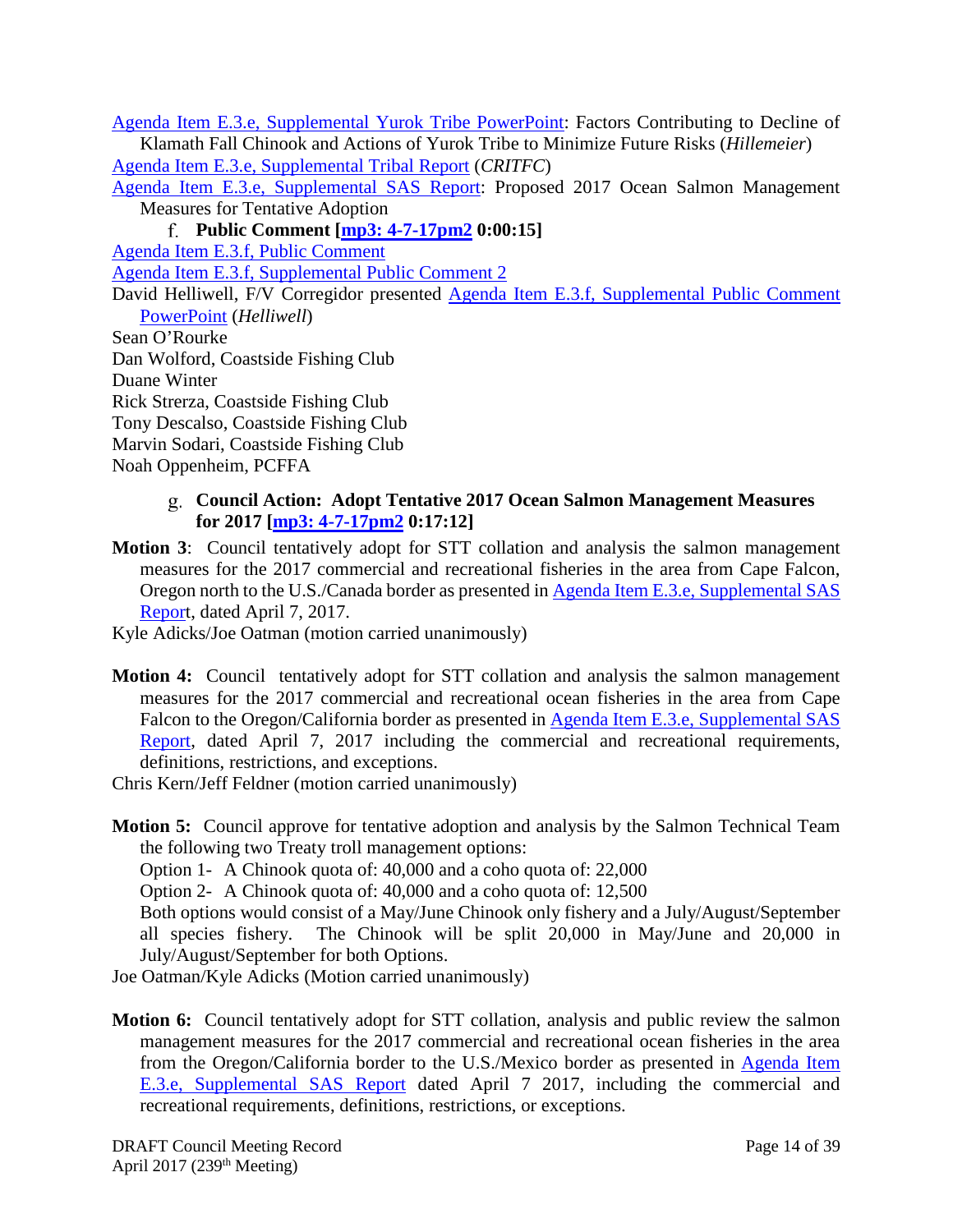[Agenda Item E.3.e, Supplemental Yurok Tribe PowerPoint:](http://www.pcouncil.org/wp-content/uploads/2017/04/E3e_Sup_YurokTribe_PPT_Hillemeier_Apr2017BB.pdf) Factors Contributing to Decline of Klamath Fall Chinook and Actions of Yurok Tribe to Minimize Future Risks (*Hillemeier*) [Agenda Item E.3.e, Supplemental Tribal Report](http://www.pcouncil.org/wp-content/uploads/2017/04/E3e_Sup_Tribal_Rpt_CRITFC_Apr2017BB.pdf) (*CRITFC*)

[Agenda Item E.3.e, Supplemental SAS Report:](http://www.pcouncil.org/wp-content/uploads/2017/04/E3e_Sup_SAS_Rpt_Tentative_Apr2017BB.pdf) Proposed 2017 Ocean Salmon Management Measures for Tentative Adoption

**Public Comment [\[mp3: 4-7-17pm2](ftp://ftp.pcouncil.org/pub/R1704_April_2017_Recordings/4-7-17pm2Copy.mp3) 0:00:15]**

[Agenda Item E.3.f, Public Comment](http://www.pcouncil.org/wp-content/uploads/2017/03/E3f_PubComt_Apr2017BB.pdf)

[Agenda Item E.3.f, Supplemental Public Comment 2](http://www.pcouncil.org/wp-content/uploads/2017/03/E3f_Sup_PubComt2_Apr2017BB.pdf)

David Helliwell, F/V Corregidor presented [Agenda Item E.3.f, Supplemental Public Comment](http://www.pcouncil.org/wp-content/uploads/2017/04/E3f_Sup_Pub_Cmt_PPT_Helliwell_Apr2017BB.pdf)  [PowerPoint](http://www.pcouncil.org/wp-content/uploads/2017/04/E3f_Sup_Pub_Cmt_PPT_Helliwell_Apr2017BB.pdf) (*Helliwell*)

Sean O'Rourke

Dan Wolford, Coastside Fishing Club

Duane Winter

Rick Strerza, Coastside Fishing Club

Tony Descalso, Coastside Fishing Club

Marvin Sodari, Coastside Fishing Club

<span id="page-13-0"></span>Noah Oppenheim, PCFFA

## **Council Action: Adopt Tentative 2017 Ocean Salmon Management Measures for 2017 [\[mp3: 4-7-17pm2](ftp://ftp.pcouncil.org/pub/R1704_April_2017_Recordings/4-7-17pm2Copy.mp3) 0:17:12]**

- **Motion 3**: Council tentatively adopt for STT collation and analysis the salmon management measures for the 2017 commercial and recreational fisheries in the area from Cape Falcon, Oregon north to the U.S./Canada border as presented in [Agenda Item E.3.e, Supplemental SAS](http://www.pcouncil.org/wp-content/uploads/2017/04/E3e_Sup_SAS_Rpt_Tentative_Apr2017BB.pdf)  [Report](http://www.pcouncil.org/wp-content/uploads/2017/04/E3e_Sup_SAS_Rpt_Tentative_Apr2017BB.pdf), dated April 7, 2017.
- Kyle Adicks/Joe Oatman (motion carried unanimously)
- **Motion 4:** Council tentatively adopt for STT collation and analysis the salmon management measures for the 2017 commercial and recreational ocean fisheries in the area from Cape Falcon to the Oregon/California border as presented in Agenda Item E.3.e, Supplemental SAS [Report,](http://www.pcouncil.org/wp-content/uploads/2017/04/E3e_Sup_SAS_Rpt_Tentative_Apr2017BB.pdf) dated April 7, 2017 including the commercial and recreational requirements, definitions, restrictions, and exceptions.

Chris Kern/Jeff Feldner (motion carried unanimously)

**Motion 5:** Council approve for tentative adoption and analysis by the Salmon Technical Team the following two Treaty troll management options:

Option 1- A Chinook quota of: 40,000 and a coho quota of: 22,000

Option 2- A Chinook quota of: 40,000 and a coho quota of: 12,500

Both options would consist of a May/June Chinook only fishery and a July/August/September all species fishery. The Chinook will be split 20,000 in May/June and 20,000 in July/August/September for both Options.

Joe Oatman/Kyle Adicks (Motion carried unanimously)

**Motion 6:** Council tentatively adopt for STT collation, analysis and public review the salmon management measures for the 2017 commercial and recreational ocean fisheries in the area from the Oregon/California border to the U.S./Mexico border as presented in [Agenda Item](http://www.pcouncil.org/wp-content/uploads/2017/04/E3e_Sup_SAS_Rpt_Tentative_Apr2017BB.pdf)  [E.3.e, Supplemental SAS Report](http://www.pcouncil.org/wp-content/uploads/2017/04/E3e_Sup_SAS_Rpt_Tentative_Apr2017BB.pdf) dated April 7 2017, including the commercial and recreational requirements, definitions, restrictions, or exceptions.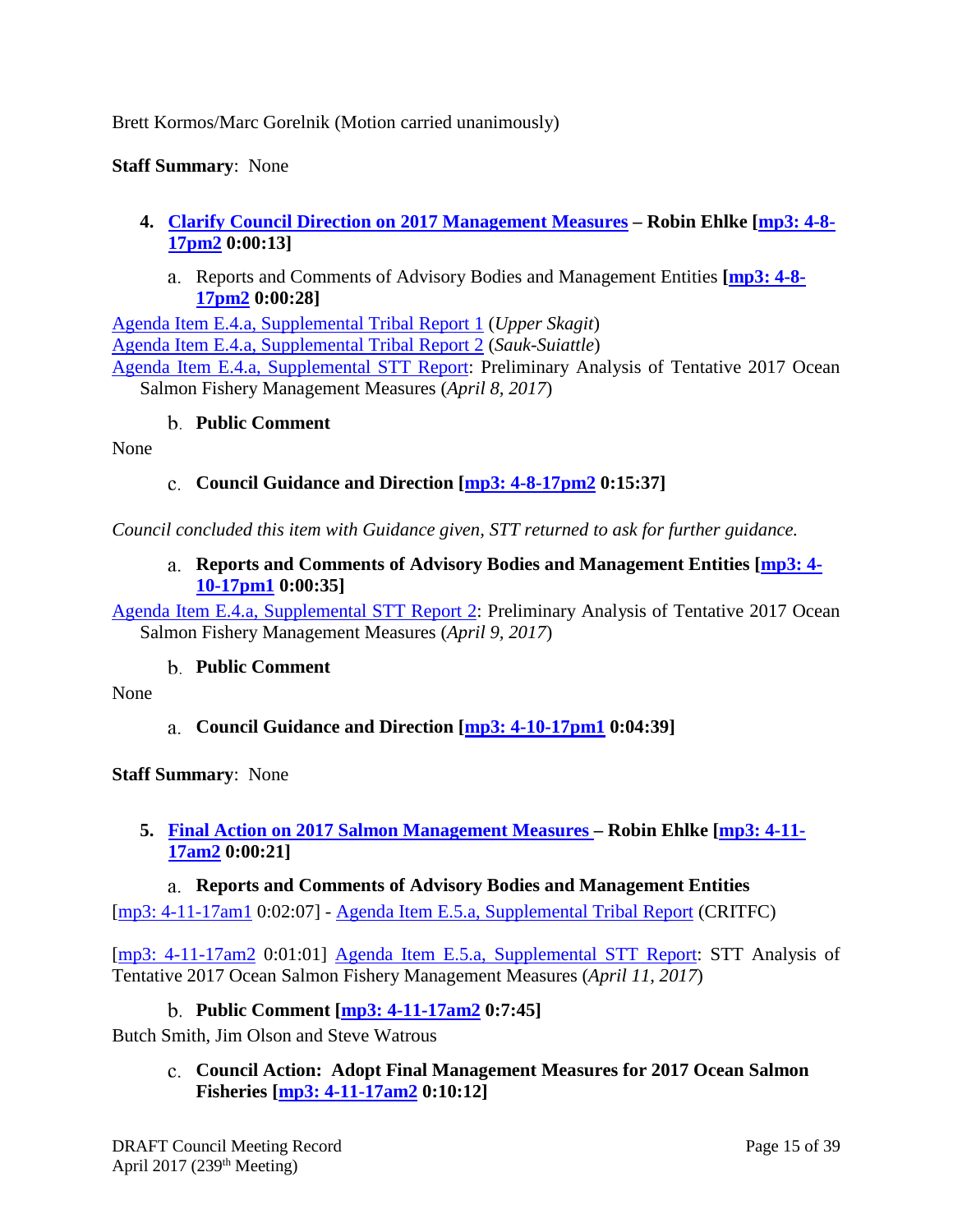## Brett Kormos/Marc Gorelnik (Motion carried unanimously)

#### **Staff Summary**: None

- <span id="page-14-1"></span><span id="page-14-0"></span>**4. [Clarify Council Direction on 2017 Management Measures](http://www.pcouncil.org/wp-content/uploads/2017/03/E4__SitSum_Clarify_APR2017BB.pdf) – Robin Ehlke [\[mp3: 4-8-](ftp://ftp.pcouncil.org/pub/R1704_April_2017_Recordings/4-8-17pm2Copy.mp3) [17pm2](ftp://ftp.pcouncil.org/pub/R1704_April_2017_Recordings/4-8-17pm2Copy.mp3) 0:00:13]**
	- Reports and Comments of Advisory Bodies and Management Entities **[\[mp3: 4-8-](ftp://ftp.pcouncil.org/pub/R1704_April_2017_Recordings/4-8-17pm2Copy.mp3) [17pm2](ftp://ftp.pcouncil.org/pub/R1704_April_2017_Recordings/4-8-17pm2Copy.mp3) 0:00:28]**

[Agenda Item E.4.a, Supplemental Tribal Report 1](http://www.pcouncil.org/wp-content/uploads/2017/04/E4a_Sup_Tribal_Rpt1_UpperSkagit_Apr2017BB.pdf) (*Upper Skagit*) [Agenda Item E.4.a, Supplemental Tribal Report 2](http://www.pcouncil.org/wp-content/uploads/2017/04/E4a_Sup_Tribal_Rpt2_Sauk_Suiattle_Apr2017BB.pdf) (*Sauk-Suiattle*) [Agenda Item E.4.a, Supplemental STT Report:](http://www.pcouncil.org/wp-content/uploads/2017/04/E4a_Sup_STT_Rpt_PrelimAnalysis_Apr2017BB.pdf) Preliminary Analysis of Tentative 2017 Ocean Salmon Fishery Management Measures (*April 8, 2017*)

#### **Public Comment**

<span id="page-14-3"></span><span id="page-14-2"></span>None

#### **Council Guidance and Direction [\[mp3: 4-8-17pm2](ftp://ftp.pcouncil.org/pub/R1704_April_2017_Recordings/4-8-17pm2Copy.mp3) 0:15:37]**

<span id="page-14-4"></span>*Council concluded this item with Guidance given, STT returned to ask for further guidance.*

#### **Reports and Comments of Advisory Bodies and Management Entities [\[mp3: 4-](ftp://ftp.pcouncil.org/pub/R1704_April_2017_Recordings/4-10-17pm1Copy.mp3) [10-17pm1](ftp://ftp.pcouncil.org/pub/R1704_April_2017_Recordings/4-10-17pm1Copy.mp3) 0:00:35]**

[Agenda Item E.4.a, Supplemental STT Report 2:](http://www.pcouncil.org/wp-content/uploads/2017/04/E4a_Sup_STT_Rpt2_0409PrelimAnalysis_Apr2017BB.pdf) Preliminary Analysis of Tentative 2017 Ocean Salmon Fishery Management Measures (*April 9, 2017*)

#### **Public Comment**

<span id="page-14-6"></span><span id="page-14-5"></span>None

**Council Guidance and Direction [\[mp3: 4-10-17pm1](ftp://ftp.pcouncil.org/pub/R1704_April_2017_Recordings/4-10-17pm1Copy.mp3) 0:04:39]**

**Staff Summary**: None

#### <span id="page-14-7"></span>**5. [Final Action on 2017 Salmon Management Measures](http://www.pcouncil.org/wp-content/uploads/2017/03/E5__SitSum_Final_Apr2017BB.pdf) – Robin Ehlke [\[mp3: 4-11-](ftp://ftp.pcouncil.org/pub/R1704_April_2017_Recordings/4-11-17am2Copy.mp3) [17am2](ftp://ftp.pcouncil.org/pub/R1704_April_2017_Recordings/4-11-17am2Copy.mp3) 0:00:21]**

<span id="page-14-8"></span>**Reports and Comments of Advisory Bodies and Management Entities** [\[mp3: 4-11-17am1](ftp://ftp.pcouncil.org/pub/R1704_April_2017_Recordings/4-11-17am1Copy.mp3) 0:02:07] - [Agenda Item E.5.a, Supplemental Tribal Report](http://www.pcouncil.org/wp-content/uploads/2017/04/E5a_Sup_Tribal_Rpt_CRITFC_Apr2017BB.pdf) (CRITFC)

[\[mp3: 4-11-17am2](ftp://ftp.pcouncil.org/pub/R1704_April_2017_Recordings/4-11-17am2Copy.mp3) 0:01:01] [Agenda Item E.5.a, Supplemental STT Report:](http://www.pcouncil.org/wp-content/uploads/2017/04/E5a_Sup_STT_Rpt_041117_Apr2017BB.pdf) STT Analysis of Tentative 2017 Ocean Salmon Fishery Management Measures (*April 11, 2017*)

#### **Public Comment [\[mp3: 4-11-17am2](ftp://ftp.pcouncil.org/pub/R1704_April_2017_Recordings/4-11-17am2Copy.mp3) 0:7:45]**

<span id="page-14-10"></span><span id="page-14-9"></span>Butch Smith, Jim Olson and Steve Watrous

**Council Action: Adopt Final Management Measures for 2017 Ocean Salmon Fisheries [\[mp3: 4-11-17am2](ftp://ftp.pcouncil.org/pub/R1704_April_2017_Recordings/4-11-17am2Copy.mp3) 0:10:12]**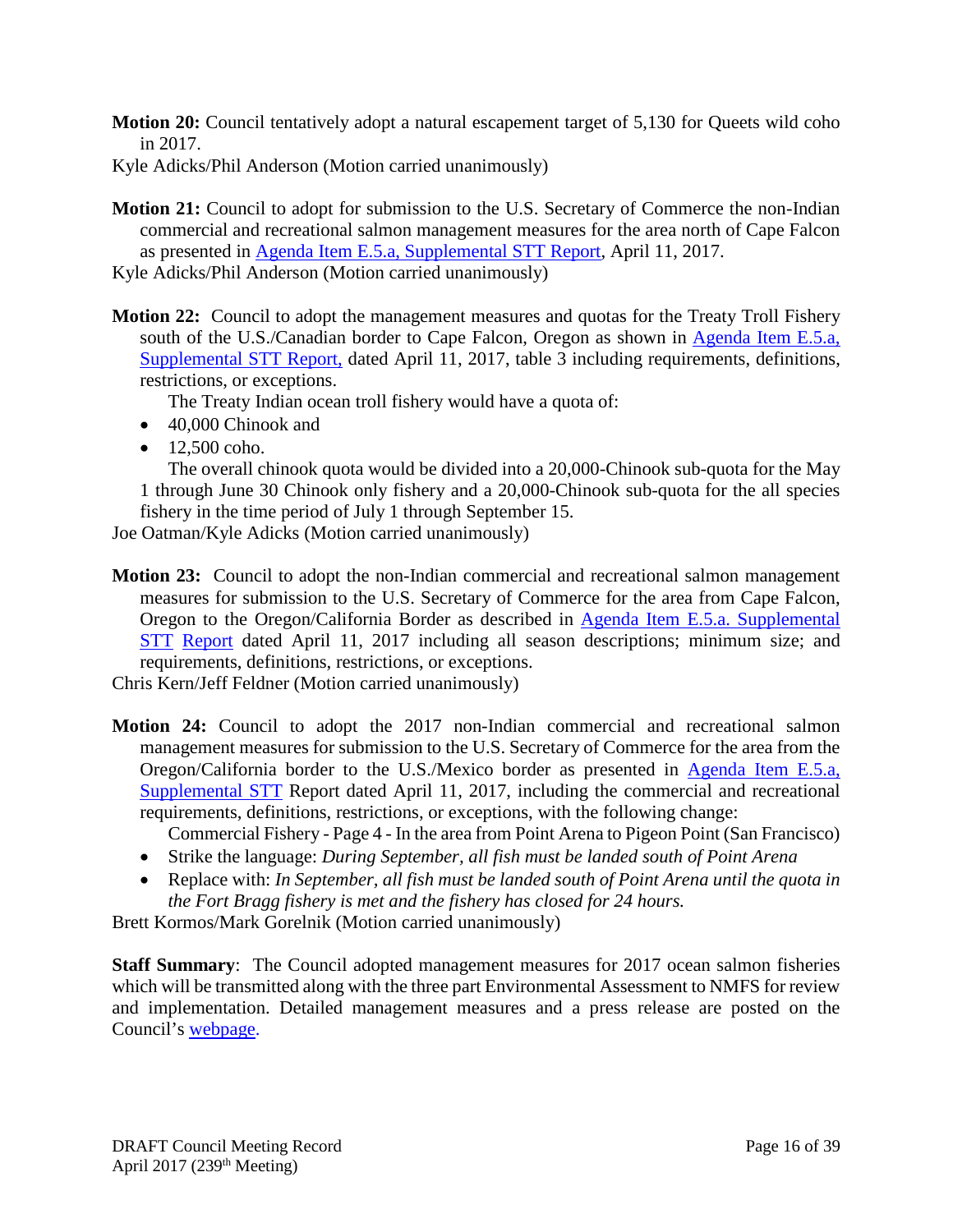**Motion 20:** Council tentatively adopt a natural escapement target of 5,130 for Queets wild coho in 2017.

Kyle Adicks/Phil Anderson (Motion carried unanimously)

- **Motion 21:** Council to adopt for submission to the U.S. Secretary of Commerce the non-Indian commercial and recreational salmon management measures for the area north of Cape Falcon as presented in [Agenda Item E.5.a, Supplemental STT Report,](http://www.pcouncil.org/wp-content/uploads/2017/04/E5a_Sup_STT_Rpt_041117_Apr2017BB.pdf) April 11, 2017.
- Kyle Adicks/Phil Anderson (Motion carried unanimously)
- **Motion 22:** Council to adopt the management measures and quotas for the Treaty Troll Fishery south of the U.S./Canadian border to Cape Falcon, Oregon as shown in Agenda Item E.5.a, [Supplemental STT Report,](http://www.pcouncil.org/wp-content/uploads/2017/04/E5a_Sup_STT_Rpt_041117_Apr2017BB.pdf) dated April 11, 2017, table 3 including requirements, definitions, restrictions, or exceptions.

The Treaty Indian ocean troll fishery would have a quota of:

- 40,000 Chinook and
- $\bullet$  12.500 coho.

The overall chinook quota would be divided into a 20,000-Chinook sub-quota for the May 1 through June 30 Chinook only fishery and a 20,000-Chinook sub-quota for the all species fishery in the time period of July 1 through September 15.

Joe Oatman/Kyle Adicks (Motion carried unanimously)

**Motion 23:** Council to adopt the non-Indian commercial and recreational salmon management measures for submission to the U.S. Secretary of Commerce for the area from Cape Falcon, Oregon to the Oregon/California Border as described in [Agenda Item E.5.a. Supplemental](http://www.pcouncil.org/wp-content/uploads/2017/04/E5a_Sup_STT_Rpt_041117_Apr2017BB.pdf)  [STT](http://www.pcouncil.org/wp-content/uploads/2017/04/E5a_Sup_STT_Rpt_041117_Apr2017BB.pdf) [Report](http://www.pcouncil.org/wp-content/uploads/2017/04/E5a_Sup_STT_Rpt_041117_Apr2017BB.pdf) dated April 11, 2017 including all season descriptions; minimum size; and requirements, definitions, restrictions, or exceptions.

Chris Kern/Jeff Feldner (Motion carried unanimously)

**Motion 24:** Council to adopt the 2017 non-Indian commercial and recreational salmon management measures for submission to the U.S. Secretary of Commerce for the area from the Oregon/California border to the U.S./Mexico border as presented in [Agenda Item E.5.a,](http://www.pcouncil.org/wp-content/uploads/2017/04/E5a_Sup_STT_Rpt_041117_Apr2017BB.pdf)  [Supplemental STT](http://www.pcouncil.org/wp-content/uploads/2017/04/E5a_Sup_STT_Rpt_041117_Apr2017BB.pdf) Report dated April 11, 2017, including the commercial and recreational requirements, definitions, restrictions, or exceptions, with the following change:

Commercial Fishery - Page 4 - In the area from Point Arena to Pigeon Point (San Francisco)

- Strike the language: *During September, all fish must be landed south of Point Arena*
- Replace with: *In September, all fish must be landed south of Point Arena until the quota in the Fort Bragg fishery is met and the fishery has closed for 24 hours.*

Brett Kormos/Mark Gorelnik (Motion carried unanimously)

**Staff Summary**: The Council adopted management measures for 2017 ocean salmon fisheries which will be transmitted along with the three part Environmental Assessment to NMFS for review and implementation. Detailed management measures and a press release are posted on the Council's [webpage.](http://www.pcouncil.org/2017/04/47516/draft-council-adopted-salmon-management-measures-for-may-2017-april-30-2018-ocean-salmon-fisheries-tables-including-press-release/)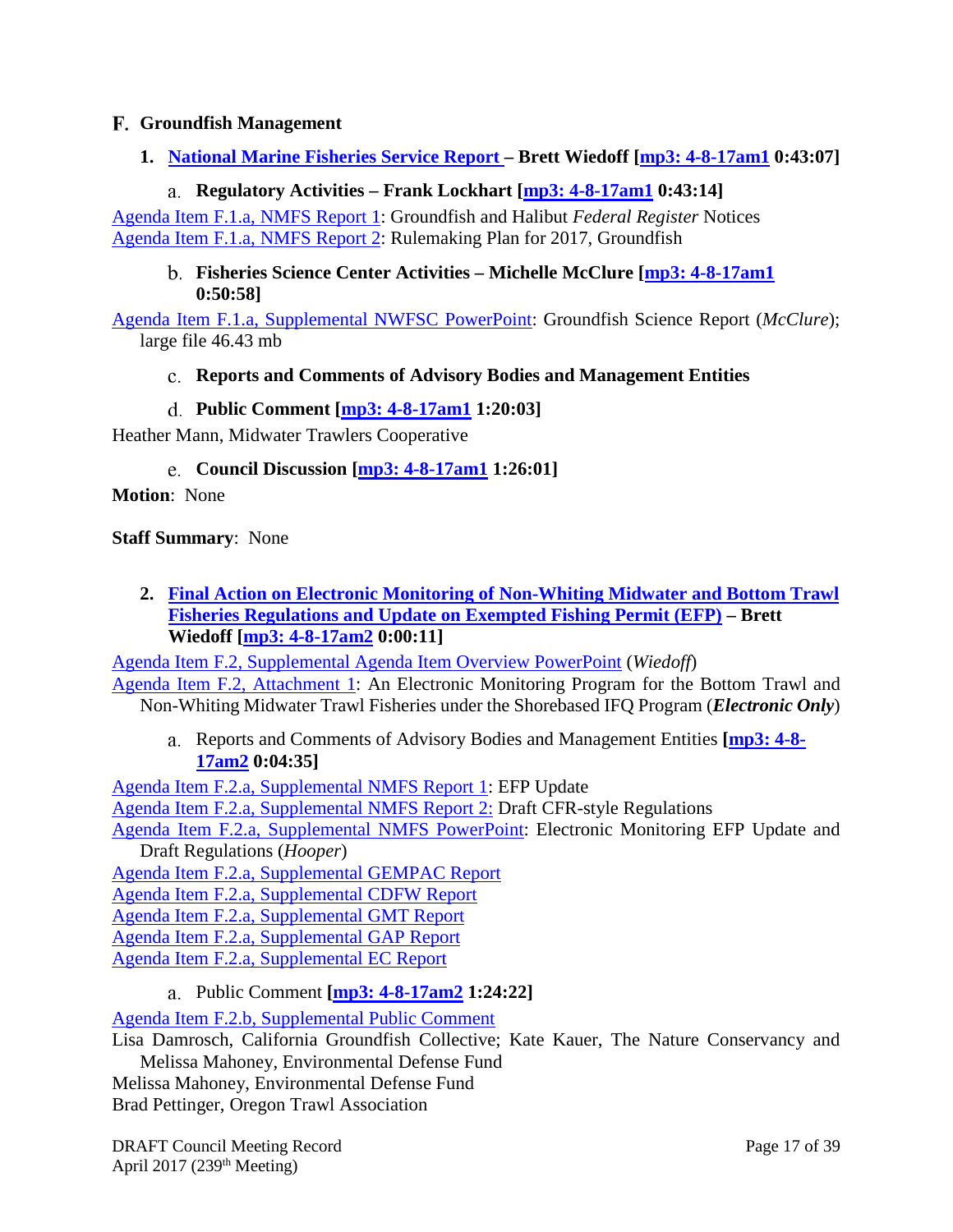## <span id="page-16-0"></span>**Groundfish Management**

<span id="page-16-1"></span>**1. [National Marine Fisheries Service Report](http://www.pcouncil.org/wp-content/uploads/2017/03/F1__SitSum_NMFS_Rpt_APRIL2017BB.pdf) – Brett Wiedoff [\[mp3: 4-8-17am1](ftp://ftp.pcouncil.org/pub/R1704_April_2017_Recordings/4-8-17am1Copy.mp3) 0:43:07]**

#### **Regulatory Activities – Frank Lockhart [\[mp3: 4-8-17am1](ftp://ftp.pcouncil.org/pub/R1704_April_2017_Recordings/4-8-17am1Copy.mp3) 0:43:14]**

<span id="page-16-3"></span><span id="page-16-2"></span>[Agenda Item F.1.a, NMFS Report 1:](http://www.pcouncil.org/wp-content/uploads/2017/03/F1a_NMFS_RPT1_Groundfish_and_Halibut_Notices_Apr2017BB.pdf) Groundfish and Halibut *Federal Register* Notices [Agenda Item F.1.a, NMFS Report 2:](http://www.pcouncil.org/wp-content/uploads/2017/03/F1a_NMFS_RPT2_NMFS_rulemaking_plan_2016-2017_Apr2017BB.pdf) Rulemaking Plan for 2017, Groundfish

#### **Fisheries Science Center Activities – Michelle McClure [\[mp3: 4-8-17am1](ftp://ftp.pcouncil.org/pub/R1704_April_2017_Recordings/4-8-17am1Copy.mp3) 0:50:58]**

<span id="page-16-4"></span>[Agenda Item F.1.a, Supplemental NWFSC PowerPoint:](http://www.pcouncil.org/wp-content/uploads/2017/04/F1a_Sup_NMFS_Groundfish_Science_Report_McClure_PPT_APR2017BB.pdf) Groundfish Science Report (*McClure*); large file 46.43 mb

#### **Reports and Comments of Advisory Bodies and Management Entities**

**Public Comment [\[mp3: 4-8-17am1](ftp://ftp.pcouncil.org/pub/R1704_April_2017_Recordings/4-8-17am1Copy.mp3) 1:20:03]**

<span id="page-16-6"></span><span id="page-16-5"></span>Heather Mann, Midwater Trawlers Cooperative

**Council Discussion [\[mp3: 4-8-17am1](ftp://ftp.pcouncil.org/pub/R1704_April_2017_Recordings/4-8-17am1Copy.mp3) 1:26:01]**

**Motion**: None

#### **Staff Summary**: None

<span id="page-16-7"></span>**2. [Final Action on Electronic Monitoring of Non-Whiting Midwater and Bottom Trawl](http://www.pcouncil.org/wp-content/uploads/2017/03/F2__SitSum_EM_Apr2017BB.pdf)  [Fisheries Regulations and Update on Exempted Fishing Permit \(EFP\)](http://www.pcouncil.org/wp-content/uploads/2017/03/F2__SitSum_EM_Apr2017BB.pdf) – Brett Wiedoff [\[mp3: 4-8-17am2](ftp://ftp.pcouncil.org/pub/R1704_April_2017_Recordings/4-8-17am2Copy.mp3) 0:00:11]**

[Agenda Item F.2, Supplemental Agenda Item Overview PowerPoint](http://www.pcouncil.org/wp-content/uploads/2017/04/F2_Sup_AgendaOvrvw_EM_PPT_Wiedoff_APRIL2017BB.pdf) (*Wiedoff*) [Agenda Item F.2, Attachment 1:](http://www.pcouncil.org/wp-content/uploads/2017/03/F2_Att1_EM_Analysis_ElectricOnly_APR2017BB.pdf) An Electronic Monitoring Program for the Bottom Trawl and Non-Whiting Midwater Trawl Fisheries under the Shorebased IFQ Program (*Electronic Only*)

<span id="page-16-8"></span>Reports and Comments of Advisory Bodies and Management Entities **[\[mp3: 4-8-](ftp://ftp.pcouncil.org/pub/R1704_April_2017_Recordings/4-8-17am2Copy.mp3) [17am2](ftp://ftp.pcouncil.org/pub/R1704_April_2017_Recordings/4-8-17am2Copy.mp3) 0:04:35]**

[Agenda Item F.2.a, Supplemental NMFS Report 1:](http://www.pcouncil.org/wp-content/uploads/2017/04/F2a_Sup_NMFS_Rpt1_EFP_UUpdate_Apr2017BB.pdf) EFP Update [Agenda Item F.2.a, Supplemental NMFS Report 2:](http://www.pcouncil.org/wp-content/uploads/2017/04/F2a_Sup_NMFS_Rpt2_Draft_CFRstyleRegs_Apr2017BB.pdf) Draft CFR-style Regulations [Agenda Item F.2.a, Supplemental NMFS PowerPoint:](http://www.pcouncil.org/wp-content/uploads/2017/04/F2a_Sup_NMFS_PPT_Hooper_APR2017BB.ppsx) Electronic Monitoring EFP Update and

Draft Regulations (*Hooper*) [Agenda Item F.2.a, Supplemental GEMPAC Report](http://www.pcouncil.org/wp-content/uploads/2017/04/F2a_Sup_GEMPAC_Rpt_Apr2017BB.pdf) [Agenda Item F.2.a, Supplemental CDFW Report](http://www.pcouncil.org/wp-content/uploads/2017/04/F2a_Sup_CDFW_Rpt_Apr2017BB.pdf) [Agenda Item F.2.a, Supplemental GMT Report](http://www.pcouncil.org/wp-content/uploads/2017/04/F2a_Sup_GMT_Rpt_Apr2017BB.pdf)

[Agenda Item F.2.a, Supplemental GAP Report](http://www.pcouncil.org/wp-content/uploads/2017/04/F2a_Sup_GAP_Rpt_Apr2017BB.pdf)

<span id="page-16-9"></span>[Agenda Item F.2.a, Supplemental EC Report](http://www.pcouncil.org/wp-content/uploads/2017/04/F2a_Sup_EC_Rpt_Apr2017BB.pdf)

# Public Comment **[\[mp3: 4-8-17am2](ftp://ftp.pcouncil.org/pub/R1704_April_2017_Recordings/4-8-17am2Copy.mp3) 1:24:22]**

[Agenda Item F.2.b, Supplemental Public Comment](http://www.pcouncil.org/wp-content/uploads/2017/03/F2b_Sup_PubCom_Apr2017BB.pdf)

Lisa Damrosch, California Groundfish Collective; Kate Kauer, The Nature Conservancy and Melissa Mahoney, Environmental Defense Fund

Melissa Mahoney, Environmental Defense Fund Brad Pettinger, Oregon Trawl Association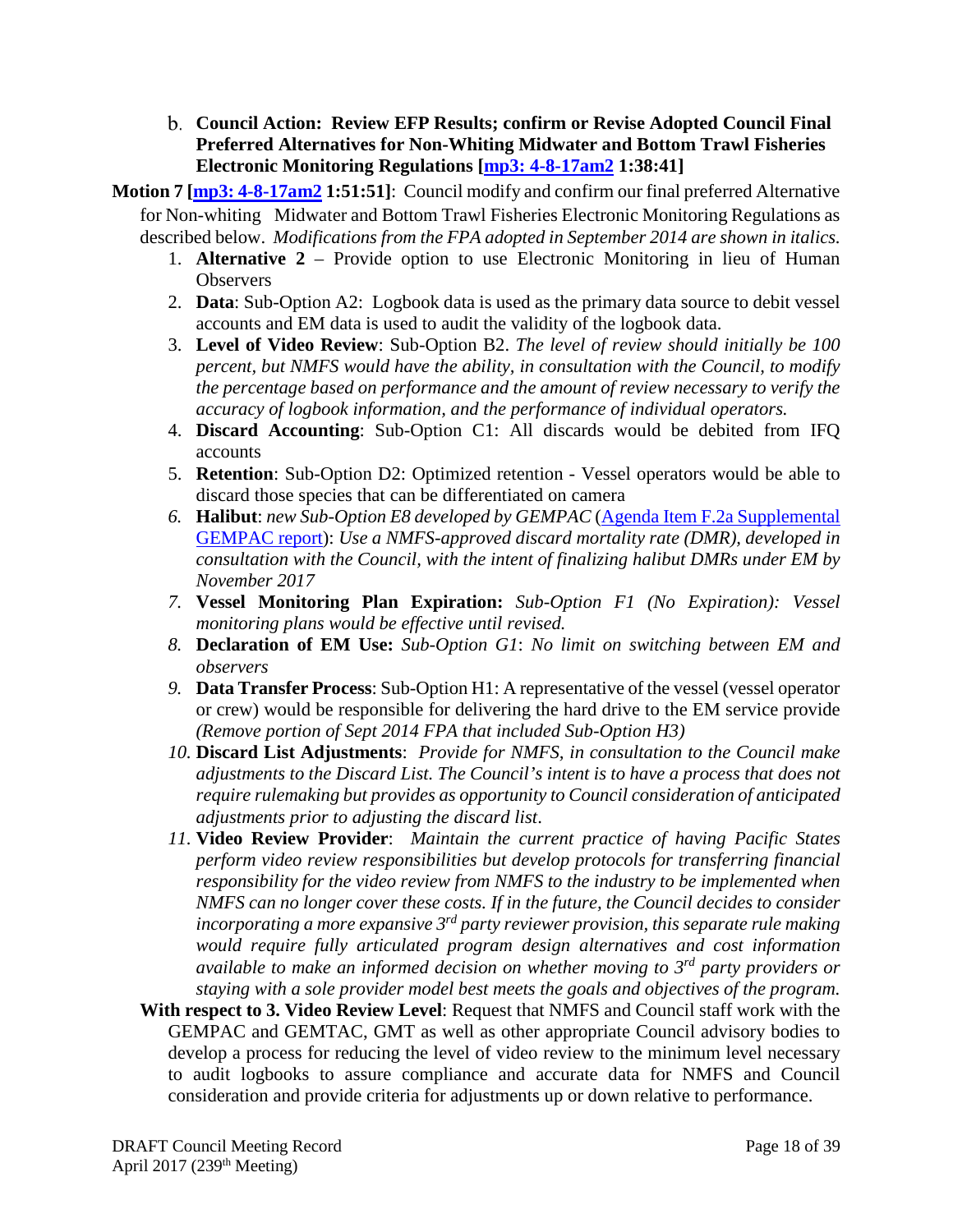- <span id="page-17-0"></span>**Council Action: Review EFP Results; confirm or Revise Adopted Council Final Preferred Alternatives for Non-Whiting Midwater and Bottom Trawl Fisheries Electronic Monitoring Regulations [\[mp3: 4-8-17am2](ftp://ftp.pcouncil.org/pub/R1704_April_2017_Recordings/4-8-17am2Copy.mp3) 1:38:41]**
- **Motion 7 [\[mp3: 4-8-17am2](ftp://ftp.pcouncil.org/pub/R1704_April_2017_Recordings/4-8-17am2Copy.mp3) 1:51:51]**: Council modify and confirm our final preferred Alternative for Non-whiting Midwater and Bottom Trawl Fisheries Electronic Monitoring Regulations as described below. *Modifications from the FPA adopted in September 2014 are shown in italics.*
	- 1. **Alternative 2** Provide option to use Electronic Monitoring in lieu of Human **Observers**
	- 2. **Data**: Sub-Option A2: Logbook data is used as the primary data source to debit vessel accounts and EM data is used to audit the validity of the logbook data.
	- 3. **Level of Video Review**: Sub-Option B2. *The level of review should initially be 100 percent, but NMFS would have the ability, in consultation with the Council, to modify the percentage based on performance and the amount of review necessary to verify the accuracy of logbook information, and the performance of individual operators.*
	- 4. **Discard Accounting**: Sub-Option C1: All discards would be debited from IFQ accounts
	- 5. **Retention**: Sub-Option D2: Optimized retention Vessel operators would be able to discard those species that can be differentiated on camera
	- *6.* **Halibut**: *new Sub-Option E8 developed by GEMPAC* [\(Agenda Item F.2a Supplemental](http://www.pcouncil.org/wp-content/uploads/2017/04/F2a_Sup_GEMPAC_Rpt_Apr2017BB.pdf)  [GEMPAC report\)](http://www.pcouncil.org/wp-content/uploads/2017/04/F2a_Sup_GEMPAC_Rpt_Apr2017BB.pdf): *Use a NMFS-approved discard mortality rate (DMR), developed in consultation with the Council, with the intent of finalizing halibut DMRs under EM by November 2017*
	- *7.* **Vessel Monitoring Plan Expiration:** *Sub-Option F1 (No Expiration): Vessel monitoring plans would be effective until revised.*
	- *8.* **Declaration of EM Use:** *Sub-Option G1*: *No limit on switching between EM and observers*
	- *9.* **Data Transfer Process**: Sub-Option H1: A representative of the vessel (vessel operator or crew) would be responsible for delivering the hard drive to the EM service provide *(Remove portion of Sept 2014 FPA that included Sub-Option H3)*
	- *10.* **Discard List Adjustments**: *Provide for NMFS, in consultation to the Council make adjustments to the Discard List. The Council's intent is to have a process that does not require rulemaking but provides as opportunity to Council consideration of anticipated adjustments prior to adjusting the discard list*.
	- *11.* **Video Review Provider**: *Maintain the current practice of having Pacific States perform video review responsibilities but develop protocols for transferring financial responsibility for the video review from NMFS to the industry to be implemented when NMFS can no longer cover these costs. If in the future, the Council decides to consider incorporating a more expansive 3rd party reviewer provision, this separate rule making would require fully articulated program design alternatives and cost information available to make an informed decision on whether moving to 3rd party providers or staying with a sole provider model best meets the goals and objectives of the program.*
	- **With respect to 3. Video Review Level**: Request that NMFS and Council staff work with the GEMPAC and GEMTAC, GMT as well as other appropriate Council advisory bodies to develop a process for reducing the level of video review to the minimum level necessary to audit logbooks to assure compliance and accurate data for NMFS and Council consideration and provide criteria for adjustments up or down relative to performance.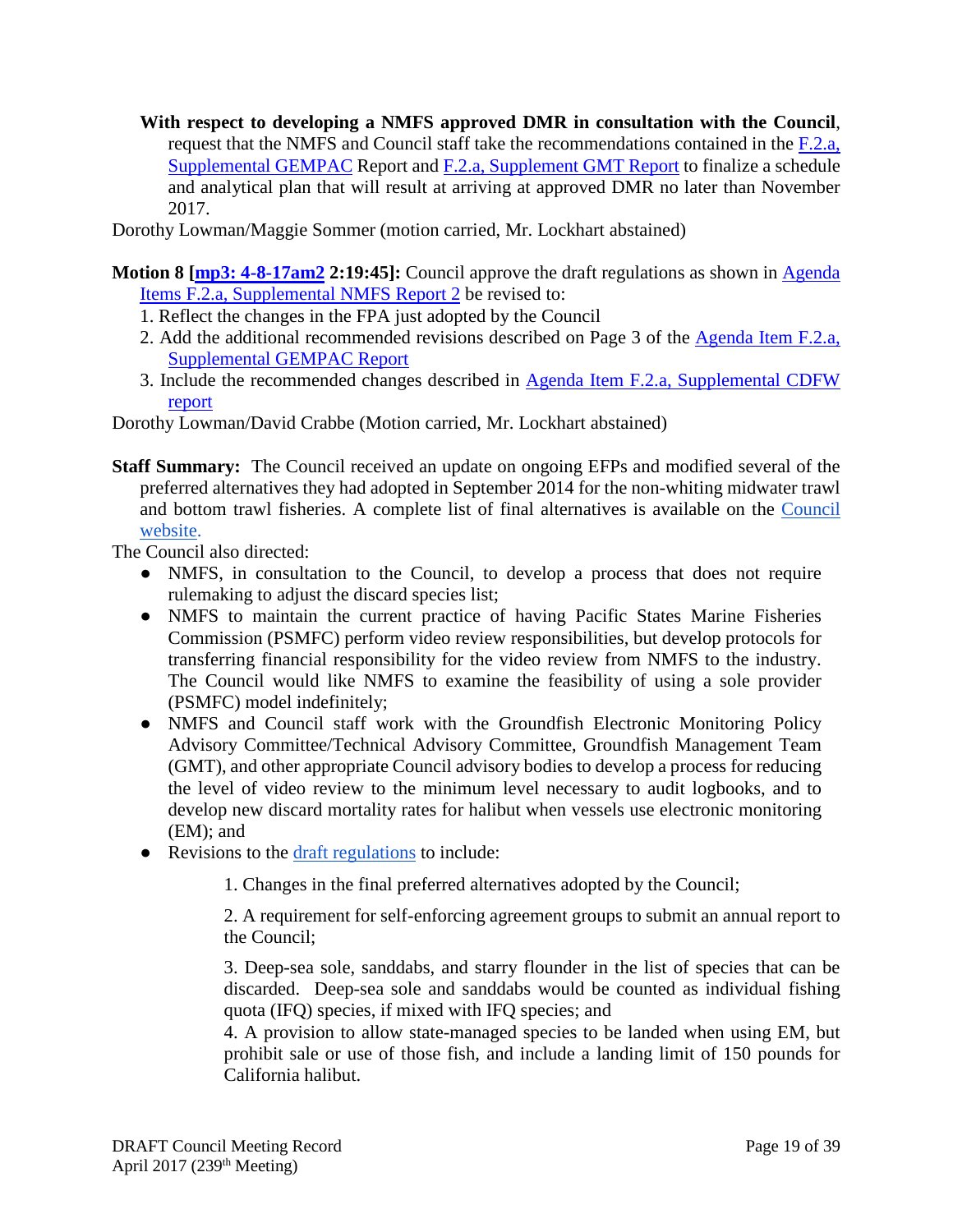**With respect to developing a NMFS approved DMR in consultation with the Council**, request that the NMFS and Council staff take the recommendations contained in the  $F_{1,2,a}$ , [Supplemental](http://www.pcouncil.org/wp-content/uploads/2017/04/F2a_Sup_GEMPAC_Rpt_Apr2017BB.pdf) GEMPAC Report and F.2.a, [Supplement GMT Report](http://www.pcouncil.org/wp-content/uploads/2017/04/F2a_Sup_GMT_Rpt_Apr2017BB.pdf) to finalize a schedule and analytical plan that will result at arriving at approved DMR no later than November 2017.

Dorothy Lowman/Maggie Sommer (motion carried, Mr. Lockhart abstained)

- **Motion 8 [\[mp3: 4-8-17am2](ftp://ftp.pcouncil.org/pub/R1704_April_2017_Recordings/4-8-17am2Copy.mp3) 2:19:45]:** Council approve the draft regulations as shown in [Agenda](http://www.pcouncil.org/wp-content/uploads/2017/04/F2a_Sup_NMFS_Rpt2_Draft_CFRstyleRegs_Apr2017BB.pdf)  [Items F.2.a, Supplemental NMFS Report 2](http://www.pcouncil.org/wp-content/uploads/2017/04/F2a_Sup_NMFS_Rpt2_Draft_CFRstyleRegs_Apr2017BB.pdf) be revised to:
	- 1. Reflect the changes in the FPA just adopted by the Council
	- 2. Add the additional recommended revisions described on Page 3 of the [Agenda Item F.2.a,](http://www.pcouncil.org/wp-content/uploads/2017/04/F2a_Sup_GEMPAC_Rpt_Apr2017BB.pdf)  [Supplemental GEMPAC Report](http://www.pcouncil.org/wp-content/uploads/2017/04/F2a_Sup_GEMPAC_Rpt_Apr2017BB.pdf)
	- 3. Include the recommended changes described in [Agenda Item F.2.a, Supplemental CDFW](http://www.pcouncil.org/wp-content/uploads/2017/04/F2a_Sup_CDFW_Rpt_Apr2017BB.pdf)  [report](http://www.pcouncil.org/wp-content/uploads/2017/04/F2a_Sup_CDFW_Rpt_Apr2017BB.pdf)

Dorothy Lowman/David Crabbe (Motion carried, Mr. Lockhart abstained)

**Staff Summary:** The Council received an update on ongoing EFPs and modified several of the preferred alternatives they had adopted in September 2014 for the non-whiting midwater trawl and bottom trawl fisheries. A complete list of final alternatives is available on the [Council](http://www.pcouncil.org/?p=47599)  [website.](http://www.pcouncil.org/?p=47599)

The Council also directed:

- NMFS, in consultation to the Council, to develop a process that does not require rulemaking to adjust the discard species list;
- NMFS to maintain the current practice of having Pacific States Marine Fisheries Commission (PSMFC) perform video review responsibilities, but develop protocols for transferring financial responsibility for the video review from NMFS to the industry. The Council would like NMFS to examine the feasibility of using a sole provider (PSMFC) model indefinitely;
- NMFS and Council staff work with the Groundfish Electronic Monitoring Policy Advisory Committee/Technical Advisory Committee, Groundfish Management Team (GMT), and other appropriate Council advisory bodies to develop a process for reducing the level of video review to the minimum level necessary to audit logbooks, and to develop new discard mortality rates for halibut when vessels use electronic monitoring (EM); and
- Revisions to the [draft regulations](http://www.pcouncil.org/wp-content/uploads/2017/04/F2a_Sup_NMFS_Rpt2_Draft_CFRstyleRegs_Apr2017BB.pdf) to include:

1. Changes in the final preferred alternatives adopted by the Council;

2. A requirement for self-enforcing agreement groups to submit an annual report to the Council;

3. Deep-sea sole, sanddabs, and starry flounder in the list of species that can be discarded. Deep-sea sole and sanddabs would be counted as individual fishing quota (IFQ) species, if mixed with IFQ species; and

4. A provision to allow state-managed species to be landed when using EM, but prohibit sale or use of those fish, and include a landing limit of 150 pounds for California halibut.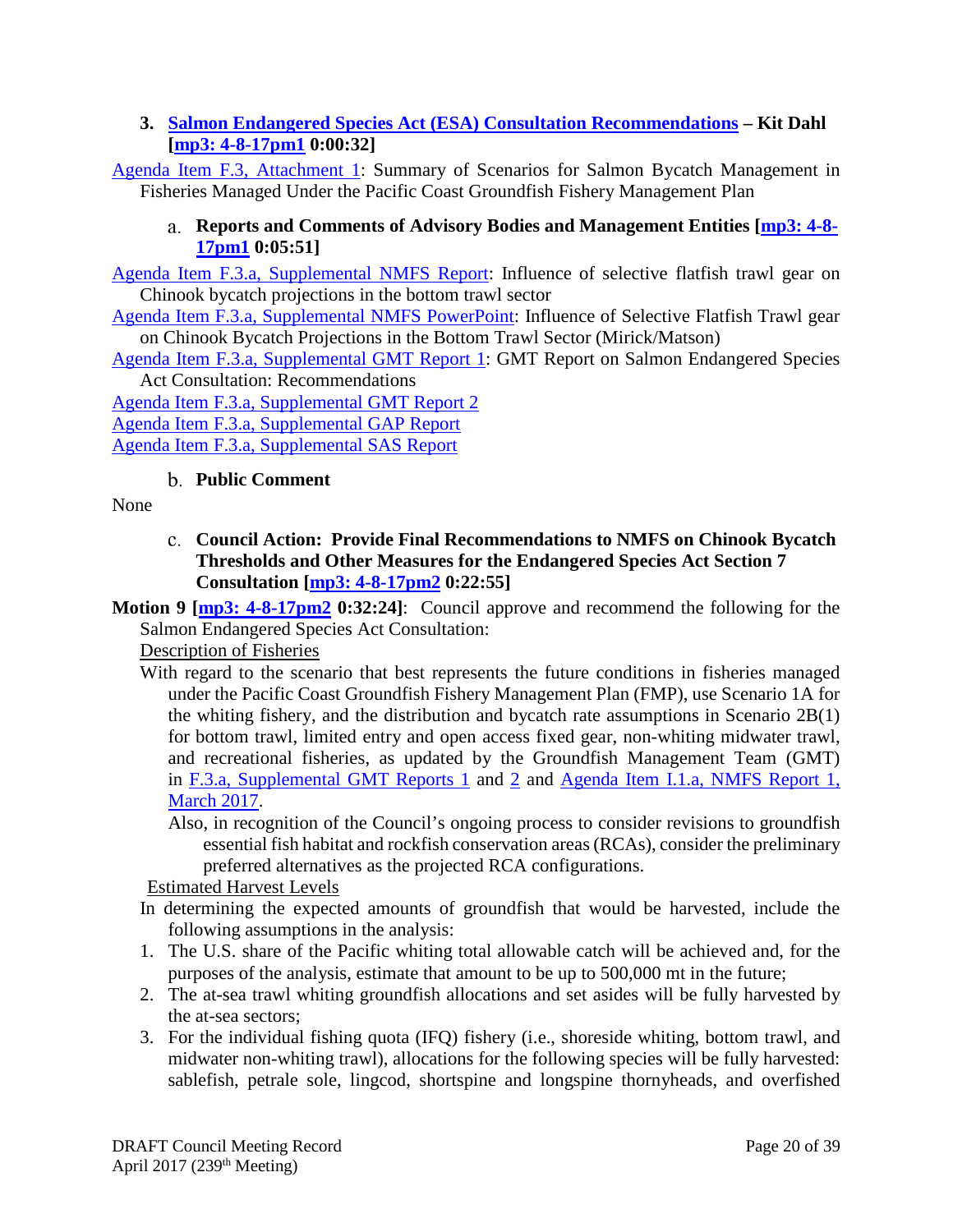# <span id="page-19-0"></span>**3. [Salmon Endangered Species Act \(ESA\) Consultation Recommendations](http://www.pcouncil.org/wp-content/uploads/2017/03/F3__SitSum_Salmon_ESA-consultation_analysis_Apr2017BB.pdf) – Kit Dahl [\[mp3: 4-8-17pm1](ftp://ftp.pcouncil.org/pub/R1704_April_2017_Recordings/4-8-17pm1Copy.mp3) 0:00:32]**

<span id="page-19-1"></span>[Agenda Item F.3, Attachment 1:](http://www.pcouncil.org/wp-content/uploads/2017/03/F3_Att1_Summary_of_analytical_results_Chinook_bycatch_Apr2017BB.pdf) Summary of Scenarios for Salmon Bycatch Management in Fisheries Managed Under the Pacific Coast Groundfish Fishery Management Plan

# **Reports and Comments of Advisory Bodies and Management Entities [\[mp3: 4-8-](ftp://ftp.pcouncil.org/pub/R1704_April_2017_Recordings/4-8-17pm1Copy.mp3) [17pm1](ftp://ftp.pcouncil.org/pub/R1704_April_2017_Recordings/4-8-17pm1Copy.mp3) 0:05:51]**

[Agenda Item F.3.a, Supplemental NMFS Report:](http://www.pcouncil.org/wp-content/uploads/2017/03/F3a_Sup_NMFS_Rpt_Apr2017BB.pdf) Influence of selective flatfish trawl gear on Chinook bycatch projections in the bottom trawl sector

[Agenda Item F.3.a, Supplemental NMFS PowerPoint:](http://www.pcouncil.org/wp-content/uploads/2017/04/F3a_Sup_NMFS_PPT_ESA_Mirick_Apr2017BB.pdf) Influence of Selective Flatfish Trawl gear on Chinook Bycatch Projections in the Bottom Trawl Sector (Mirick/Matson)

[Agenda Item F.3.a, Supplemental GMT Report 1:](http://www.pcouncil.org/wp-content/uploads/2017/03/F3a_Sup_GMT_Rpt1_Apr2017BB.pdf) GMT Report on Salmon Endangered Species Act Consultation: Recommendations

[Agenda Item F.3.a, Supplemental GMT Report 2](http://www.pcouncil.org/wp-content/uploads/2017/04/F3a_Sup_GMT_Rpt2_Apr2017BB.pdf) [Agenda Item F.3.a, Supplemental GAP Report](http://www.pcouncil.org/wp-content/uploads/2017/04/F3a_Sup_GAP_Rpt_Apr2017BB.pdf) [Agenda Item F.3.a, Supplemental SAS Report](http://www.pcouncil.org/wp-content/uploads/2017/04/F3a_Sup_SAS_Rpt_Apr2017BB.pdf)

# **Public Comment**

<span id="page-19-3"></span><span id="page-19-2"></span>None

**Council Action: Provide Final Recommendations to NMFS on Chinook Bycatch Thresholds and Other Measures for the Endangered Species Act Section 7 Consultation [\[mp3: 4-8-17pm2](ftp://ftp.pcouncil.org/pub/R1704_April_2017_Recordings/4-8-17pm2Copy.mp3) 0:22:55]**

**Motion 9 [\[mp3: 4-8-17pm2](ftp://ftp.pcouncil.org/pub/R1704_April_2017_Recordings/4-8-17pm2Copy.mp3) 0:32:24]**: Council approve and recommend the following for the Salmon Endangered Species Act Consultation:

Description of Fisheries

With regard to the scenario that best represents the future conditions in fisheries managed under the Pacific Coast Groundfish Fishery Management Plan (FMP), use Scenario 1A for the whiting fishery, and the distribution and bycatch rate assumptions in Scenario 2B(1) for bottom trawl, limited entry and open access fixed gear, non-whiting midwater trawl, and recreational fisheries, as updated by the Groundfish Management Team (GMT) in [F.3.a, Supplemental GMT Reports 1](http://www.pcouncil.org/wp-content/uploads/2017/03/F3a_Sup_GMT_Rpt1_Apr2017BB.pdf) and [2](http://www.pcouncil.org/wp-content/uploads/2017/04/F3a_Sup_GMT_Rpt2_Apr2017BB.pdf) and [Agenda Item I.1.a, NMFS Report 1,](http://www.pcouncil.org/wp-content/uploads/2017/02/I1a_NMFS_Rpt1_Alts_for_Salmon_Bycatch_Mgmt_inthe_Pacific_Coast_Groundfish_Fisheries_final_Mar2017BB.pdf)  [March 2017.](http://www.pcouncil.org/wp-content/uploads/2017/02/I1a_NMFS_Rpt1_Alts_for_Salmon_Bycatch_Mgmt_inthe_Pacific_Coast_Groundfish_Fisheries_final_Mar2017BB.pdf)

Also, in recognition of the Council's ongoing process to consider revisions to groundfish essential fish habitat and rockfish conservation areas (RCAs), consider the preliminary preferred alternatives as the projected RCA configurations.

# Estimated Harvest Levels

- In determining the expected amounts of groundfish that would be harvested, include the following assumptions in the analysis:
- 1. The U.S. share of the Pacific whiting total allowable catch will be achieved and, for the purposes of the analysis, estimate that amount to be up to 500,000 mt in the future;
- 2. The at-sea trawl whiting groundfish allocations and set asides will be fully harvested by the at-sea sectors;
- 3. For the individual fishing quota (IFQ) fishery (i.e., shoreside whiting, bottom trawl, and midwater non-whiting trawl), allocations for the following species will be fully harvested: sablefish, petrale sole, lingcod, shortspine and longspine thornyheads, and overfished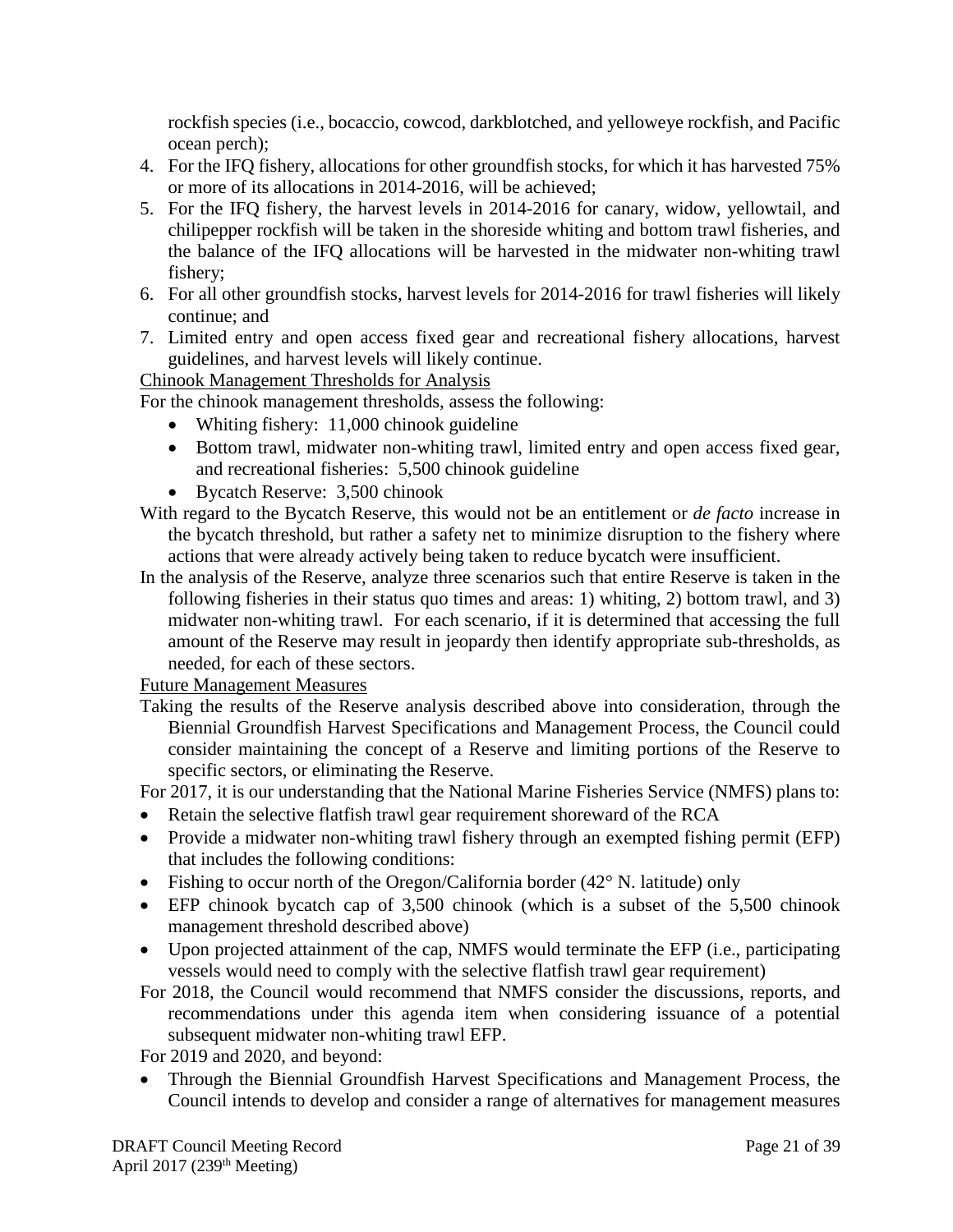rockfish species (i.e., bocaccio, cowcod, darkblotched, and yelloweye rockfish, and Pacific ocean perch);

- 4. For the IFQ fishery, allocations for other groundfish stocks, for which it has harvested 75% or more of its allocations in 2014-2016, will be achieved;
- 5. For the IFQ fishery, the harvest levels in 2014-2016 for canary, widow, yellowtail, and chilipepper rockfish will be taken in the shoreside whiting and bottom trawl fisheries, and the balance of the IFQ allocations will be harvested in the midwater non-whiting trawl fishery;
- 6. For all other groundfish stocks, harvest levels for 2014-2016 for trawl fisheries will likely continue; and
- 7. Limited entry and open access fixed gear and recreational fishery allocations, harvest guidelines, and harvest levels will likely continue.

# Chinook Management Thresholds for Analysis

For the chinook management thresholds, assess the following:

- Whiting fishery: 11,000 chinook guideline
- Bottom trawl, midwater non-whiting trawl, limited entry and open access fixed gear, and recreational fisheries: 5,500 chinook guideline
- Bycatch Reserve: 3,500 chinook
- With regard to the Bycatch Reserve, this would not be an entitlement or *de facto* increase in the bycatch threshold, but rather a safety net to minimize disruption to the fishery where actions that were already actively being taken to reduce bycatch were insufficient.
- In the analysis of the Reserve, analyze three scenarios such that entire Reserve is taken in the following fisheries in their status quo times and areas: 1) whiting, 2) bottom trawl, and 3) midwater non-whiting trawl. For each scenario, if it is determined that accessing the full amount of the Reserve may result in jeopardy then identify appropriate sub-thresholds, as needed, for each of these sectors.

Future Management Measures

Taking the results of the Reserve analysis described above into consideration, through the Biennial Groundfish Harvest Specifications and Management Process, the Council could consider maintaining the concept of a Reserve and limiting portions of the Reserve to specific sectors, or eliminating the Reserve.

For 2017, it is our understanding that the National Marine Fisheries Service (NMFS) plans to:

- Retain the selective flatfish trawl gear requirement shoreward of the RCA
- Provide a midwater non-whiting trawl fishery through an exempted fishing permit (EFP) that includes the following conditions:
- Fishing to occur north of the Oregon/California border (42° N. latitude) only
- EFP chinook bycatch cap of 3,500 chinook (which is a subset of the 5,500 chinook management threshold described above)
- Upon projected attainment of the cap, NMFS would terminate the EFP (i.e., participating vessels would need to comply with the selective flatfish trawl gear requirement)
- For 2018, the Council would recommend that NMFS consider the discussions, reports, and recommendations under this agenda item when considering issuance of a potential subsequent midwater non-whiting trawl EFP.

For 2019 and 2020, and beyond:

• Through the Biennial Groundfish Harvest Specifications and Management Process, the Council intends to develop and consider a range of alternatives for management measures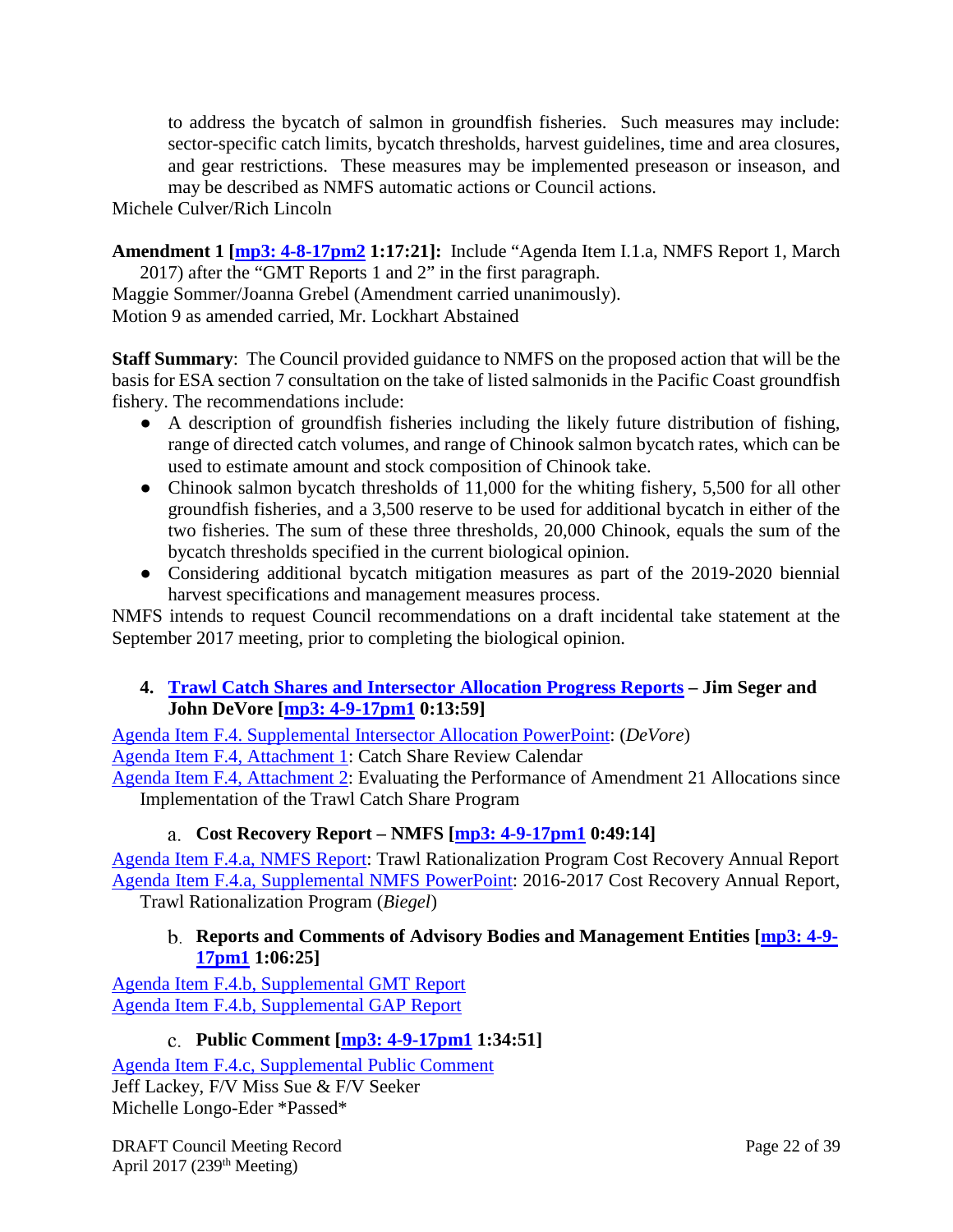to address the bycatch of salmon in groundfish fisheries. Such measures may include: sector-specific catch limits, bycatch thresholds, harvest guidelines, time and area closures, and gear restrictions. These measures may be implemented preseason or inseason, and may be described as NMFS automatic actions or Council actions.

Michele Culver/Rich Lincoln

**Amendment 1 [\[mp3: 4-8-17pm2](ftp://ftp.pcouncil.org/pub/R1704_April_2017_Recordings/4-8-17pm2Copy.mp3) 1:17:21]:** Include "Agenda Item I.1.a, NMFS Report 1, March 2017) after the "GMT Reports 1 and 2" in the first paragraph.

Maggie Sommer/Joanna Grebel (Amendment carried unanimously). Motion 9 as amended carried, Mr. Lockhart Abstained

**Staff Summary**: The Council provided guidance to NMFS on the proposed action that will be the basis for ESA section 7 consultation on the take of listed salmonids in the Pacific Coast groundfish fishery. The recommendations include:

- A description of groundfish fisheries including the likely future distribution of fishing, range of directed catch volumes, and range of Chinook salmon bycatch rates, which can be used to estimate amount and stock composition of Chinook take.
- Chinook salmon bycatch thresholds of 11,000 for the whiting fishery, 5,500 for all other groundfish fisheries, and a 3,500 reserve to be used for additional bycatch in either of the two fisheries. The sum of these three thresholds, 20,000 Chinook, equals the sum of the bycatch thresholds specified in the current biological opinion.
- Considering additional bycatch mitigation measures as part of the 2019-2020 biennial harvest specifications and management measures process.

NMFS intends to request Council recommendations on a draft incidental take statement at the September 2017 meeting, prior to completing the biological opinion.

# <span id="page-21-0"></span>**4. [Trawl Catch Shares and Intersector Allocation Progress Reports](http://www.pcouncil.org/wp-content/uploads/2017/03/F4__SitSum_CatchShare5YR_APR2017BB.pdf) – Jim Seger and John DeVore [\[mp3: 4-9-17pm1](ftp://ftp.pcouncil.org/pub/R1704_April_2017_Recordings/4-9-17pm1Copy.mp3) 0:13:59]**

[Agenda Item F.4. Supplemental Intersector Allocation PowerPoint:](http://www.pcouncil.org/wp-content/uploads/2017/04/F4__Sup_Intersector_Allocation_PPT_DEVO_APR2017BB.pdf) (*DeVore*) [Agenda Item F.4, Attachment 1:](http://www.pcouncil.org/wp-content/uploads/2017/03/F4_Att1_ReviewCalendar_APR2017BB.pdf) Catch Share Review Calendar

[Agenda Item F.4, Attachment 2:](http://www.pcouncil.org/wp-content/uploads/2017/03/F4_Att2_Am21Eval_Apr2017BB.pdf) Evaluating the Performance of Amendment 21 Allocations since Implementation of the Trawl Catch Share Program

# **Cost Recovery Report – NMFS [\[mp3: 4-9-17pm1](ftp://ftp.pcouncil.org/pub/R1704_April_2017_Recordings/4-9-17pm1Copy.mp3) 0:49:14]**

<span id="page-21-1"></span>[Agenda Item F.4.a, NMFS Report:](http://www.pcouncil.org/wp-content/uploads/2017/03/F4a_NMFS_Rpt_2016-2017_CR_annual_rpt_final_Apr2017BB.pdf) Trawl Rationalization Program Cost Recovery Annual Report [Agenda Item F.4.a, Supplemental NMFS PowerPoint:](http://www.pcouncil.org/wp-content/uploads/2017/04/F4a_Sup_NMFS_PPT_Cost_Recovery_Presentation_Biegel_APR2017BB.pdf) 2016-2017 Cost Recovery Annual Report, Trawl Rationalization Program (*Biegel*)

# <span id="page-21-2"></span>**Reports and Comments of Advisory Bodies and Management Entities [\[mp3: 4-9-](ftp://ftp.pcouncil.org/pub/R1704_April_2017_Recordings/4-9-17pm1Copy.mp3) [17pm1](ftp://ftp.pcouncil.org/pub/R1704_April_2017_Recordings/4-9-17pm1Copy.mp3) 1:06:25]**

[Agenda Item F.4.b, Supplemental GMT Report](http://www.pcouncil.org/wp-content/uploads/2017/04/F4b_Sup_GMT_Rpt_Apr2017BB.pdf) [Agenda Item F.4.b, Supplemental GAP Report](http://www.pcouncil.org/wp-content/uploads/2017/04/F4b_Sup_GAP_Rpt_Apr2017BB.pdf)

# **Public Comment [\[mp3: 4-9-17pm1](ftp://ftp.pcouncil.org/pub/R1704_April_2017_Recordings/4-9-17pm1Copy.mp3) 1:34:51]**

<span id="page-21-3"></span>[Agenda Item F.4.c, Supplemental Public Comment](http://www.pcouncil.org/wp-content/uploads/2017/03/F4c_Sup_PubCom_Apr2017BB.pdf) Jeff Lackey, F/V Miss Sue & F/V Seeker Michelle Longo-Eder \*Passed\*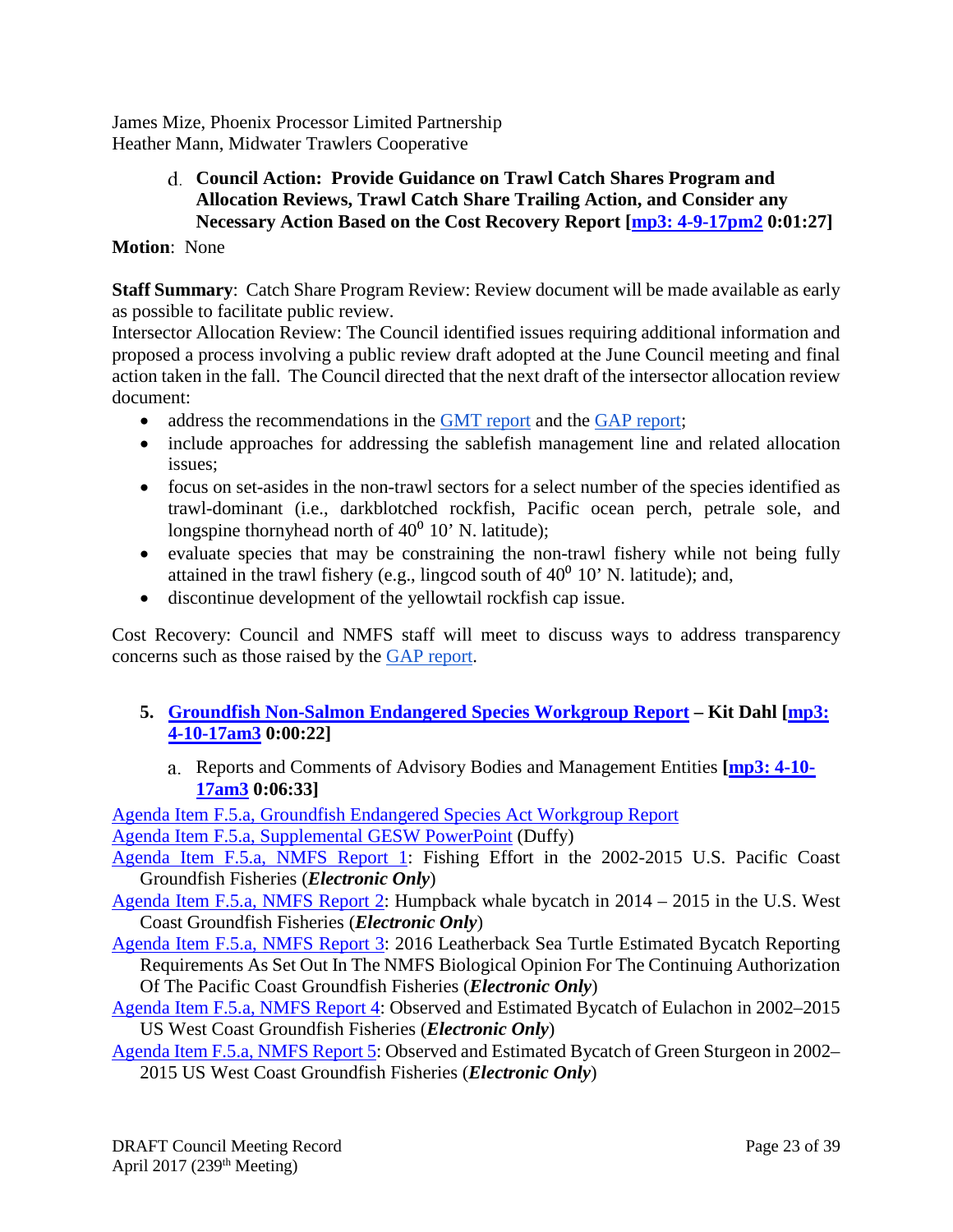<span id="page-22-0"></span>James Mize, Phoenix Processor Limited Partnership Heather Mann, Midwater Trawlers Cooperative

## **Council Action: Provide Guidance on Trawl Catch Shares Program and Allocation Reviews, Trawl Catch Share Trailing Action, and Consider any Necessary Action Based on the Cost Recovery Report [\[mp3: 4-9-17pm2](ftp://ftp.pcouncil.org/pub/R1704_April_2017_Recordings/4-9-17pm2Copy.mp3) 0:01:27]**

## **Motion**: None

**Staff Summary**: Catch Share Program Review: Review document will be made available as early as possible to facilitate public review.

Intersector Allocation Review: The Council identified issues requiring additional information and proposed a process involving a public review draft adopted at the June Council meeting and final action taken in the fall. The Council directed that the next draft of the intersector allocation review document:

- address the recommendations in the [GMT report](http://www.pcouncil.org/wp-content/uploads/2017/04/F4b_Sup_GMT_Rpt_Apr2017BB.pdf) and the [GAP report;](http://www.pcouncil.org/wp-content/uploads/2017/04/F4b_Sup_GAP_Rpt_Apr2017BB.pdf)
- include approaches for addressing the sablefish management line and related allocation issues;
- focus on set-asides in the non-trawl sectors for a select number of the species identified as trawl-dominant (i.e., darkblotched rockfish, Pacific ocean perch, petrale sole, and longspine thornyhead north of  $40^0$  10' N. latitude);
- evaluate species that may be constraining the non-trawl fishery while not being fully attained in the trawl fishery (e.g., lingcod south of  $40^0$  10' N. latitude); and,
- discontinue development of the yellowtail rockfish cap issue.

Cost Recovery: Council and NMFS staff will meet to discuss ways to address transparency concerns such as those raised by the [GAP report.](http://www.pcouncil.org/wp-content/uploads/2017/04/F4b_Sup_GAP_Rpt_Apr2017BB.pdf)

- <span id="page-22-2"></span><span id="page-22-1"></span>**5. [Groundfish Non-Salmon Endangered Species Workgroup Report](http://www.pcouncil.org/wp-content/uploads/2017/03/F5__SitSum_non-salmon_ESA_Apr2017BB.pdf) – Kit Dahl [\[mp3:](ftp://ftp.pcouncil.org/pub/R1704_April_2017_Recordings/4-10-17am3Copy.mp3)  [4-10-17am3](ftp://ftp.pcouncil.org/pub/R1704_April_2017_Recordings/4-10-17am3Copy.mp3) 0:00:22]**
	- Reports and Comments of Advisory Bodies and Management Entities **[\[mp3: 4-10-](ftp://ftp.pcouncil.org/pub/R1704_April_2017_Recordings/4-10-17am3Copy.mp3) [17am3](ftp://ftp.pcouncil.org/pub/R1704_April_2017_Recordings/4-10-17am3Copy.mp3) 0:06:33]**

[Agenda Item F.5.a, Groundfish Endangered Species Act Workgroup Report](http://www.pcouncil.org/wp-content/uploads/2017/03/F5a_ESA_Workgroup_Rpt_3-17-2017_Apr2017BB.pdf) [Agenda Item F.5.a, Supplemental GESW PowerPoint](http://www.pcouncil.org/wp-content/uploads/2017/04/F5a_Sup_GESW_PPT_Duffy_APR2017BB.pdf) (Duffy)

[Agenda Item F.5.a, NMFS Report 1:](http://www.pcouncil.org/wp-content/uploads/2017/03/F5a_NMFS_Rpt1_ElectricOnly_FishingEffort_rpt_2017_Apr2017BB.pdf) Fishing Effort in the 2002-2015 U.S. Pacific Coast Groundfish Fisheries (*Electronic Only*)

[Agenda Item F.5.a, NMFS Report 2:](http://www.pcouncil.org/wp-content/uploads/2017/03/F5a_NMFS_Rpt2_ElectricOnly_Humpback_bycatch_rpt_2017_Apr2017BB.pdf) Humpback whale bycatch in 2014 – 2015 in the U.S. West Coast Groundfish Fisheries (*Electronic Only*)

- [Agenda Item F.5.a, NMFS Report 3:](http://www.pcouncil.org/wp-content/uploads/2017/03/F5a_NMFS_Rpt3_ElectricOnly_Leatherback_Turtle_rpt_2017_Apr2017BB.pdf) 2016 Leatherback Sea Turtle Estimated Bycatch Reporting Requirements As Set Out In The NMFS Biological Opinion For The Continuing Authorization Of The Pacific Coast Groundfish Fisheries (*Electronic Only*)
- [Agenda Item F.5.a, NMFS Report 4:](http://www.pcouncil.org/wp-content/uploads/2017/03/F5a_NMFS_Rpt4_ElectricOnly_Eulachon_bycatch_rpt_2017_Apr2017BB.pdf) Observed and Estimated Bycatch of Eulachon in 2002–2015 US West Coast Groundfish Fisheries (*Electronic Only*)
- [Agenda Item F.5.a, NMFS Report 5:](http://www.pcouncil.org/wp-content/uploads/2017/03/F5a_NMFS_Rpt5_ElectricOnly_Green_Sturgeon_Bycatch_rpt_2017_Apr2017BB.pdf) Observed and Estimated Bycatch of Green Sturgeon in 2002– 2015 US West Coast Groundfish Fisheries (*Electronic Only*)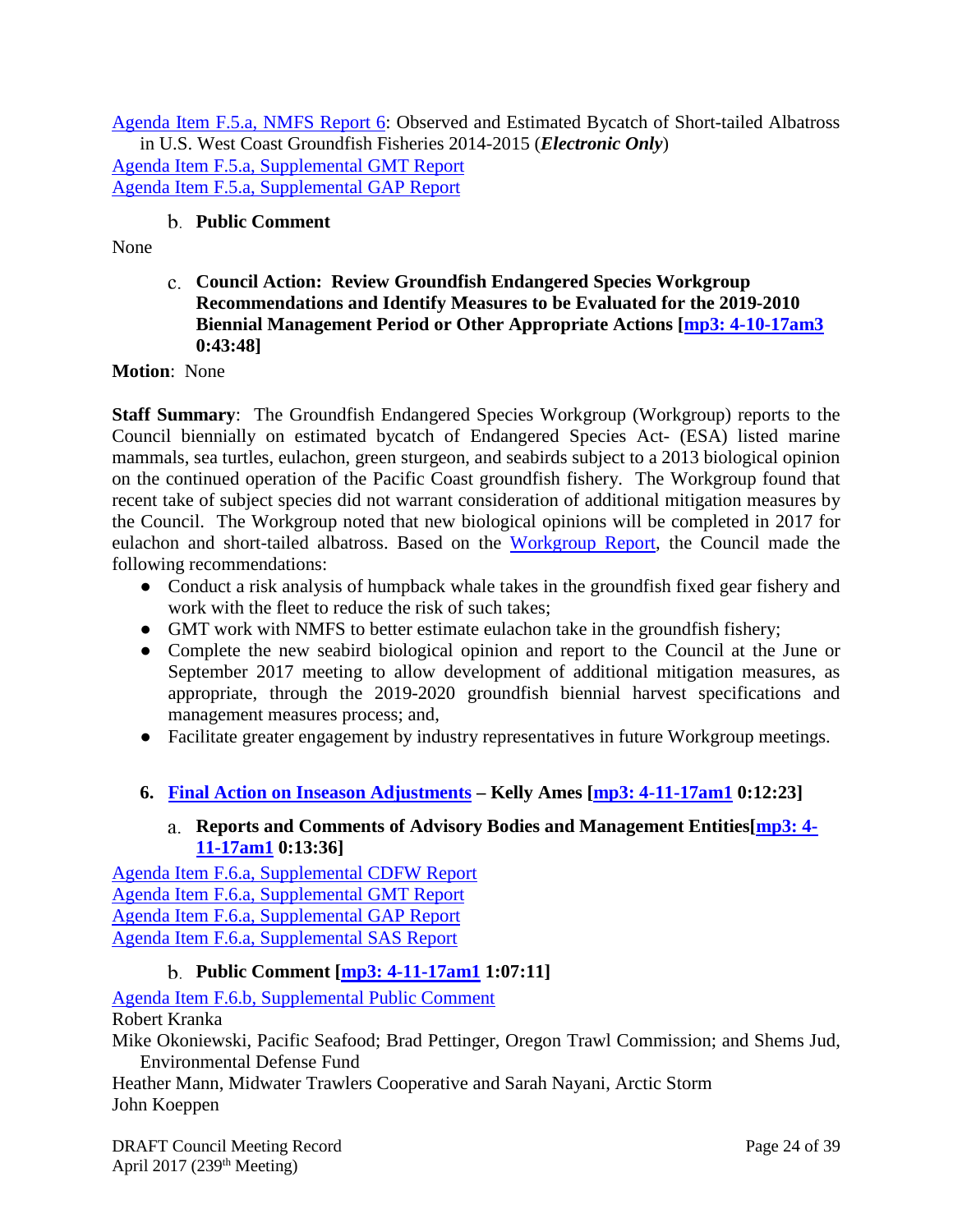[Agenda Item F.5.a, NMFS Report 6:](http://www.pcouncil.org/wp-content/uploads/2017/03/F5a_NMFS_Rpt6_ElectricOnly_STAL_bycatch_report_2017_Apr2017BB.pdf) Observed and Estimated Bycatch of Short-tailed Albatross in U.S. West Coast Groundfish Fisheries 2014-2015 (*Electronic Only*) [Agenda Item F.5.a, Supplemental GMT Report](http://www.pcouncil.org/wp-content/uploads/2017/04/F5a_Sup_GMT_Rpt_Apr2017BB.pdf) [Agenda Item F.5.a, Supplemental GAP Report](http://www.pcouncil.org/wp-content/uploads/2017/04/F5a_Sup_GAP_Rpt_Apr2017BB.pdf)

# **Public Comment**

<span id="page-23-1"></span><span id="page-23-0"></span>None

# **Council Action: Review Groundfish Endangered Species Workgroup Recommendations and Identify Measures to be Evaluated for the 2019-2010 Biennial Management Period or Other Appropriate Actions [\[mp3: 4-10-17am3](ftp://ftp.pcouncil.org/pub/R1704_April_2017_Recordings/4-10-17am3Copy.mp3) 0:43:48]**

**Motion**: None

**Staff Summary**: The Groundfish Endangered Species Workgroup (Workgroup) reports to the Council biennially on estimated bycatch of Endangered Species Act- (ESA) listed marine mammals, sea turtles, eulachon, green sturgeon, and seabirds subject to a 2013 biological opinion on the continued operation of the Pacific Coast groundfish fishery. The Workgroup found that recent take of subject species did not warrant consideration of additional mitigation measures by the Council. The Workgroup noted that new biological opinions will be completed in 2017 for eulachon and short-tailed albatross. Based on the [Workgroup Report,](http://www.pcouncil.org/wp-content/uploads/2017/03/F5a_ESA_Workgroup_Rpt_3-17-2017_Apr2017BB.pdf) the Council made the following recommendations:

- Conduct a risk analysis of humpback whale takes in the groundfish fixed gear fishery and work with the fleet to reduce the risk of such takes;
- GMT work with NMFS to better estimate eulachon take in the groundfish fishery;
- Complete the new seabird biological opinion and report to the Council at the June or September 2017 meeting to allow development of additional mitigation measures, as appropriate, through the 2019-2020 groundfish biennial harvest specifications and management measures process; and,
- Facilitate greater engagement by industry representatives in future Workgroup meetings.
- <span id="page-23-3"></span><span id="page-23-2"></span>**6. [Final Action on Inseason Adjustments](http://www.pcouncil.org/wp-content/uploads/2017/03/F6__SitSum_Inseason_Apr2017BB.pdf) – Kelly Ames [\[mp3: 4-11-17am1](ftp://ftp.pcouncil.org/pub/R1704_April_2017_Recordings/4-11-17am1Copy.mp3) 0:12:23]**

# **Reports and Comments of Advisory Bodies and Management Entities[\[mp3: 4-](ftp://ftp.pcouncil.org/pub/R1704_April_2017_Recordings/4-11-17am1Copy.mp3) [11-17am1](ftp://ftp.pcouncil.org/pub/R1704_April_2017_Recordings/4-11-17am1Copy.mp3) 0:13:36]**

[Agenda Item F.6.a, Supplemental CDFW Report](http://www.pcouncil.org/wp-content/uploads/2017/04/F6a_Sup_CDFW_Rpt_Apr2017BB.pdf) [Agenda Item F.6.a, Supplemental GMT Report](http://www.pcouncil.org/wp-content/uploads/2017/04/F6a_Sup_GMT_Rpt_Apr2017BB.pdf) [Agenda Item F.6.a, Supplemental GAP Report](http://www.pcouncil.org/wp-content/uploads/2017/04/F6a_Sup_GAP_Rpt_Apr2017BB.pdf) [Agenda Item F.6.a, Supplemental SAS Report](http://www.pcouncil.org/wp-content/uploads/2017/04/F6a_Sup_SAS_Rpt_Apr2017BB.pdf)

# **Public Comment [\[mp3: 4-11-17am1](ftp://ftp.pcouncil.org/pub/R1704_April_2017_Recordings/4-11-17am1Copy.mp3) 1:07:11]**

<span id="page-23-4"></span>[Agenda Item F.6.b, Supplemental Public Comment](http://www.pcouncil.org/wp-content/uploads/2017/03/F6b_Sup_PubCom_Apr2017BB.pdf) Robert Kranka

Mike Okoniewski, Pacific Seafood; Brad Pettinger, Oregon Trawl Commission; and Shems Jud, Environmental Defense Fund

Heather Mann, Midwater Trawlers Cooperative and Sarah Nayani, Arctic Storm John Koeppen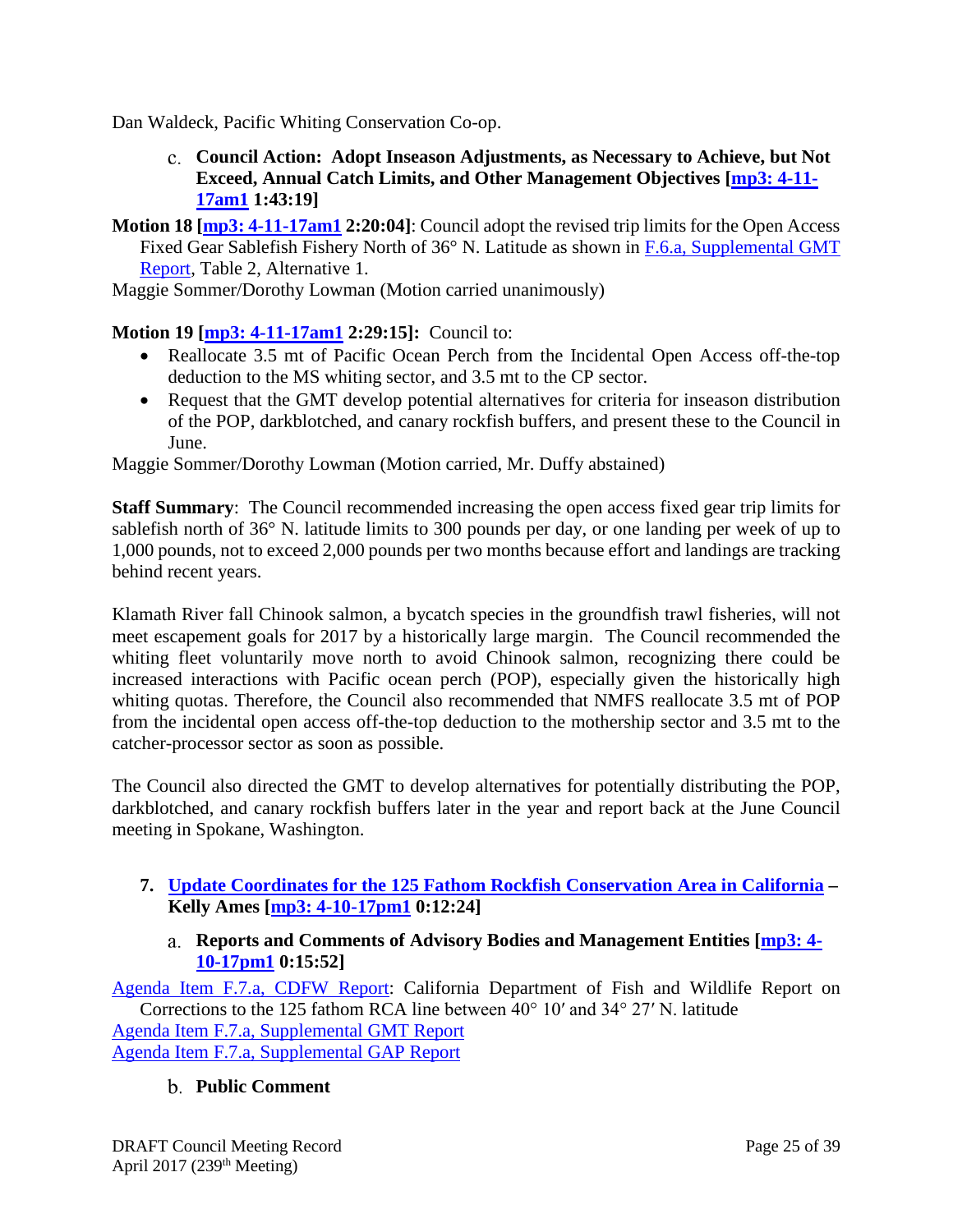<span id="page-24-0"></span>Dan Waldeck, Pacific Whiting Conservation Co-op.

- **Council Action: Adopt Inseason Adjustments, as Necessary to Achieve, but Not Exceed, Annual Catch Limits, and Other Management Objectives [\[mp3: 4-11-](ftp://ftp.pcouncil.org/pub/R1704_April_2017_Recordings/4-11-17am1Copy.mp3) [17am1](ftp://ftp.pcouncil.org/pub/R1704_April_2017_Recordings/4-11-17am1Copy.mp3) 1:43:19]**
- **Motion 18 [\[mp3: 4-11-17am1](ftp://ftp.pcouncil.org/pub/R1704_April_2017_Recordings/4-11-17am1Copy.mp3) 2:20:04]**: Council adopt the revised trip limits for the Open Access Fixed Gear Sablefish Fishery North of 36° N. Latitude as shown in F.6.a, [Supplemental GMT](http://www.pcouncil.org/wp-content/uploads/2017/04/F6a_Sup_GMT_Rpt_Apr2017BB.pdf)  [Report,](http://www.pcouncil.org/wp-content/uploads/2017/04/F6a_Sup_GMT_Rpt_Apr2017BB.pdf) Table 2, Alternative 1.

Maggie Sommer/Dorothy Lowman (Motion carried unanimously)

# **Motion 19 [\[mp3: 4-11-17am1](ftp://ftp.pcouncil.org/pub/R1704_April_2017_Recordings/4-11-17am1Copy.mp3) 2:29:15]:** Council to:

- Reallocate 3.5 mt of Pacific Ocean Perch from the Incidental Open Access off-the-top deduction to the MS whiting sector, and 3.5 mt to the CP sector.
- Request that the GMT develop potential alternatives for criteria for inseason distribution of the POP, darkblotched, and canary rockfish buffers, and present these to the Council in June.

Maggie Sommer/Dorothy Lowman (Motion carried, Mr. Duffy abstained)

**Staff Summary**: The Council recommended increasing the open access fixed gear trip limits for sablefish north of 36° N. latitude limits to 300 pounds per day, or one landing per week of up to 1,000 pounds, not to exceed 2,000 pounds per two months because effort and landings are tracking behind recent years.

Klamath River fall Chinook salmon, a bycatch species in the groundfish trawl fisheries, will not meet escapement goals for 2017 by a historically large margin. The Council recommended the whiting fleet voluntarily move north to avoid Chinook salmon, recognizing there could be increased interactions with Pacific ocean perch (POP), especially given the historically high whiting quotas. Therefore, the Council also recommended that NMFS reallocate 3.5 mt of POP from the incidental open access off-the-top deduction to the mothership sector and 3.5 mt to the catcher-processor sector as soon as possible.

The Council also directed the GMT to develop alternatives for potentially distributing the POP, darkblotched, and canary rockfish buffers later in the year and report back at the June Council meeting in Spokane, Washington.

- <span id="page-24-2"></span><span id="page-24-1"></span>**7. [Update Coordinates for the 125 Fathom Rockfish Conservation Area in California](http://www.pcouncil.org/wp-content/uploads/2017/03/F7__SitSum_RCACords_Apr2017BB.pdf) – Kelly Ames [\[mp3: 4-10-17pm1](ftp://ftp.pcouncil.org/pub/R1704_April_2017_Recordings/4-10-17pm1Copy.mp3) 0:12:24]**
	- **Reports and Comments of Advisory Bodies and Management Entities [\[mp3: 4-](ftp://ftp.pcouncil.org/pub/R1704_April_2017_Recordings/4-10-17pm1Copy.mp3) [10-17pm1](ftp://ftp.pcouncil.org/pub/R1704_April_2017_Recordings/4-10-17pm1Copy.mp3) 0:15:52]**

[Agenda Item F.7.a, CDFW Report:](http://www.pcouncil.org/wp-content/uploads/2017/03/F7a_CDFW_Rpt_Apr2017BB.pdf) California Department of Fish and Wildlife Report on Corrections to the 125 fathom RCA line between 40° 10′ and 34° 27′ N. latitude [Agenda Item F.7.a, Supplemental GMT Report](http://www.pcouncil.org/wp-content/uploads/2017/04/F7a_Sup_GMT_Rpt_Apr2017BB.pdf) [Agenda Item F.7.a, Supplemental GAP Report](http://www.pcouncil.org/wp-content/uploads/2017/04/F7a_Sup_GAP_Rpt_Apr2017BB.pdf)

# <span id="page-24-3"></span>**Public Comment**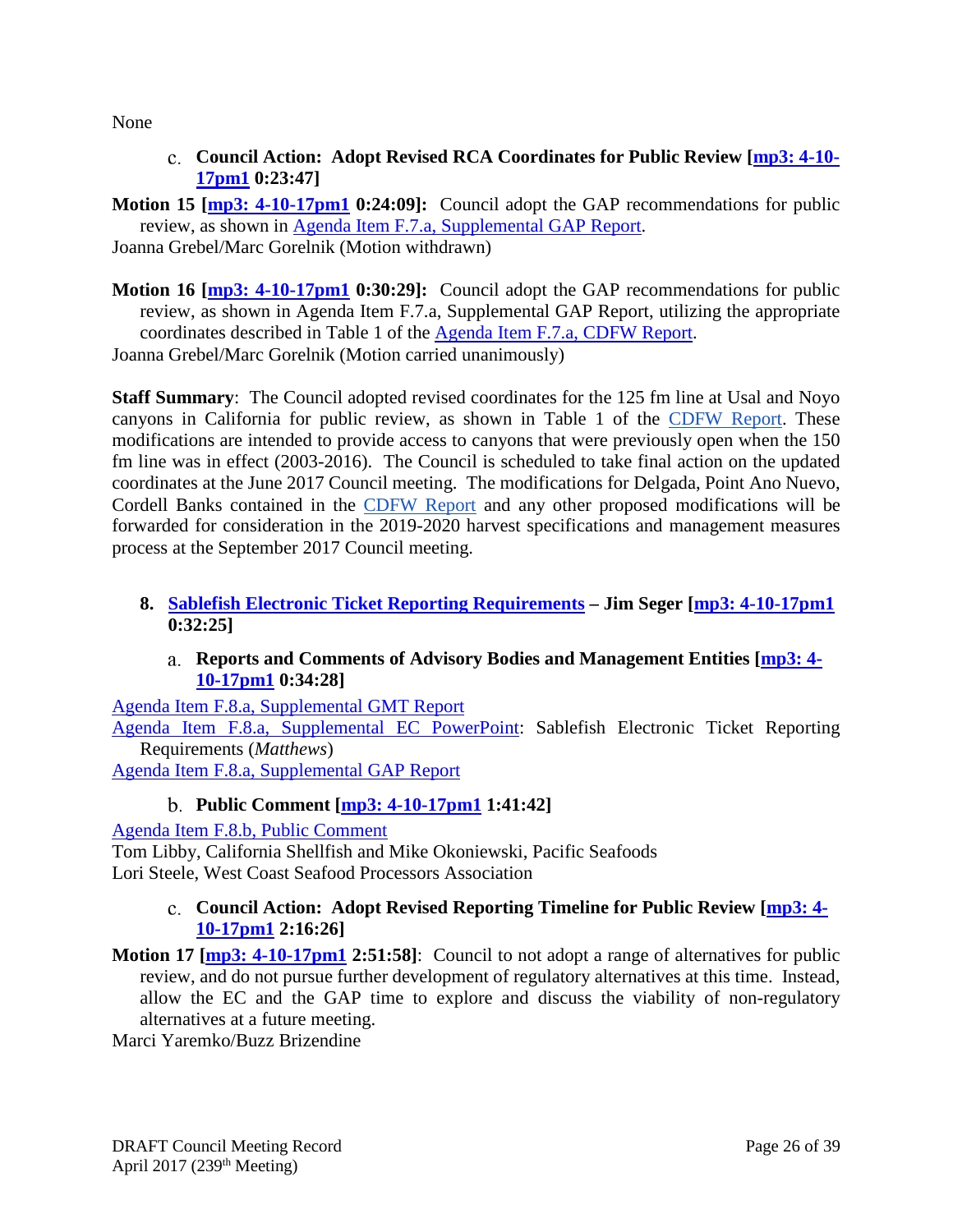<span id="page-25-0"></span>None

**Council Action: Adopt Revised RCA Coordinates for Public Review [\[mp3: 4-10-](ftp://ftp.pcouncil.org/pub/R1704_April_2017_Recordings/4-10-17pm1Copy.mp3) [17pm1](ftp://ftp.pcouncil.org/pub/R1704_April_2017_Recordings/4-10-17pm1Copy.mp3) 0:23:47]**

**Motion 15 [\[mp3: 4-10-17pm1](ftp://ftp.pcouncil.org/pub/R1704_April_2017_Recordings/4-10-17pm1Copy.mp3) 0:24:09]:** Council adopt the GAP recommendations for public review, as shown in [Agenda Item F.7.a, Supplemental GAP Report.](http://www.pcouncil.org/wp-content/uploads/2017/04/F7a_Sup_GAP_Rpt_Apr2017BB.pdf)

Joanna Grebel/Marc Gorelnik (Motion withdrawn)

**Motion 16 [\[mp3: 4-10-17pm1](ftp://ftp.pcouncil.org/pub/R1704_April_2017_Recordings/4-10-17pm1Copy.mp3) 0:30:29]:** Council adopt the GAP recommendations for public review, as shown in Agenda Item F.7.a, Supplemental GAP Report, utilizing the appropriate coordinates described in Table 1 of the [Agenda Item F.7.a,](http://www.pcouncil.org/wp-content/uploads/2017/03/F7a_CDFW_Rpt_Apr2017BB.pdf) CDFW Report. Joanna Grebel/Marc Gorelnik (Motion carried unanimously)

**Staff Summary**: The Council adopted revised coordinates for the 125 fm line at Usal and Noyo canyons in California for public review, as shown in Table 1 of the [CDFW Report.](http://www.pcouncil.org/wp-content/uploads/2017/03/F7a_CDFW_Rpt_Apr2017BB.pdf) These modifications are intended to provide access to canyons that were previously open when the 150 fm line was in effect (2003-2016). The Council is scheduled to take final action on the updated coordinates at the June 2017 Council meeting. The modifications for Delgada, Point Ano Nuevo, Cordell Banks contained in the [CDFW Report](http://www.pcouncil.org/wp-content/uploads/2017/03/F7a_CDFW_Rpt_Apr2017BB.pdf) and any other proposed modifications will be forwarded for consideration in the 2019-2020 harvest specifications and management measures process at the September 2017 Council meeting.

- <span id="page-25-2"></span><span id="page-25-1"></span>**8. [Sablefish Electronic Ticket Reporting Requirements](http://www.pcouncil.org/wp-content/uploads/2017/03/F8__SitSum_Sablefish_ETix_APR2017BB.pdf) – Jim Seger [\[mp3: 4-10-17pm1](ftp://ftp.pcouncil.org/pub/R1704_April_2017_Recordings/4-10-17pm1Copy.mp3) 0:32:25]**
	- **Reports and Comments of Advisory Bodies and Management Entities [\[mp3: 4-](ftp://ftp.pcouncil.org/pub/R1704_April_2017_Recordings/4-10-17pm1Copy.mp3) [10-17pm1](ftp://ftp.pcouncil.org/pub/R1704_April_2017_Recordings/4-10-17pm1Copy.mp3) 0:34:28]**

[Agenda Item F.8.a, Supplemental GMT Report](http://www.pcouncil.org/wp-content/uploads/2017/04/F8a_Sup_GMT_Rpt_Apr2017BB.pdf) [Agenda Item F.8.a, Supplemental EC PowerPoint:](http://www.pcouncil.org/wp-content/uploads/2017/04/F8a_Sup_EC_PPT_Matthews_APR2017BB.pdf) Sablefish Electronic Ticket Reporting Requirements (*Matthews*)

<span id="page-25-3"></span>[Agenda Item F.8.a, Supplemental GAP Report](http://www.pcouncil.org/wp-content/uploads/2017/04/F8a_Sup_GAP_Rpt_Apr2017BB.pdf)

# **Public Comment [\[mp3: 4-10-17pm1](ftp://ftp.pcouncil.org/pub/R1704_April_2017_Recordings/4-10-17pm1Copy.mp3) 1:41:42]**

[Agenda Item F.8.b, Public Comment](http://www.pcouncil.org/wp-content/uploads/2017/03/F8b_PubCom_Apr2017BB.pdf)

<span id="page-25-4"></span>Tom Libby, California Shellfish and Mike Okoniewski, Pacific Seafoods Lori Steele, West Coast Seafood Processors Association

# **Council Action: Adopt Revised Reporting Timeline for Public Review [\[mp3: 4-](ftp://ftp.pcouncil.org/pub/R1704_April_2017_Recordings/4-10-17pm1Copy.mp3) [10-17pm1](ftp://ftp.pcouncil.org/pub/R1704_April_2017_Recordings/4-10-17pm1Copy.mp3) 2:16:26]**

**Motion 17 [\[mp3: 4-10-17pm1](ftp://ftp.pcouncil.org/pub/R1704_April_2017_Recordings/4-10-17pm1Copy.mp3) 2:51:58]**: Council to not adopt a range of alternatives for public review, and do not pursue further development of regulatory alternatives at this time. Instead, allow the EC and the GAP time to explore and discuss the viability of non-regulatory alternatives at a future meeting.

Marci Yaremko/Buzz Brizendine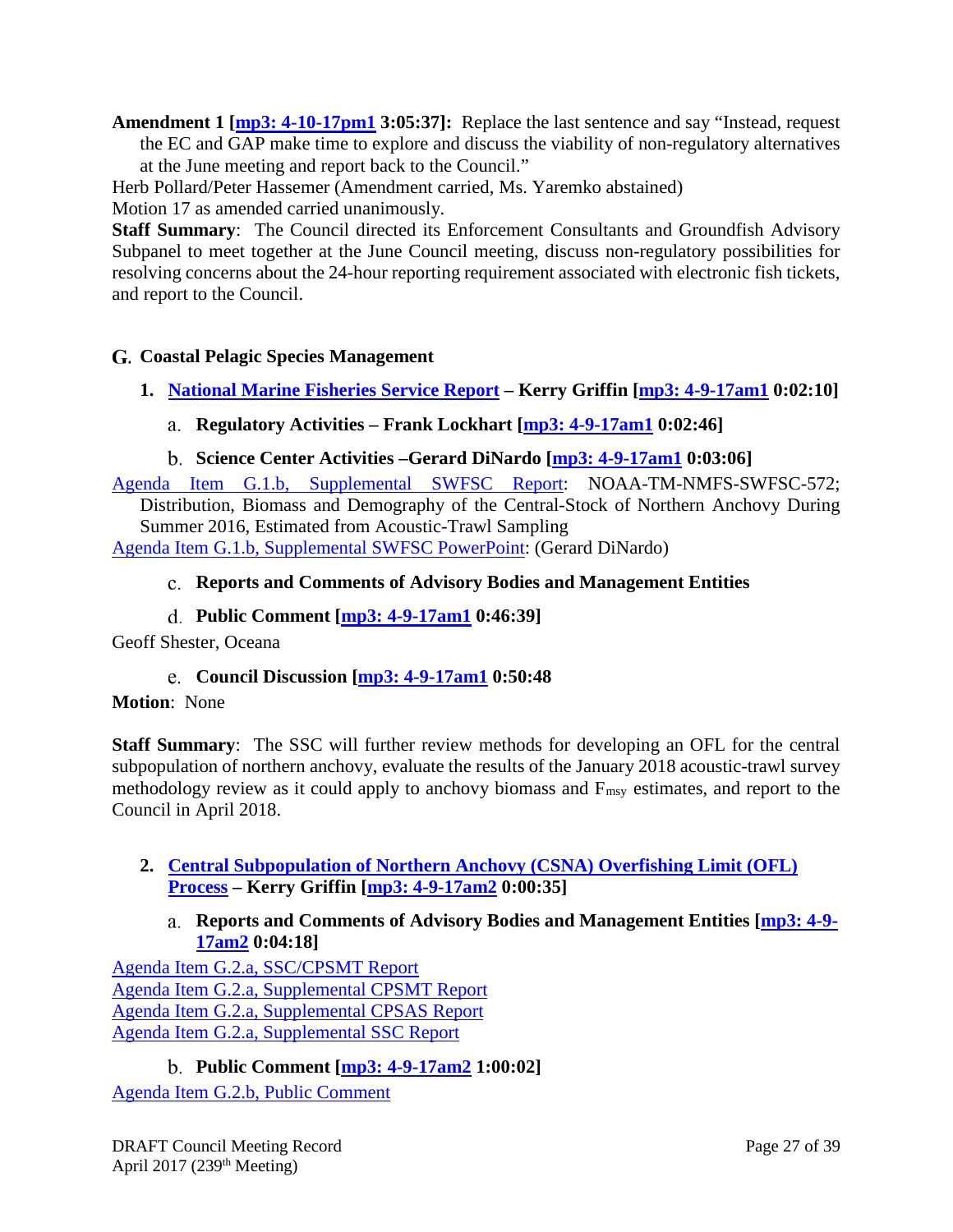**Amendment 1 [\[mp3: 4-10-17pm1](ftp://ftp.pcouncil.org/pub/R1704_April_2017_Recordings/4-10-17pm1Copy.mp3) 3:05:37]:** Replace the last sentence and say "Instead, request the EC and GAP make time to explore and discuss the viability of non-regulatory alternatives at the June meeting and report back to the Council."

Herb Pollard/Peter Hassemer (Amendment carried, Ms. Yaremko abstained)

Motion 17 as amended carried unanimously.

**Staff Summary**: The Council directed its Enforcement Consultants and Groundfish Advisory Subpanel to meet together at the June Council meeting, discuss non-regulatory possibilities for resolving concerns about the 24-hour reporting requirement associated with electronic fish tickets, and report to the Council.

# <span id="page-26-0"></span>**Coastal Pelagic Species Management**

- <span id="page-26-2"></span><span id="page-26-1"></span>**1. [National Marine Fisheries Service Report](http://www.pcouncil.org/wp-content/uploads/2017/03/G1__Sitsum_NMFS_Report.pdf) – Kerry Griffin [\[mp3: 4-9-17am1](ftp://ftp.pcouncil.org/pub/R1704_April_2017_Recordings/4-9-17am1Copy.mp3) 0:02:10]**
	- **Regulatory Activities – Frank Lockhart [\[mp3: 4-9-17am1](ftp://ftp.pcouncil.org/pub/R1704_April_2017_Recordings/4-9-17am1Copy.mp3) 0:02:46]**
	- **Science Center Activities –Gerard DiNardo [\[mp3: 4-9-17am1](ftp://ftp.pcouncil.org/pub/R1704_April_2017_Recordings/4-9-17am1Copy.mp3) 0:03:06]**

<span id="page-26-3"></span>[Agenda Item G.1.b, Supplemental SWFSC Report:](http://www.pcouncil.org/wp-content/uploads/2017/04/G1b_Sup_SWFSC_Rpt_Apr2017BB.pdf) NOAA-TM-NMFS-SWFSC-572; Distribution, Biomass and Demography of the Central-Stock of Northern Anchovy During

<span id="page-26-4"></span>Summer 2016, Estimated from Acoustic-Trawl Sampling [Agenda Item G.1.b, Supplemental SWFSC PowerPoint:](http://www.pcouncil.org/wp-content/uploads/2017/04/G1b_Sup_SWFSC_Rpt_Gerard_PPT_APR2017BB.pdf) (Gerard DiNardo)

- **Reports and Comments of Advisory Bodies and Management Entities**
- **Public Comment [\[mp3: 4-9-17am1](ftp://ftp.pcouncil.org/pub/R1704_April_2017_Recordings/4-9-17am1Copy.mp3) 0:46:39]**

<span id="page-26-6"></span><span id="page-26-5"></span>Geoff Shester, Oceana

**Council Discussion [\[mp3: 4-9-17am1](ftp://ftp.pcouncil.org/pub/R1704_April_2017_Recordings/4-9-17am1Copy.mp3) 0:50:48**

# **Motion**: None

**Staff Summary**: The SSC will further review methods for developing an OFL for the central subpopulation of northern anchovy, evaluate the results of the January 2018 acoustic-trawl survey methodology review as it could apply to anchovy biomass and Fmsy estimates, and report to the Council in April 2018.

# <span id="page-26-7"></span>**2. [Central Subpopulation of Northern Anchovy \(CSNA\) Overfishing Limit \(OFL\)](http://www.pcouncil.org/wp-content/uploads/2017/03/G2__SitSum_CSNA_OFL_Apr2017BB.pdf)  [Process](http://www.pcouncil.org/wp-content/uploads/2017/03/G2__SitSum_CSNA_OFL_Apr2017BB.pdf) – Kerry Griffin [\[mp3: 4-9-17am2](ftp://ftp.pcouncil.org/pub/R1704_April_2017_Recordings/4-9-17am2Copy.mp3) 0:00:35]**

**Reports and Comments of Advisory Bodies and Management Entities [\[mp3: 4-9-](ftp://ftp.pcouncil.org/pub/R1704_April_2017_Recordings/4-9-17am2Copy.mp3) [17am2](ftp://ftp.pcouncil.org/pub/R1704_April_2017_Recordings/4-9-17am2Copy.mp3) 0:04:18]**

<span id="page-26-8"></span>[Agenda Item G.2.a, SSC/CPSMT Report](http://www.pcouncil.org/wp-content/uploads/2017/03/G2a_SSCandCPSMT_Rpt_Apr2017BB.pdf) [Agenda Item G.2.a, Supplemental CPSMT Report](http://www.pcouncil.org/wp-content/uploads/2017/04/G2a_Sup_CPSMT_Rpt_Apr2017BB.pdf) [Agenda Item G.2.a, Supplemental CPSAS Report](http://www.pcouncil.org/wp-content/uploads/2017/04/G2a_Sup_CPSAS_Rpt_Apr2017BB.pdf) [Agenda Item G.2.a, Supplemental SSC Report](http://www.pcouncil.org/wp-content/uploads/2017/04/G2a_Sup_SSC_AnchovyOFL_Apr2017BB.pdf)

# **Public Comment [\[mp3: 4-9-17am2](ftp://ftp.pcouncil.org/pub/R1704_April_2017_Recordings/4-9-17am2Copy.mp3) 1:00:02]**

<span id="page-26-9"></span>[Agenda Item G.2.b, Public Comment](http://www.pcouncil.org/wp-content/uploads/2017/03/G2b_PubComnt_Apr2017BB.pdf)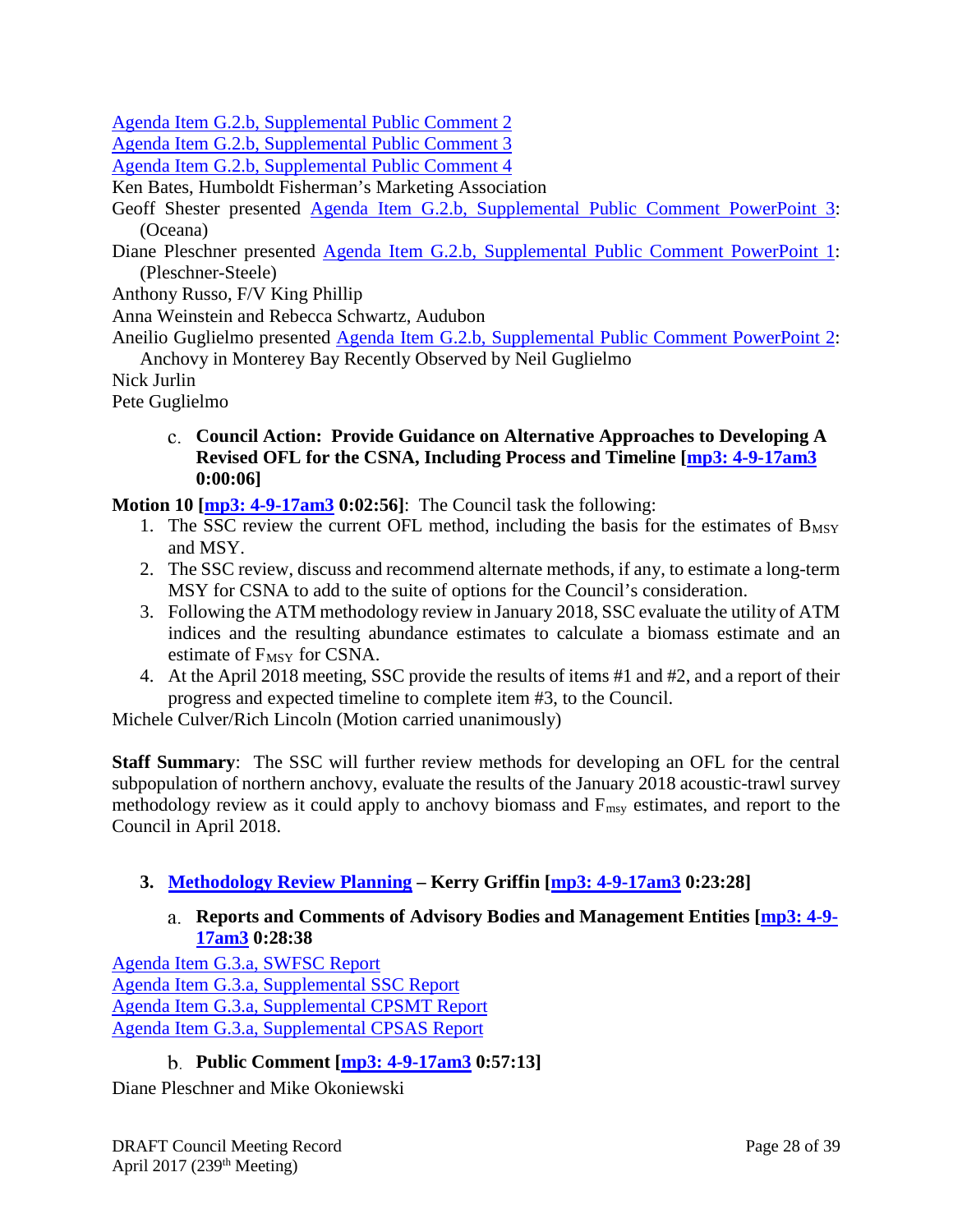[Agenda Item G.2.b, Supplemental Public Comment 2](http://www.pcouncil.org/wp-content/uploads/2017/03/G2b_Sup_PubComnt2_Apr2017BB.pdf)

[Agenda Item G.2.b, Supplemental Public Comment 3](http://www.pcouncil.org/wp-content/uploads/2017/04/G2b_Sup_PubComnt3_Apr2017BB.pdf)

[Agenda Item G.2.b, Supplemental Public Comment 4](http://www.pcouncil.org/wp-content/uploads/2017/04/G2b_Sup_PubComnt4_Apr2017BB.pdf)

Ken Bates, Humboldt Fisherman's Marketing Association

Geoff Shester presented [Agenda Item G.2.b, Supplemental Public Comment PowerPoint 3:](http://www.pcouncil.org/wp-content/uploads/2017/04/G2b_Sup_PubCom_PPT3_Oceana_Apr2017BB.pdf) (Oceana)

Diane Pleschner presented [Agenda Item G.2.b, Supplemental Public Comment PowerPoint 1:](ftp://ftp.pcouncil.org/pub/Briefing%20Books/Briefing_Books/BB_0417/G_Coastal_Pelagic_Species_Management_Apr2017/G2b_Sup_PubCom_PPT1_Pleschner_Steele_APR2017BB.ppsx) (Pleschner-Steele)

Anthony Russo, F/V King Phillip

Anna Weinstein and Rebecca Schwartz, Audubon

Aneilio Guglielmo presented [Agenda Item G.2.b, Supplemental Public Comment PowerPoint 2:](http://www.pcouncil.org/wp-content/uploads/2017/04/G2b_Sup_PubCom_PPT2_Guglielmo_Anchovy_APR2017BB.ppsx) Anchovy in Monterey Bay Recently Observed by Neil Guglielmo

Nick Jurlin

<span id="page-27-0"></span>Pete Guglielmo

**Council Action: Provide Guidance on Alternative Approaches to Developing A Revised OFL for the CSNA, Including Process and Timeline [\[mp3: 4-9-17am3](ftp://ftp.pcouncil.org/pub/R1704_April_2017_Recordings/4-9-17am3Copy.mp3) 0:00:06]**

**Motion 10 [\[mp3: 4-9-17am3](ftp://ftp.pcouncil.org/pub/R1704_April_2017_Recordings/4-9-17am3Copy.mp3) 0:02:56]**: The Council task the following:

- 1. The SSC review the current OFL method, including the basis for the estimates of  $B_{MSY}$ and MSY.
- 2. The SSC review, discuss and recommend alternate methods, if any, to estimate a long-term MSY for CSNA to add to the suite of options for the Council's consideration.
- 3. Following the ATM methodology review in January 2018, SSC evaluate the utility of ATM indices and the resulting abundance estimates to calculate a biomass estimate and an estimate of  $F_{MSY}$  for CSNA.
- 4. At the April 2018 meeting, SSC provide the results of items #1 and #2, and a report of their progress and expected timeline to complete item #3, to the Council.

Michele Culver/Rich Lincoln (Motion carried unanimously)

**Staff Summary**: The SSC will further review methods for developing an OFL for the central subpopulation of northern anchovy, evaluate the results of the January 2018 acoustic-trawl survey methodology review as it could apply to anchovy biomass and Fmsy estimates, and report to the Council in April 2018.

# <span id="page-27-2"></span><span id="page-27-1"></span>**3. [Methodology Review Planning](http://www.pcouncil.org/wp-content/uploads/2017/03/G3__SitSum_CPS_Meth_Review_Apr2017BB.pdf) – Kerry Griffin [\[mp3: 4-9-17am3](ftp://ftp.pcouncil.org/pub/R1704_April_2017_Recordings/4-9-17am3Copy.mp3) 0:23:28]**

# **Reports and Comments of Advisory Bodies and Management Entities [\[mp3: 4-9-](ftp://ftp.pcouncil.org/pub/R1704_April_2017_Recordings/4-9-17am3Copy.mp3) [17am3](ftp://ftp.pcouncil.org/pub/R1704_April_2017_Recordings/4-9-17am3Copy.mp3) 0:28:38**

[Agenda Item G.3.a, SWFSC Report](http://www.pcouncil.org/wp-content/uploads/2017/03/G3a_SWFSC_Rpt_Apr2017BB.pdf) [Agenda Item G.3.a, Supplemental SSC Report](http://www.pcouncil.org/wp-content/uploads/2017/04/G3a_Sup_SSC_CPSmethodology_Apr2017BB.pdf) [Agenda Item G.3.a, Supplemental CPSMT Report](http://www.pcouncil.org/wp-content/uploads/2017/04/G3a_Sup_CPSMT_Rpt_Apr2017BB.pdf) [Agenda Item G.3.a, Supplemental CPSAS Report](http://www.pcouncil.org/wp-content/uploads/2017/04/G3a_Sup_CPSAS_Rpt_Apr2017BB.pdf)

# **Public Comment [\[mp3: 4-9-17am3](ftp://ftp.pcouncil.org/pub/R1704_April_2017_Recordings/4-9-17am3Copy.mp3) 0:57:13]**

<span id="page-27-3"></span>Diane Pleschner and Mike Okoniewski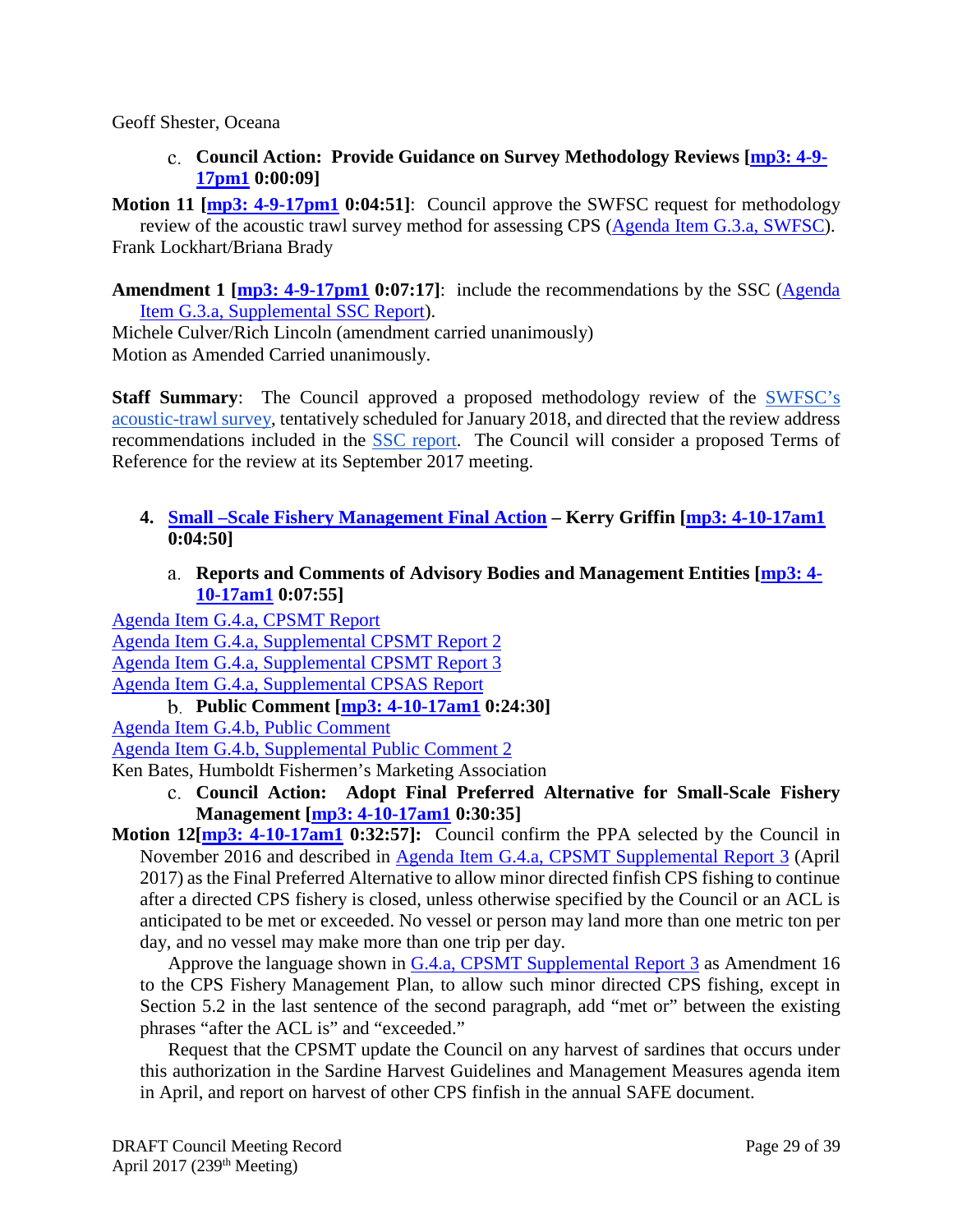<span id="page-28-0"></span>Geoff Shester, Oceana

**Council Action: Provide Guidance on Survey Methodology Reviews [\[mp3: 4-9-](ftp://ftp.pcouncil.org/pub/R1704_April_2017_Recordings/4-9-17pm1Copy.mp3) [17pm1](ftp://ftp.pcouncil.org/pub/R1704_April_2017_Recordings/4-9-17pm1Copy.mp3) 0:00:09]**

**Motion 11 [\[mp3: 4-9-17pm1](ftp://ftp.pcouncil.org/pub/R1704_April_2017_Recordings/4-9-17pm1Copy.mp3) 0:04:51]**: Council approve the SWFSC request for methodology

review of the acoustic trawl survey method for assessing CPS [\(Agenda Item G.3.a, SWFSC\)](http://www.pcouncil.org/wp-content/uploads/2017/03/G3a_SWFSC_Rpt_Apr2017BB.pdf). Frank Lockhart/Briana Brady

Amendment 1 [\[mp3: 4-9-17pm1](ftp://ftp.pcouncil.org/pub/R1704_April_2017_Recordings/4-9-17pm1Copy.mp3) 0:07:17]: include the recommendations by the SSC (Agenda [Item G.3.a, Supplemental SSC Report\)](http://www.pcouncil.org/wp-content/uploads/2017/04/G3a_Sup_SSC_CPSmethodology_Apr2017BB.pdf).

Michele Culver/Rich Lincoln (amendment carried unanimously) Motion as Amended Carried unanimously.

**Staff Summary:** The Council approved a proposed methodology review of the SWFSC's [acoustic-trawl survey,](http://www.pcouncil.org/wp-content/uploads/2017/03/G3a_SWFSC_Rpt_Apr2017BB.pdf) tentatively scheduled for January 2018, and directed that the review address recommendations included in the [SSC report.](http://www.pcouncil.org/wp-content/uploads/2017/04/G3a_Sup_SSC_CPSmethodology_Apr2017BB.pdf) The Council will consider a proposed Terms of Reference for the review at its September 2017 meeting.

- <span id="page-28-1"></span>**4. [Small –Scale Fishery Management Final Action](http://www.pcouncil.org/wp-content/uploads/2017/03/G4__SitSum_Smallscale_Fishery_Apr2017BB.pdf) – Kerry Griffin [\[mp3: 4-10-17am1](ftp://ftp.pcouncil.org/pub/R1704_April_2017_Recordings/4-10-17am1Copy.mp3) 0:04:50]**
	- **Reports and Comments of Advisory Bodies and Management Entities [\[mp3: 4-](ftp://ftp.pcouncil.org/pub/R1704_April_2017_Recordings/4-10-17am1Copy.mp3) [10-17am1](ftp://ftp.pcouncil.org/pub/R1704_April_2017_Recordings/4-10-17am1Copy.mp3) 0:07:55]**

<span id="page-28-2"></span>[Agenda Item G.4.a, CPSMT Report](http://www.pcouncil.org/wp-content/uploads/2017/03/G4a_CPSMT_Rpt_Small_Scale_Apr2017BB.pdf) [Agenda Item G.4.a, Supplemental CPSMT Report 2](http://www.pcouncil.org/wp-content/uploads/2017/03/G4a_Sup_CPSMT_Rpt2_Small_Scale_Final_Apr2017BB.pdf) [Agenda Item G.4.a, Supplemental CPSMT Report 3](http://www.pcouncil.org/wp-content/uploads/2017/04/G4a_Sup_CPSMT_Rpt3_Apr2017BB.pdf) [Agenda Item G.4.a, Supplemental CPSAS Report](http://www.pcouncil.org/wp-content/uploads/2017/04/G4a_Sup_CPSAS_Rpt_Apr2017BB.pdf)

**Public Comment [\[mp3: 4-10-17am1](ftp://ftp.pcouncil.org/pub/R1704_April_2017_Recordings/4-10-17am1Copy.mp3) 0:24:30]**

[Agenda Item G.4.b, Public Comment](http://www.pcouncil.org/wp-content/uploads/2017/03/G4b_PubComnt_Apr2017BB.pdf)

[Agenda Item G.4.b, Supplemental Public Comment 2](http://www.pcouncil.org/wp-content/uploads/2017/03/G4b_Sup_PubComnt2_Apr2017BB.pdf)

Ken Bates, Humboldt Fishermen's Marketing Association

- **Council Action: Adopt Final Preferred Alternative for Small-Scale Fishery Management [\[mp3: 4-10-17am1](ftp://ftp.pcouncil.org/pub/R1704_April_2017_Recordings/4-10-17am1Copy.mp3) 0:30:35]**
- **Motion** 12[**mp3: 4-10-17am1** 0:32:57]: Council confirm the PPA selected by the Council in November 2016 and described in [Agenda Item G.4.a, CPSMT](http://www.pcouncil.org/wp-content/uploads/2017/04/G4a_Sup_CPSMT_Rpt3_Apr2017BB.pdf) Supplemental Report 3 (April 2017) as the Final Preferred Alternative to allow minor directed finfish CPS fishing to continue after a directed CPS fishery is closed, unless otherwise specified by the Council or an ACL is anticipated to be met or exceeded. No vessel or person may land more than one metric ton per day, and no vessel may make more than one trip per day.

Approve the language shown in [G.4.a, CPSMT Supplemental Report 3](http://www.pcouncil.org/wp-content/uploads/2017/04/G4a_Sup_CPSMT_Rpt3_Apr2017BB.pdf) as Amendment 16 to the CPS Fishery Management Plan, to allow such minor directed CPS fishing, except in Section 5.2 in the last sentence of the second paragraph, add "met or" between the existing phrases "after the ACL is" and "exceeded."

Request that the CPSMT update the Council on any harvest of sardines that occurs under this authorization in the Sardine Harvest Guidelines and Management Measures agenda item in April, and report on harvest of other CPS finfish in the annual SAFE document.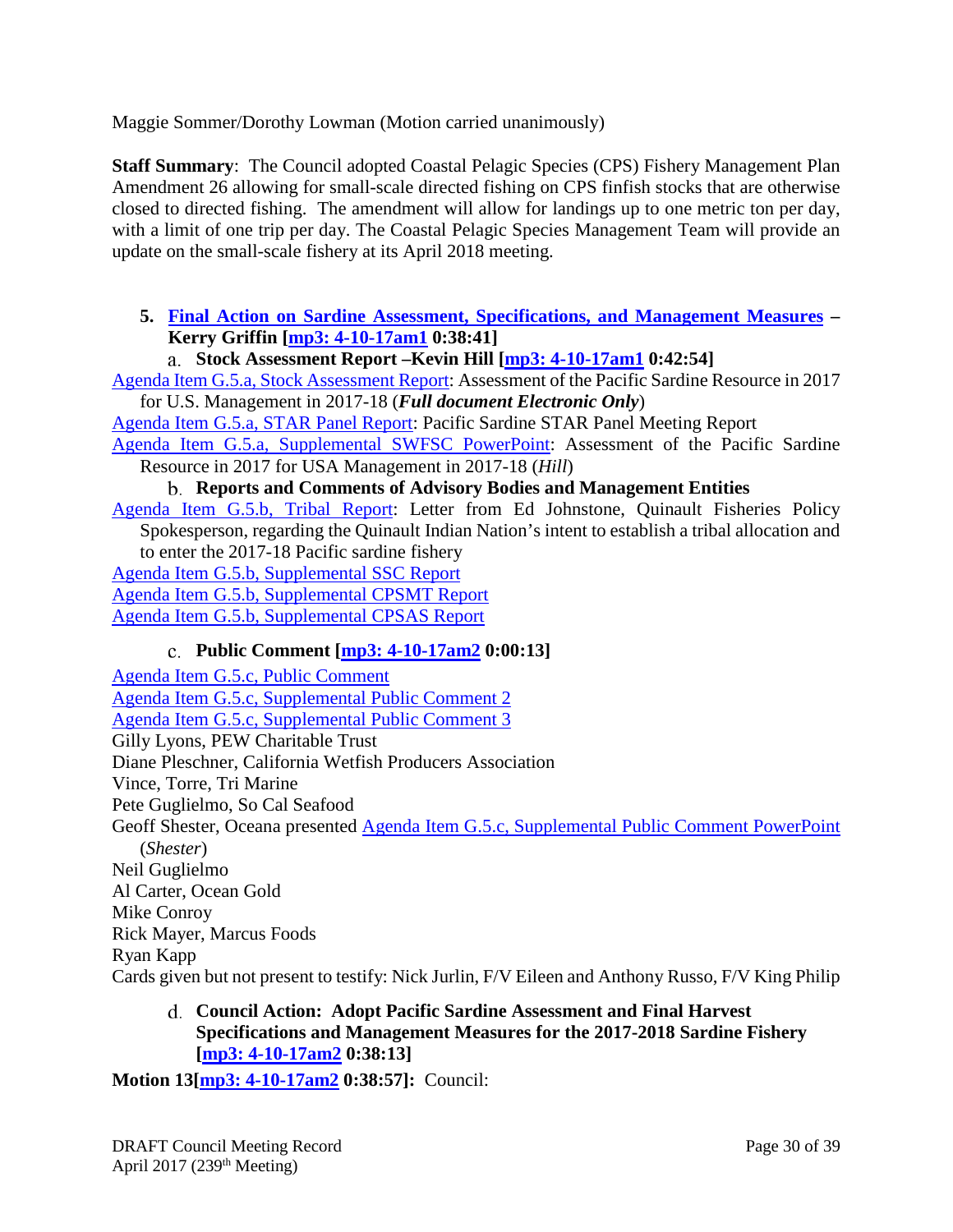Maggie Sommer/Dorothy Lowman (Motion carried unanimously)

**Staff Summary**: The Council adopted Coastal Pelagic Species (CPS) Fishery Management Plan Amendment 26 allowing for small-scale directed fishing on CPS finfish stocks that are otherwise closed to directed fishing. The amendment will allow for landings up to one metric ton per day, with a limit of one trip per day. The Coastal Pelagic Species Management Team will provide an update on the small-scale fishery at its April 2018 meeting.

- <span id="page-29-0"></span>**5. [Final Action on Sardine Assessment, Specifications, and Management Measures](http://www.pcouncil.org/wp-content/uploads/2017/03/G5__SitSum_Sardine_Apr2017BB.pdf) – Kerry Griffin [\[mp3: 4-10-17am1](ftp://ftp.pcouncil.org/pub/R1704_April_2017_Recordings/4-10-17am1Copy.mp3) 0:38:41]**
	- **Stock Assessment Report –Kevin Hill [\[mp3: 4-10-17am1](ftp://ftp.pcouncil.org/pub/R1704_April_2017_Recordings/4-10-17am1Copy.mp3) 0:42:54]**

[Agenda Item G.5.a, Stock Assessment Report:](http://www.pcouncil.org/wp-content/uploads/2017/03/G5a_Stock_Assessment_Rpt_Full_ElectricOnly_Apr2017BB.pdf) Assessment of the Pacific Sardine Resource in 2017 for U.S. Management in 2017-18 (*Full document Electronic Only*)

[Agenda Item G.5.a, STAR Panel Report:](http://www.pcouncil.org/wp-content/uploads/2017/03/G5a_STAR_Panel_Rpt_Apr2017BB.pdf) Pacific Sardine STAR Panel Meeting Report

[Agenda Item G.5.a, Supplemental SWFSC PowerPoint:](http://www.pcouncil.org/wp-content/uploads/2017/04/G5a_Sup_SWFSC_PPT_2017_Sardine_Assmnt_Hill_APR2017BB.pdf) Assessment of the Pacific Sardine Resource in 2017 for USA Management in 2017-18 (*Hill*)

#### **Reports and Comments of Advisory Bodies and Management Entities**

[Agenda Item G.5.b, Tribal Report:](http://www.pcouncil.org/wp-content/uploads/2017/03/G5b_Tribal_Report_Quinault_Sardine_Request_Apr2017BB.pdf) Letter from Ed Johnstone, Quinault Fisheries Policy Spokesperson, regarding the Quinault Indian Nation's intent to establish a tribal allocation and to enter the 2017-18 Pacific sardine fishery

[Agenda Item G.5.b, Supplemental SSC Report](http://www.pcouncil.org/wp-content/uploads/2017/04/G5b_Sup_SSC_Rpt_SardineAssessment_Apr2017BB.pdf)

[Agenda Item G.5.b, Supplemental CPSMT Report](http://www.pcouncil.org/wp-content/uploads/2017/04/G5b_Sup_CPSMT_Rpt_Apr2017BB.pdf)

<span id="page-29-1"></span>[Agenda Item G.5.b, Supplemental CPSAS Report](http://www.pcouncil.org/wp-content/uploads/2017/04/G5b_Sup_CPSAS_Rpt_Apr2017BB.pdf)

# **Public Comment [\[mp3: 4-10-17am2](ftp://ftp.pcouncil.org/pub/R1704_April_2017_Recordings/4-10-17am2Copy.mp3) 0:00:13]**

[Agenda Item G.5.c, Public Comment](http://www.pcouncil.org/wp-content/uploads/2017/03/G5c_Pub_Cmnt_Apr2017BB.pdf) [Agenda Item G.5.c, Supplemental Public Comment 2](http://www.pcouncil.org/wp-content/uploads/2017/03/G5c_Sup_Pub_Cmnt2_Apr2017BB.pdf) [Agenda Item G.5.c, Supplemental Public Comment 3](http://www.pcouncil.org/wp-content/uploads/2017/04/G5c_Sup_Pub_Cmnt3_Apr2017BB.pdf) Gilly Lyons, PEW Charitable Trust Diane Pleschner, California Wetfish Producers Association Vince, Torre, Tri Marine Pete Guglielmo, So Cal Seafood Geoff Shester, Oceana presented [Agenda Item G.5.c, Supplemental Public Comment PowerPoint](http://www.pcouncil.org/wp-content/uploads/2017/04/G5c_Sup_PubCom_PPT_sardines_Oceana_Shester_Apr2017BB.pdf) (*Shester*) Neil Guglielmo Al Carter, Ocean Gold Mike Conroy Rick Mayer, Marcus Foods Ryan Kapp Cards given but not present to testify: Nick Jurlin, F/V Eileen and Anthony Russo, F/V King Philip

# <span id="page-29-2"></span>**Council Action: Adopt Pacific Sardine Assessment and Final Harvest Specifications and Management Measures for the 2017-2018 Sardine Fishery [\[mp3: 4-10-17am2](ftp://ftp.pcouncil.org/pub/R1704_April_2017_Recordings/4-10-17am2Copy.mp3) 0:38:13]**

**Motion 13[\[mp3: 4-10-17am2](ftp://ftp.pcouncil.org/pub/R1704_April_2017_Recordings/4-10-17am2Copy.mp3) 0:38:57]:** Council: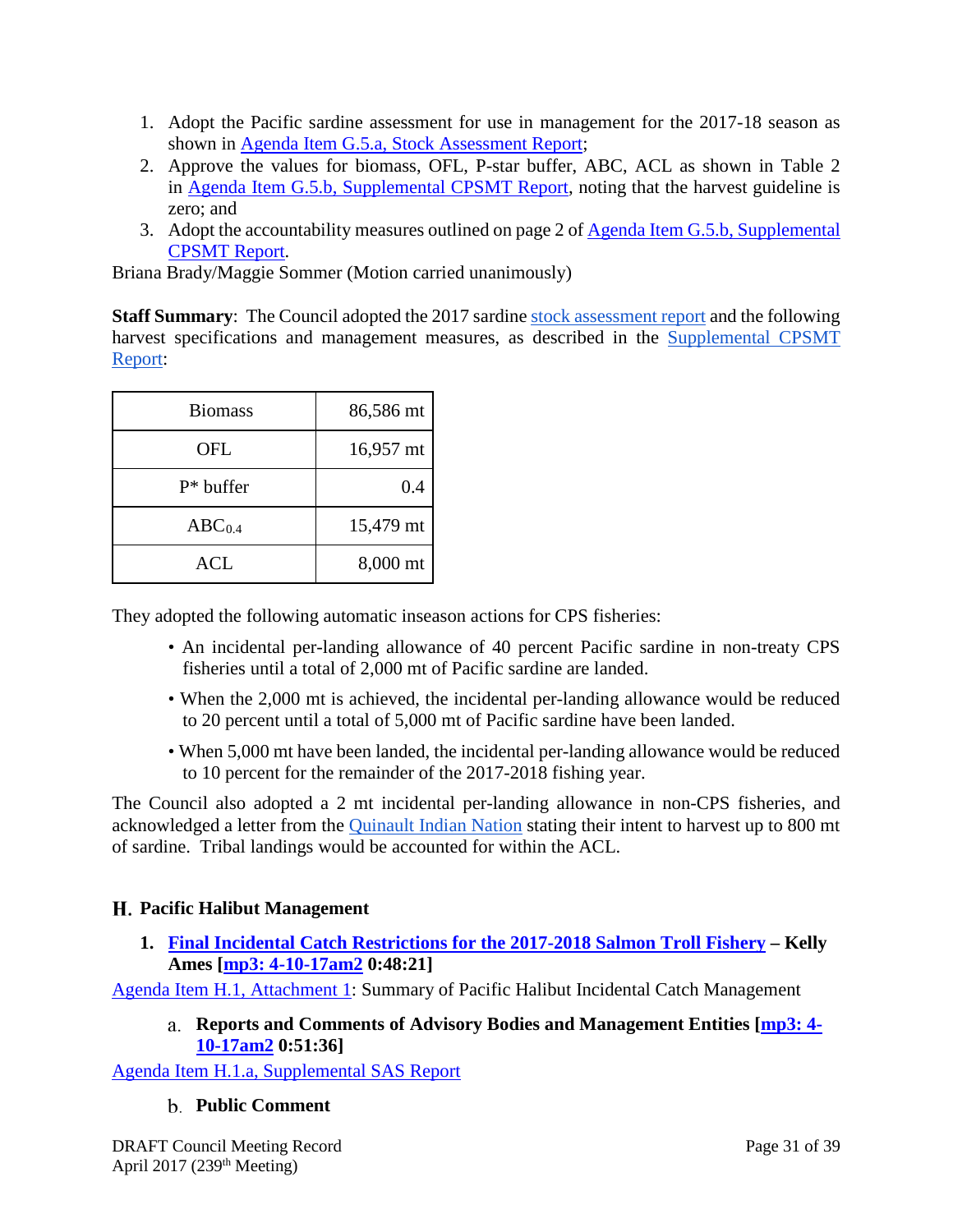- 1. Adopt the Pacific sardine assessment for use in management for the 2017-18 season as shown in [Agenda Item G.5.a, Stock Assessment Report;](http://www.pcouncil.org/wp-content/uploads/2017/03/G5a_Stock_Assessment_Rpt_Full_ElectricOnly_Apr2017BB.pdf)
- 2. Approve the values for biomass, OFL, P-star buffer, ABC, ACL as shown in Table 2 in [Agenda Item G.5.b, Supplemental CPSMT Report,](http://www.pcouncil.org/wp-content/uploads/2017/04/G5b_Sup_CPSMT_Rpt_Apr2017BB.pdf) noting that the harvest guideline is zero; and
- 3. Adopt the accountability measures outlined on page 2 o[f Agenda Item G.5.b, Supplemental](http://www.pcouncil.org/wp-content/uploads/2017/04/G5b_Sup_CPSMT_Rpt_Apr2017BB.pdf)  [CPSMT Report.](http://www.pcouncil.org/wp-content/uploads/2017/04/G5b_Sup_CPSMT_Rpt_Apr2017BB.pdf)

Briana Brady/Maggie Sommer (Motion carried unanimously)

**Staff Summary:** The Council adopted the 2017 sardine [stock assessment report](http://www.pcouncil.org/wp-content/uploads/2017/03/G5a_Stock_Assessment_Rpt_Full_ElectricOnly_Apr2017BB.pdf) and the following harvest specifications and management measures, as described in the [Supplemental CPSMT](http://www.pcouncil.org/wp-content/uploads/2017/04/G5b_Sup_CPSMT_Rpt_Apr2017BB.pdf)  [Report:](http://www.pcouncil.org/wp-content/uploads/2017/04/G5b_Sup_CPSMT_Rpt_Apr2017BB.pdf)

| <b>Biomass</b>     | 86,586 mt |
|--------------------|-----------|
| OFL                | 16,957 mt |
| $P^*$ buffer       | 0.4       |
| ABC <sub>0.4</sub> | 15,479 mt |
| ACL                | 8,000 mt  |

They adopted the following automatic inseason actions for CPS fisheries:

- An incidental per-landing allowance of 40 percent Pacific sardine in non-treaty CPS fisheries until a total of 2,000 mt of Pacific sardine are landed.
- When the 2,000 mt is achieved, the incidental per-landing allowance would be reduced to 20 percent until a total of 5,000 mt of Pacific sardine have been landed.
- When 5,000 mt have been landed, the incidental per-landing allowance would be reduced to 10 percent for the remainder of the 2017-2018 fishing year.

The Council also adopted a 2 mt incidental per-landing allowance in non-CPS fisheries, and acknowledged a letter from the [Quinault Indian Nation](http://www.pcouncil.org/wp-content/uploads/2017/03/G5b_Tribal_Report_Quinault_Sardine_Request_Apr2017BB.pdf) stating their intent to harvest up to 800 mt of sardine. Tribal landings would be accounted for within the ACL.

# <span id="page-30-0"></span>**Pacific Halibut Management**

<span id="page-30-1"></span>**1. [Final Incidental Catch Restrictions for the 2017-2018 Salmon Troll Fishery](http://www.pcouncil.org/wp-content/uploads/2017/03/H1__SitSum_Hal_Regs_Apr2017BB.pdf) – Kelly Ames [\[mp3: 4-10-17am2](ftp://ftp.pcouncil.org/pub/R1704_April_2017_Recordings/4-10-17am2Copy.mp3) 0:48:21]**

<span id="page-30-2"></span>[Agenda Item H.1, Attachment 1:](http://www.pcouncil.org/wp-content/uploads/2017/03/H1_Att1_Hal_History_Apr2017BB.pdf) Summary of Pacific Halibut Incidental Catch Management

**Reports and Comments of Advisory Bodies and Management Entities [\[mp3: 4-](ftp://ftp.pcouncil.org/pub/R1704_April_2017_Recordings/4-10-17am2Copy.mp3) [10-17am2](ftp://ftp.pcouncil.org/pub/R1704_April_2017_Recordings/4-10-17am2Copy.mp3) 0:51:36]**

<span id="page-30-3"></span>[Agenda Item H.1.a, Supplemental SAS Report](http://www.pcouncil.org/wp-content/uploads/2017/04/H1a_Sup_SAS_Rpt_Halibut_Apr2017BB.pdf)

# **Public Comment**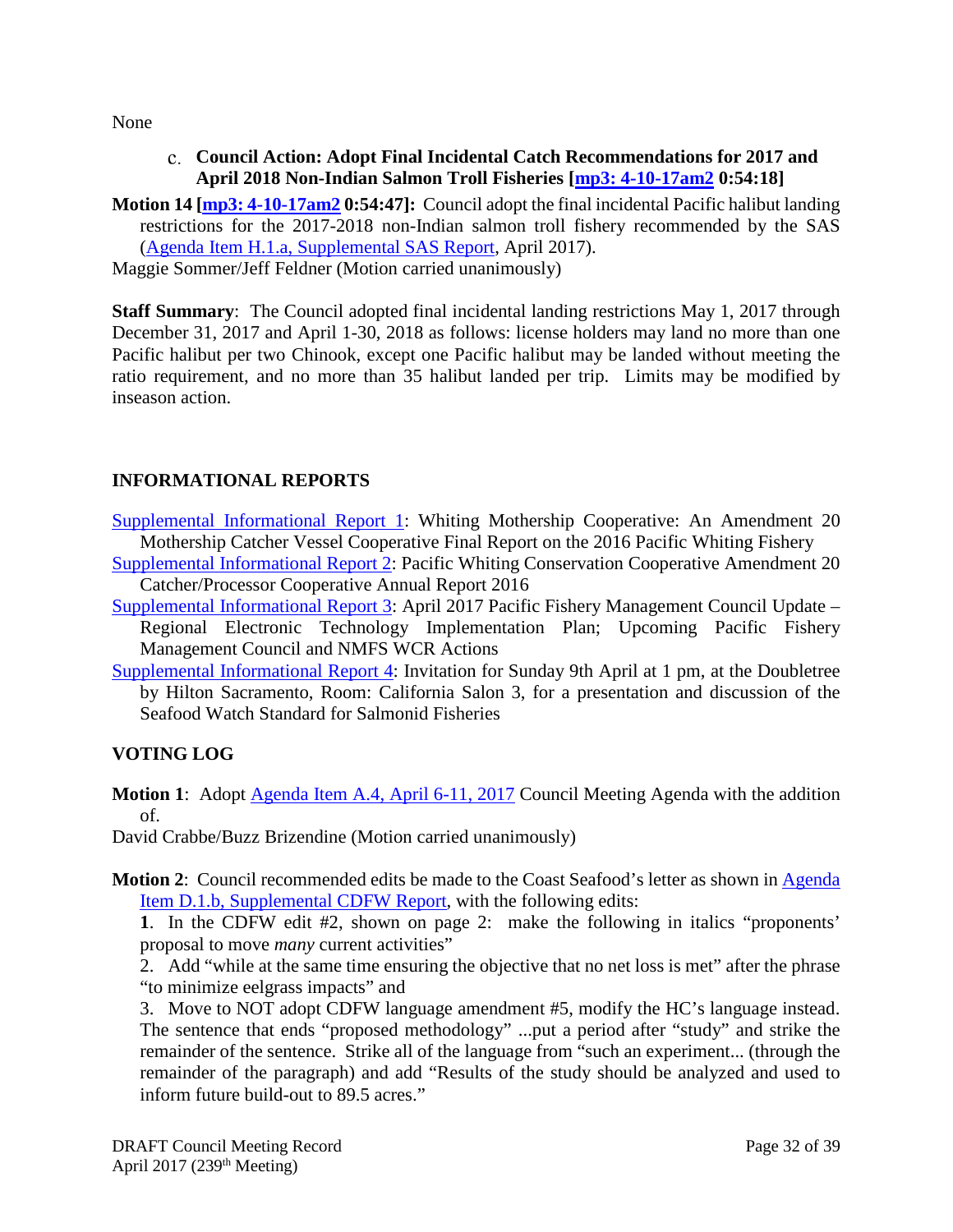<span id="page-31-0"></span>None

- **Council Action: Adopt Final Incidental Catch Recommendations for 2017 and April 2018 Non-Indian Salmon Troll Fisheries [\[mp3: 4-10-17am2](ftp://ftp.pcouncil.org/pub/R1704_April_2017_Recordings/4-10-17am2Copy.mp3) 0:54:18]**
- **Motion 14 [\[mp3: 4-10-17am2](ftp://ftp.pcouncil.org/pub/R1704_April_2017_Recordings/4-10-17am2Copy.mp3) 0:54:47]:** Council adopt the final incidental Pacific halibut landing restrictions for the 2017-2018 non-Indian salmon troll fishery recommended by the SAS [\(Agenda Item H.1.a, Supplemental SAS Report,](http://www.pcouncil.org/wp-content/uploads/2017/04/H1a_Sup_SAS_Rpt_Halibut_Apr2017BB.pdf) April 2017).

Maggie Sommer/Jeff Feldner (Motion carried unanimously)

**Staff Summary**: The Council adopted final incidental landing restrictions May 1, 2017 through December 31, 2017 and April 1-30, 2018 as follows: license holders may land no more than one Pacific halibut per two Chinook, except one Pacific halibut may be landed without meeting the ratio requirement, and no more than 35 halibut landed per trip. Limits may be modified by inseason action.

# <span id="page-31-1"></span>**INFORMATIONAL REPORTS**

- [Supplemental Informational Report 1:](http://www.pcouncil.org/wp-content/uploads/2017/03/Sup_IR1_2017_WMC_Rpt_re2016WithAttachments_Apr2017BB.pdf) Whiting Mothership Cooperative: An Amendment 20 Mothership Catcher Vessel Cooperative Final Report on the 2016 Pacific Whiting Fishery
- [Supplemental Informational Report 2:](http://www.pcouncil.org/wp-content/uploads/2017/03/Sup_IR2_2017_PWCC_Rpt_re2016_Apr2017BB.pdf) Pacific Whiting Conservation Cooperative Amendment 20 Catcher/Processor Cooperative Annual Report 2016
- [Supplemental Informational Report 3:](http://www.pcouncil.org/wp-content/uploads/2017/04/Sup_IR3_WCR_ET_ImplementationUpdate_Apr2017BB.pdf) April 2017 Pacific Fishery Management Council Update Regional Electronic Technology Implementation Plan; Upcoming Pacific Fishery Management Council and NMFS WCR Actions
- [Supplemental Informational Report 4:](http://www.pcouncil.org/wp-content/uploads/2017/04/Sup_IR4_MBA_SeafoodWatchSalmonid_Apr2017BB.pdf) Invitation for Sunday 9th April at 1 pm, at the Doubletree by Hilton Sacramento, Room: California Salon 3, for a presentation and discussion of the Seafood Watch Standard for Salmonid Fisheries

# <span id="page-31-2"></span>**VOTING LOG**

**Motion 1:** Adopt [Agenda Item A.4, April 6-11, 2017](http://www.pcouncil.org/wp-content/uploads/2017/03/A4__Agenda_Apr2017BB.pdf) Council Meeting Agenda with the addition of.

David Crabbe/Buzz Brizendine (Motion carried unanimously)

**Motion 2:** Council recommended edits be made to the Coast Seafood's letter as shown in Agenda [Item D.1.b, Supplemental CDFW Report,](http://www.pcouncil.org/wp-content/uploads/2017/04/D1b_Sup_CDFW_Rpt_DftCoastSeafoodsLtr_Apr2017BB.pdf) with the following edits:

**1**. In the CDFW edit #2, shown on page 2: make the following in italics "proponents' proposal to move *many* current activities"

2. Add "while at the same time ensuring the objective that no net loss is met" after the phrase "to minimize eelgrass impacts" and

3. Move to NOT adopt CDFW language amendment #5, modify the HC's language instead. The sentence that ends "proposed methodology" ...put a period after "study" and strike the remainder of the sentence. Strike all of the language from "such an experiment... (through the remainder of the paragraph) and add "Results of the study should be analyzed and used to inform future build-out to 89.5 acres."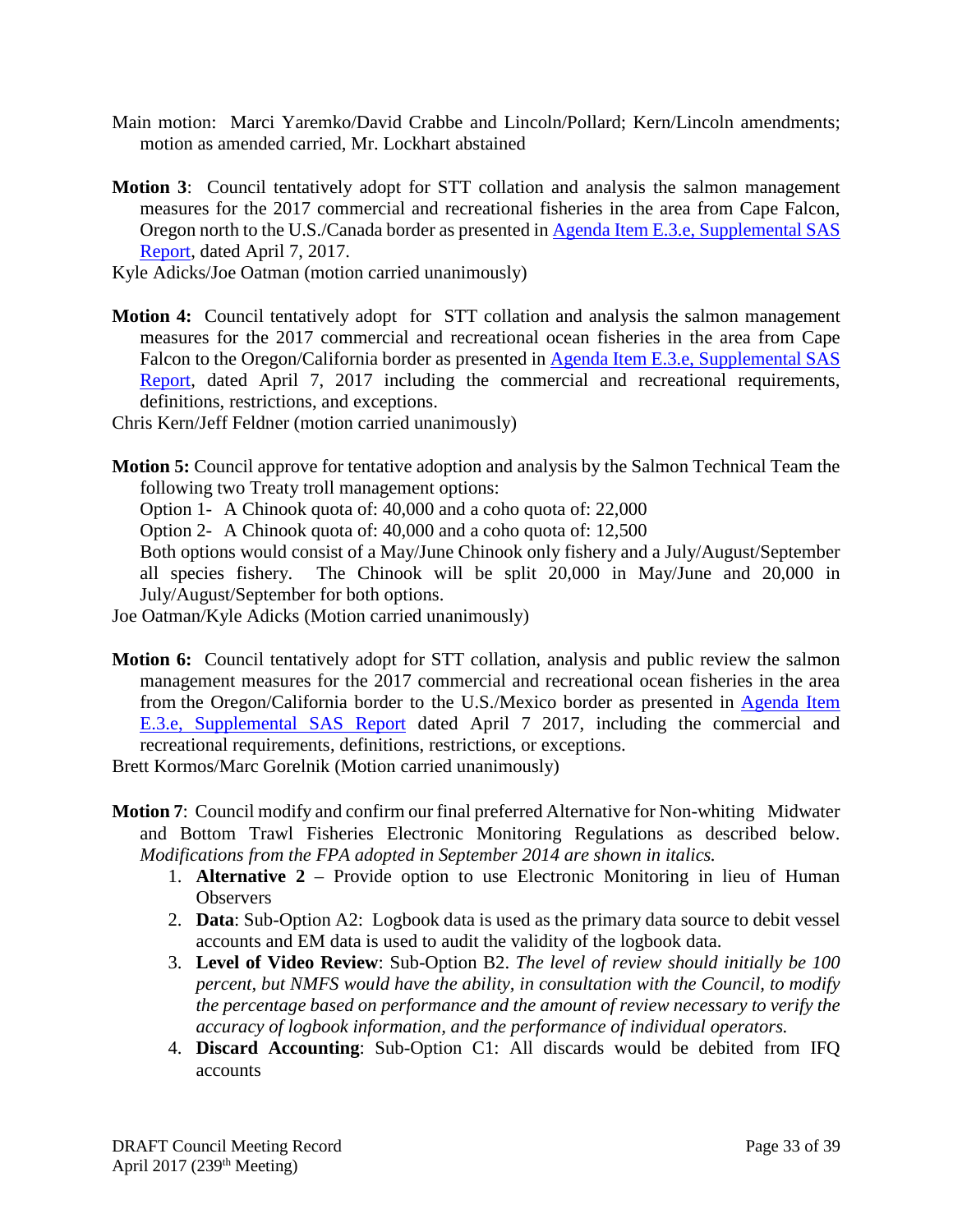- Main motion: Marci Yaremko/David Crabbe and Lincoln/Pollard; Kern/Lincoln amendments; motion as amended carried, Mr. Lockhart abstained
- **Motion 3**: Council tentatively adopt for STT collation and analysis the salmon management measures for the 2017 commercial and recreational fisheries in the area from Cape Falcon, Oregon north to the U.S./Canada border as presented in [Agenda Item E.3.e, Supplemental SAS](http://www.pcouncil.org/wp-content/uploads/2017/04/E3e_Sup_SAS_Rpt_Tentative_Apr2017BB.pdf)  [Report,](http://www.pcouncil.org/wp-content/uploads/2017/04/E3e_Sup_SAS_Rpt_Tentative_Apr2017BB.pdf) dated April 7, 2017.
- Kyle Adicks/Joe Oatman (motion carried unanimously)
- **Motion 4:** Council tentatively adopt for STT collation and analysis the salmon management measures for the 2017 commercial and recreational ocean fisheries in the area from Cape Falcon to the Oregon/California border as presented in Agenda Item E.3.e, Supplemental SAS [Report,](http://www.pcouncil.org/wp-content/uploads/2017/04/E3e_Sup_SAS_Rpt_Tentative_Apr2017BB.pdf) dated April 7, 2017 including the commercial and recreational requirements, definitions, restrictions, and exceptions.
- Chris Kern/Jeff Feldner (motion carried unanimously)
- **Motion 5:** Council approve for tentative adoption and analysis by the Salmon Technical Team the following two Treaty troll management options:
	- Option 1- A Chinook quota of: 40,000 and a coho quota of: 22,000
	- Option 2- A Chinook quota of: 40,000 and a coho quota of: 12,500

Both options would consist of a May/June Chinook only fishery and a July/August/September all species fishery. The Chinook will be split 20,000 in May/June and 20,000 in July/August/September for both options.

Joe Oatman/Kyle Adicks (Motion carried unanimously)

**Motion 6:** Council tentatively adopt for STT collation, analysis and public review the salmon management measures for the 2017 commercial and recreational ocean fisheries in the area from the Oregon/California border to the U.S./Mexico border as presented in [Agenda Item](http://www.pcouncil.org/wp-content/uploads/2017/04/E3e_Sup_SAS_Rpt_Tentative_Apr2017BB.pdf)  [E.3.e, Supplemental SAS Report](http://www.pcouncil.org/wp-content/uploads/2017/04/E3e_Sup_SAS_Rpt_Tentative_Apr2017BB.pdf) dated April 7 2017, including the commercial and recreational requirements, definitions, restrictions, or exceptions.

Brett Kormos/Marc Gorelnik (Motion carried unanimously)

- **Motion 7**: Council modify and confirm our final preferred Alternative for Non-whiting Midwater and Bottom Trawl Fisheries Electronic Monitoring Regulations as described below. *Modifications from the FPA adopted in September 2014 are shown in italics.*
	- 1. **Alternative 2** Provide option to use Electronic Monitoring in lieu of Human **Observers**
	- 2. **Data**: Sub-Option A2: Logbook data is used as the primary data source to debit vessel accounts and EM data is used to audit the validity of the logbook data.
	- 3. **Level of Video Review**: Sub-Option B2. *The level of review should initially be 100 percent, but NMFS would have the ability, in consultation with the Council, to modify the percentage based on performance and the amount of review necessary to verify the accuracy of logbook information, and the performance of individual operators.*
	- 4. **Discard Accounting**: Sub-Option C1: All discards would be debited from IFQ accounts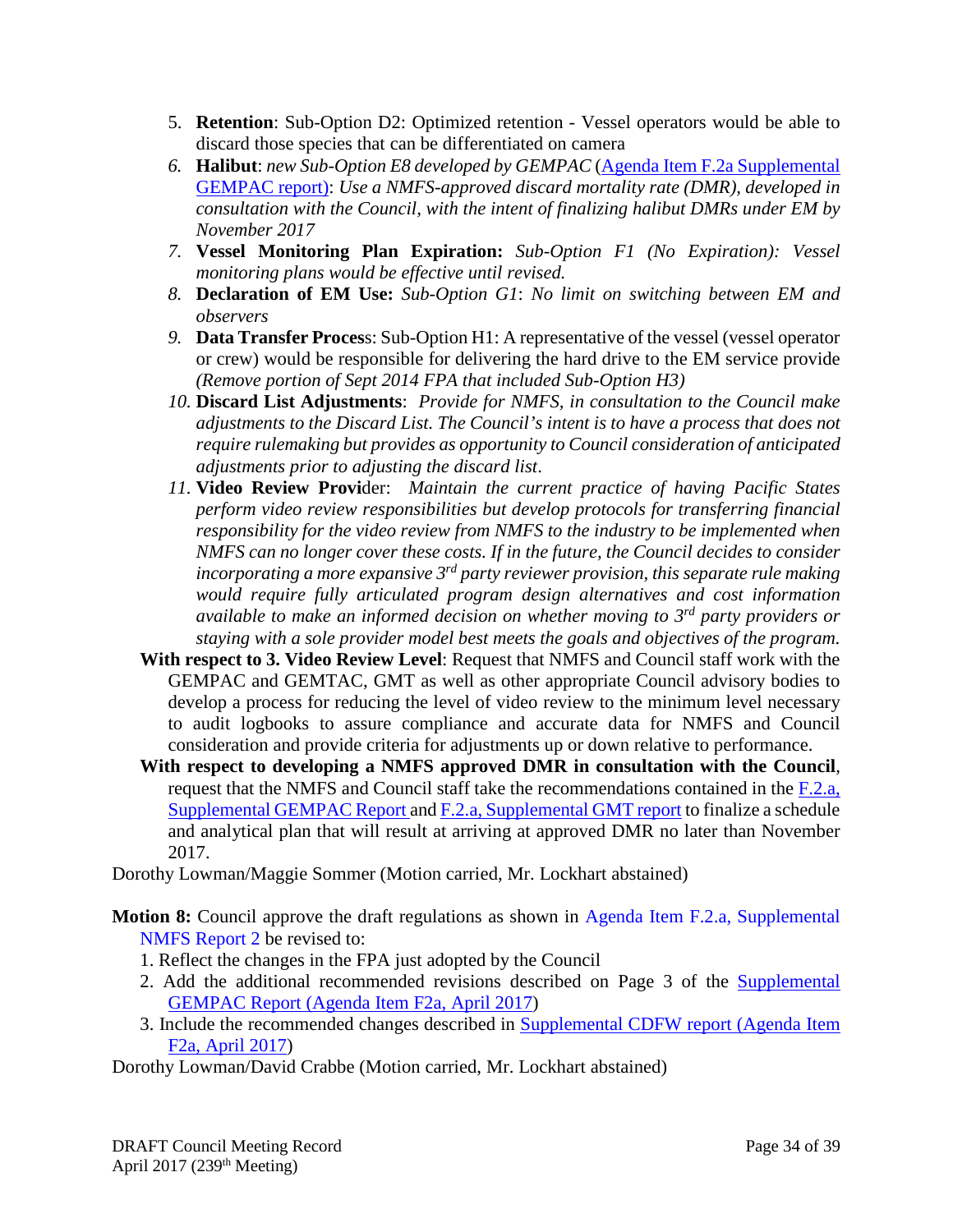- 5. **Retention**: Sub-Option D2: Optimized retention Vessel operators would be able to discard those species that can be differentiated on camera
- *6.* **Halibut**: *new Sub-Option E8 developed by GEMPAC* [\(Agenda Item F.2a Supplemental](http://www.pcouncil.org/wp-content/uploads/2017/04/F2a_Sup_GEMPAC_Rpt_Apr2017BB.pdf)  [GEMPAC report\):](http://www.pcouncil.org/wp-content/uploads/2017/04/F2a_Sup_GEMPAC_Rpt_Apr2017BB.pdf) *Use a NMFS-approved discard mortality rate (DMR), developed in consultation with the Council, with the intent of finalizing halibut DMRs under EM by November 2017*
- *7.* **Vessel Monitoring Plan Expiration:** *Sub-Option F1 (No Expiration): Vessel monitoring plans would be effective until revised.*
- *8.* **Declaration of EM Use:** *Sub-Option G1*: *No limit on switching between EM and observers*
- *9.* **Data Transfer Proces**s: Sub-Option H1: A representative of the vessel (vessel operator or crew) would be responsible for delivering the hard drive to the EM service provide *(Remove portion of Sept 2014 FPA that included Sub-Option H3)*
- *10.* **Discard List Adjustments**: *Provide for NMFS, in consultation to the Council make adjustments to the Discard List. The Council's intent is to have a process that does not require rulemaking but provides as opportunity to Council consideration of anticipated adjustments prior to adjusting the discard list*.
- *11.* **Video Review Provi**der: *Maintain the current practice of having Pacific States perform video review responsibilities but develop protocols for transferring financial responsibility for the video review from NMFS to the industry to be implemented when NMFS can no longer cover these costs. If in the future, the Council decides to consider incorporating a more expansive 3rd party reviewer provision, this separate rule making would require fully articulated program design alternatives and cost information available to make an informed decision on whether moving to 3rd party providers or staying with a sole provider model best meets the goals and objectives of the program.*
- **With respect to 3. Video Review Level**: Request that NMFS and Council staff work with the GEMPAC and GEMTAC, GMT as well as other appropriate Council advisory bodies to develop a process for reducing the level of video review to the minimum level necessary to audit logbooks to assure compliance and accurate data for NMFS and Council consideration and provide criteria for adjustments up or down relative to performance.
- **With respect to developing a NMFS approved DMR in consultation with the Council**, request that the NMFS and Council staff take the recommendations contained in the  $F<sub>1</sub>2.a$ , Supplemental [GEMPAC Report a](http://www.pcouncil.org/wp-content/uploads/2017/04/F2a_Sup_GEMPAC_Rpt_Apr2017BB.pdf)nd F.2.a, [Supplemental](http://www.pcouncil.org/wp-content/uploads/2017/04/F2a_Sup_GMT_Rpt_Apr2017BB.pdf) GMT report to finalize a schedule and analytical plan that will result at arriving at approved DMR no later than November 2017.

Dorothy Lowman/Maggie Sommer (Motion carried, Mr. Lockhart abstained)

- **Motion 8:** Council approve the draft regulations as shown in Agenda Item F.2.a, Supplemental [NMFS Report 2 b](http://www.pcouncil.org/wp-content/uploads/2017/04/F2a_Sup_NMFS_Rpt2_Draft_CFRstyleRegs_Apr2017BB.pdf)e revised to:
	- 1. Reflect the changes in the FPA just adopted by the Council
	- 2. Add the additional recommended revisions described on Page 3 of the [Supplemental](http://www.pcouncil.org/wp-content/uploads/2017/04/F2a_Sup_GEMPAC_Rpt_Apr2017BB.pdf)  [GEMPAC Report \(Agenda Item F2a, April 2017\)](http://www.pcouncil.org/wp-content/uploads/2017/04/F2a_Sup_GEMPAC_Rpt_Apr2017BB.pdf)
	- 3. Include the recommended changes described in [Supplemental CDFW report \(Agenda Item](http://www.pcouncil.org/wp-content/uploads/2017/04/F2a_Sup_CDFW_Rpt_Apr2017BB.pdf)  [F2a, April 2017\)](http://www.pcouncil.org/wp-content/uploads/2017/04/F2a_Sup_CDFW_Rpt_Apr2017BB.pdf)

Dorothy Lowman/David Crabbe (Motion carried, Mr. Lockhart abstained)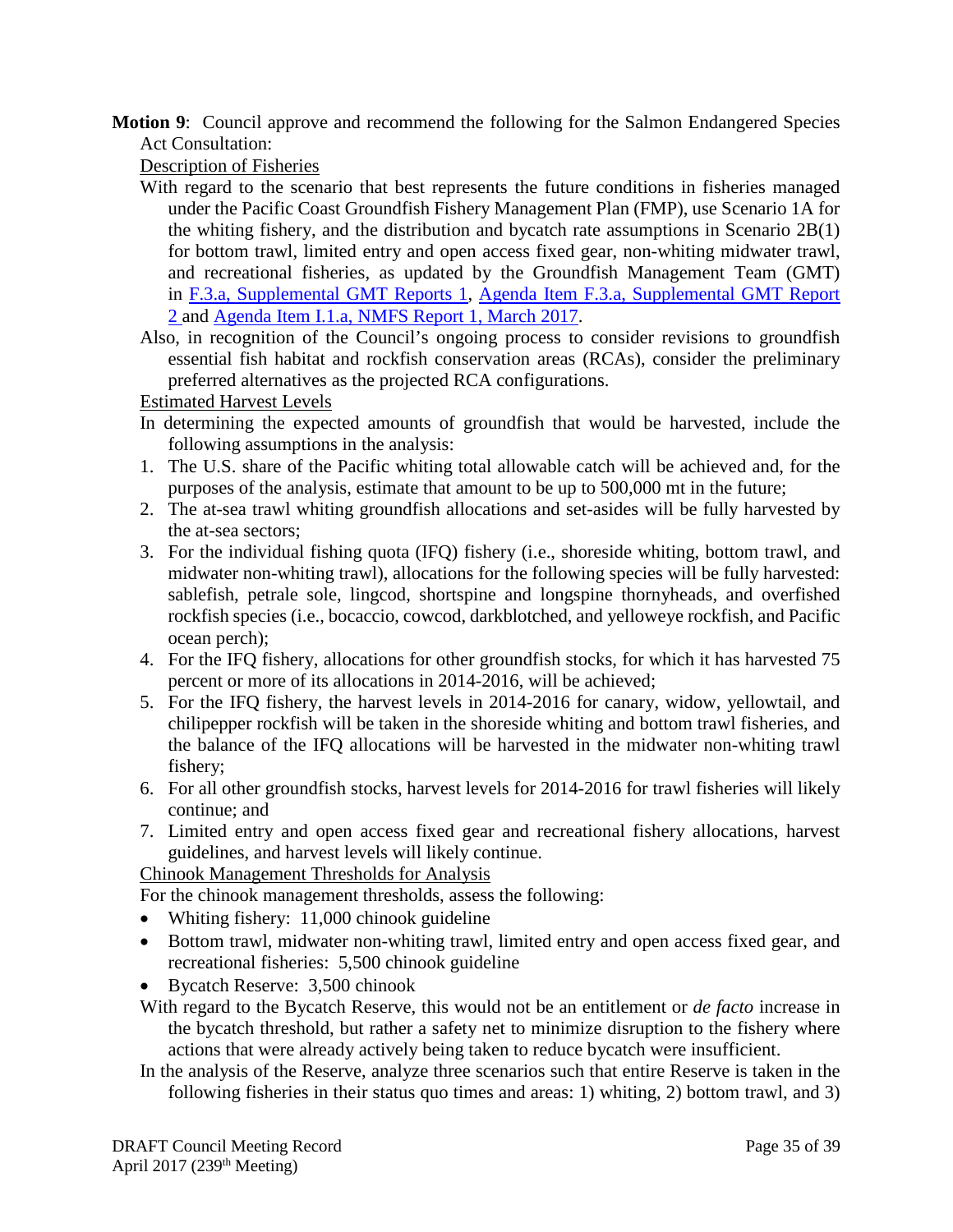**Motion 9**: Council approve and recommend the following for the Salmon Endangered Species Act Consultation:

Description of Fisheries

- With regard to the scenario that best represents the future conditions in fisheries managed under the Pacific Coast Groundfish Fishery Management Plan (FMP), use Scenario 1A for the whiting fishery, and the distribution and bycatch rate assumptions in Scenario 2B(1) for bottom trawl, limited entry and open access fixed gear, non-whiting midwater trawl, and recreational fisheries, as updated by the Groundfish Management Team (GMT) in [F.3.a, Supplemental GMT Reports 1,](http://www.pcouncil.org/wp-content/uploads/2017/03/F3a_Sup_GMT_Rpt1_Apr2017BB.pdf) [Agenda Item F.3.a, Supplemental GMT Report](http://www.pcouncil.org/wp-content/uploads/2017/04/F3a_Sup_GMT_Rpt2_Apr2017BB.pdf) [2 a](http://www.pcouncil.org/wp-content/uploads/2017/04/F3a_Sup_GMT_Rpt2_Apr2017BB.pdf)nd [Agenda Item I.1.a, NMFS Report](http://www.pcouncil.org/wp-content/uploads/2017/02/I1a_NMFS_Rpt1_Alts_for_Salmon_Bycatch_Mgmt_inthe_Pacific_Coast_Groundfish_Fisheries_final_Mar2017BB.pdf) 1, March 2017.
- Also, in recognition of the Council's ongoing process to consider revisions to groundfish essential fish habitat and rockfish conservation areas (RCAs), consider the preliminary preferred alternatives as the projected RCA configurations.

Estimated Harvest Levels

- In determining the expected amounts of groundfish that would be harvested, include the following assumptions in the analysis:
- 1. The U.S. share of the Pacific whiting total allowable catch will be achieved and, for the purposes of the analysis, estimate that amount to be up to 500,000 mt in the future;
- 2. The at-sea trawl whiting groundfish allocations and set-asides will be fully harvested by the at-sea sectors;
- 3. For the individual fishing quota (IFQ) fishery (i.e., shoreside whiting, bottom trawl, and midwater non-whiting trawl), allocations for the following species will be fully harvested: sablefish, petrale sole, lingcod, shortspine and longspine thornyheads, and overfished rockfish species (i.e., bocaccio, cowcod, darkblotched, and yelloweye rockfish, and Pacific ocean perch);
- 4. For the IFQ fishery, allocations for other groundfish stocks, for which it has harvested 75 percent or more of its allocations in 2014-2016, will be achieved;
- 5. For the IFQ fishery, the harvest levels in 2014-2016 for canary, widow, yellowtail, and chilipepper rockfish will be taken in the shoreside whiting and bottom trawl fisheries, and the balance of the IFQ allocations will be harvested in the midwater non-whiting trawl fishery;
- 6. For all other groundfish stocks, harvest levels for 2014-2016 for trawl fisheries will likely continue; and
- 7. Limited entry and open access fixed gear and recreational fishery allocations, harvest guidelines, and harvest levels will likely continue.

Chinook Management Thresholds for Analysis

For the chinook management thresholds, assess the following:

- Whiting fishery: 11,000 chinook guideline
- Bottom trawl, midwater non-whiting trawl, limited entry and open access fixed gear, and recreational fisheries: 5,500 chinook guideline
- Bycatch Reserve: 3,500 chinook
- With regard to the Bycatch Reserve, this would not be an entitlement or *de facto* increase in the bycatch threshold, but rather a safety net to minimize disruption to the fishery where actions that were already actively being taken to reduce bycatch were insufficient.
- In the analysis of the Reserve, analyze three scenarios such that entire Reserve is taken in the following fisheries in their status quo times and areas: 1) whiting, 2) bottom trawl, and 3)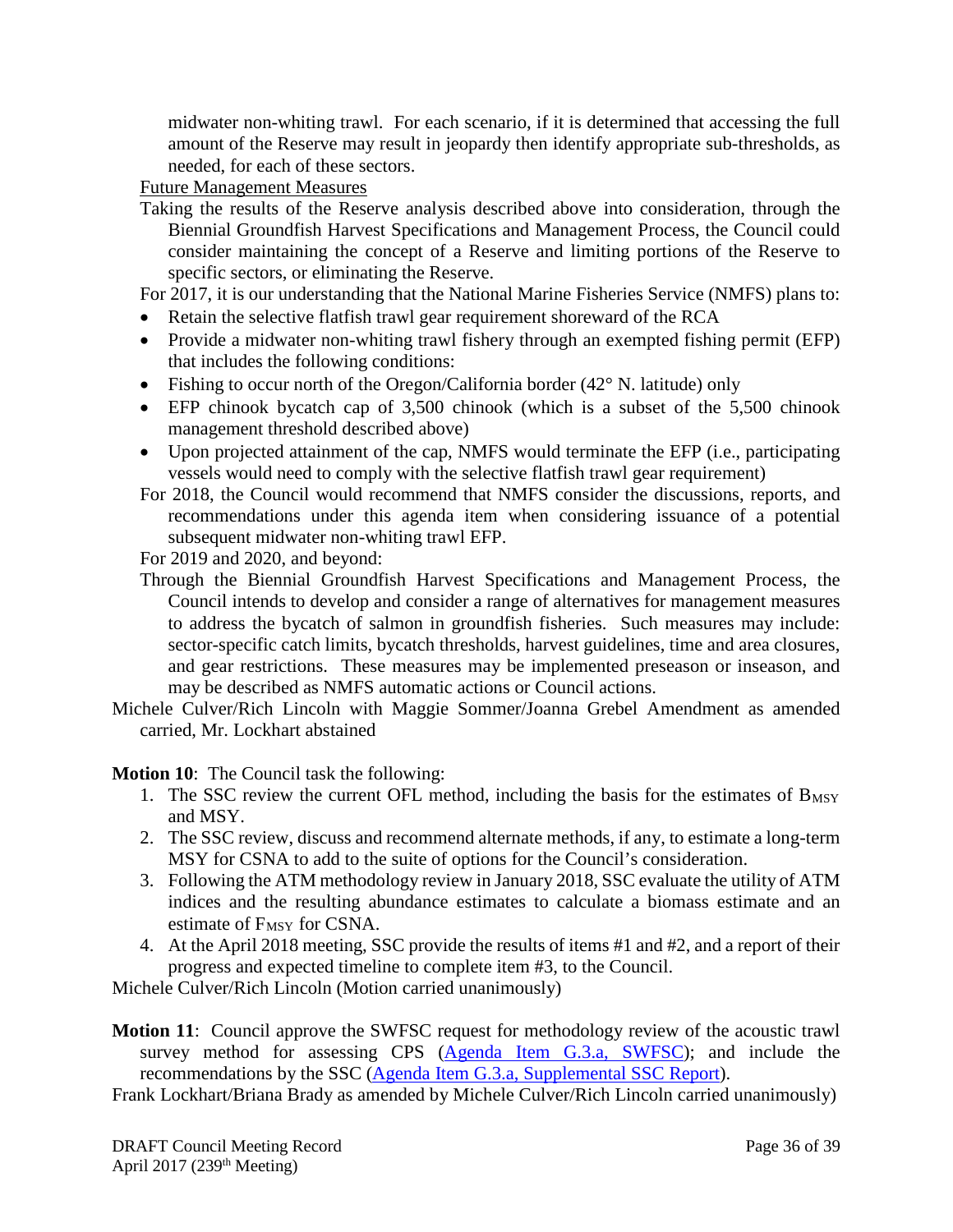midwater non-whiting trawl. For each scenario, if it is determined that accessing the full amount of the Reserve may result in jeopardy then identify appropriate sub-thresholds, as needed, for each of these sectors.

Future Management Measures

Taking the results of the Reserve analysis described above into consideration, through the Biennial Groundfish Harvest Specifications and Management Process, the Council could consider maintaining the concept of a Reserve and limiting portions of the Reserve to specific sectors, or eliminating the Reserve.

For 2017, it is our understanding that the National Marine Fisheries Service (NMFS) plans to:

- Retain the selective flatfish trawl gear requirement shoreward of the RCA
- Provide a midwater non-whiting trawl fishery through an exempted fishing permit (EFP) that includes the following conditions:
- Fishing to occur north of the Oregon/California border (42° N. latitude) only
- EFP chinook bycatch cap of 3,500 chinook (which is a subset of the 5,500 chinook management threshold described above)
- Upon projected attainment of the cap, NMFS would terminate the EFP (i.e., participating vessels would need to comply with the selective flatfish trawl gear requirement)
- For 2018, the Council would recommend that NMFS consider the discussions, reports, and recommendations under this agenda item when considering issuance of a potential subsequent midwater non-whiting trawl EFP.

For 2019 and 2020, and beyond:

- Through the Biennial Groundfish Harvest Specifications and Management Process, the Council intends to develop and consider a range of alternatives for management measures to address the bycatch of salmon in groundfish fisheries. Such measures may include: sector-specific catch limits, bycatch thresholds, harvest guidelines, time and area closures, and gear restrictions. These measures may be implemented preseason or inseason, and may be described as NMFS automatic actions or Council actions.
- Michele Culver/Rich Lincoln with Maggie Sommer/Joanna Grebel Amendment as amended carried, Mr. Lockhart abstained

**Motion 10**: The Council task the following:

- 1. The SSC review the current OFL method, including the basis for the estimates of  $B_{MSY}$ and MSY.
- 2. The SSC review, discuss and recommend alternate methods, if any, to estimate a long-term MSY for CSNA to add to the suite of options for the Council's consideration.
- 3. Following the ATM methodology review in January 2018, SSC evaluate the utility of ATM indices and the resulting abundance estimates to calculate a biomass estimate and an estimate of F<sub>MSY</sub> for CSNA.
- 4. At the April 2018 meeting, SSC provide the results of items #1 and #2, and a report of their progress and expected timeline to complete item #3, to the Council.

Michele Culver/Rich Lincoln (Motion carried unanimously)

- **Motion 11**: Council approve the SWFSC request for methodology review of the acoustic trawl survey method for assessing CPS [\(Agenda Item G.3.a, SWFSC\)](http://www.pcouncil.org/wp-content/uploads/2017/03/G3a_SWFSC_Rpt_Apr2017BB.pdf); and include the recommendations by the SSC [\(Agenda Item G.3.a, Supplemental SSC Report\)](http://www.pcouncil.org/wp-content/uploads/2017/04/G3a_Sup_SSC_CPSmethodology_Apr2017BB.pdf).
- Frank Lockhart/Briana Brady as amended by Michele Culver/Rich Lincoln carried unanimously)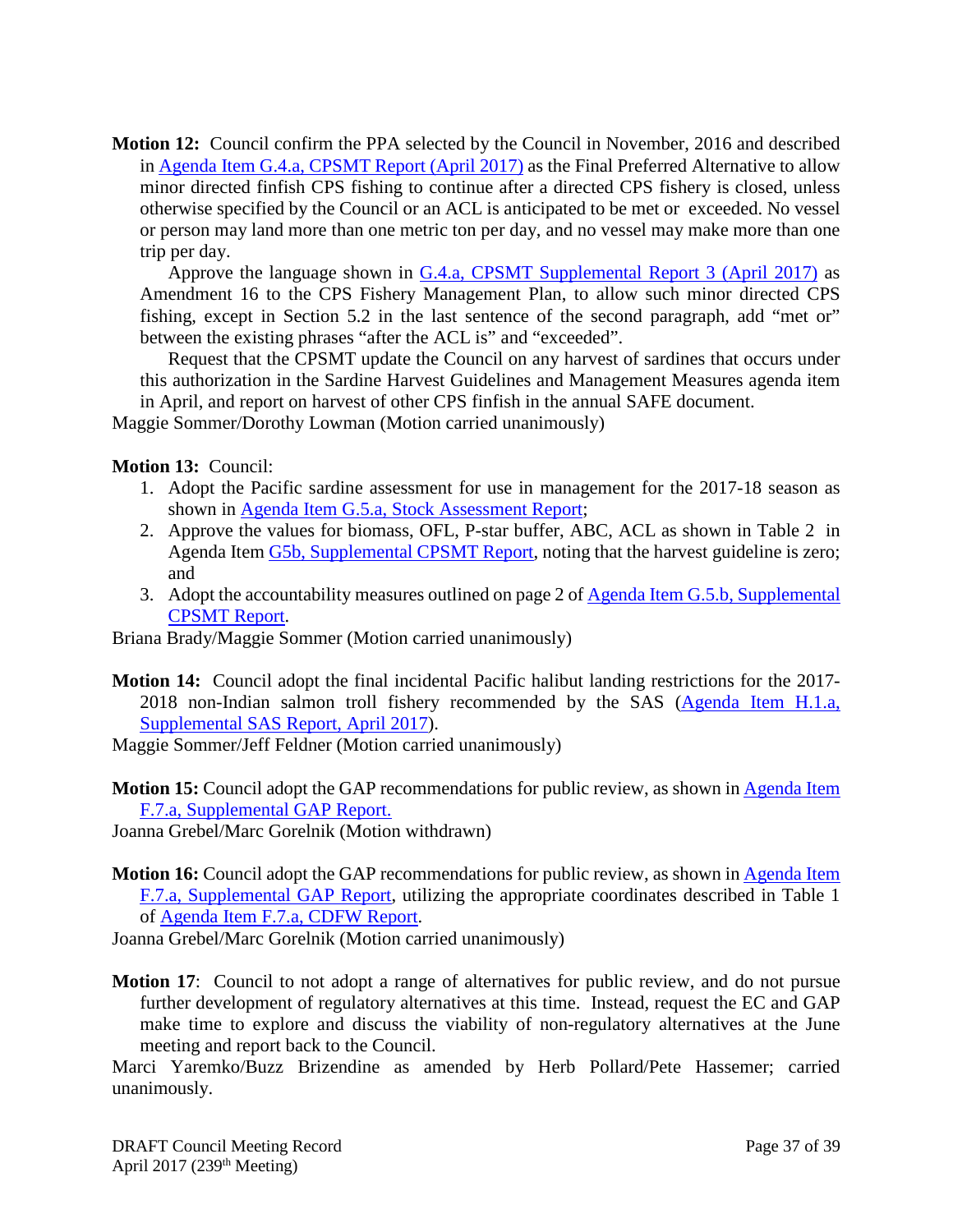**Motion 12:** Council confirm the PPA selected by the Council in November, 2016 and described in [Agenda Item G.4.a, CPSMT Report \(April 2017\)](http://www.pcouncil.org/wp-content/uploads/2017/03/G4a_CPSMT_Rpt_Small_Scale_Apr2017BB.pdf) as the Final Preferred Alternative to allow minor directed finfish CPS fishing to continue after a directed CPS fishery is closed, unless otherwise specified by the Council or an ACL is anticipated to be met or exceeded. No vessel or person may land more than one metric ton per day, and no vessel may make more than one trip per day.

Approve the language shown in [G.4.a, CPSMT Supplemental Report 3 \(April 2017\)](http://www.pcouncil.org/wp-content/uploads/2017/04/G4a_Sup_CPSMT_Rpt3_Apr2017BB.pdf) as Amendment 16 to the CPS Fishery Management Plan, to allow such minor directed CPS fishing, except in Section 5.2 in the last sentence of the second paragraph, add "met or" between the existing phrases "after the ACL is" and "exceeded".

Request that the CPSMT update the Council on any harvest of sardines that occurs under this authorization in the Sardine Harvest Guidelines and Management Measures agenda item in April, and report on harvest of other CPS finfish in the annual SAFE document.

Maggie Sommer/Dorothy Lowman (Motion carried unanimously)

**Motion 13:** Council:

- 1. Adopt the Pacific sardine assessment for use in management for the 2017-18 season as shown in [Agenda Item G.5.a, Stock Assessment Report;](http://www.pcouncil.org/wp-content/uploads/2017/03/G5a_Stock_Assessment_Rpt_Full_ElectricOnly_Apr2017BB.pdf)
- 2. Approve the values for biomass, OFL, P-star buffer, ABC, ACL as shown in Table 2 in Agenda Item [G5b, Supplemental CPSMT Report,](http://www.pcouncil.org/wp-content/uploads/2017/04/G5b_Sup_CPSMT_Rpt_Apr2017BB.pdf) noting that the harvest guideline is zero; and
- 3. Adopt the accountability measures outlined on page 2 o[f Agenda Item G.5.b, Supplemental](http://www.pcouncil.org/wp-content/uploads/2017/04/G5b_Sup_CPSMT_Rpt_Apr2017BB.pdf)  [CPSMT Report.](http://www.pcouncil.org/wp-content/uploads/2017/04/G5b_Sup_CPSMT_Rpt_Apr2017BB.pdf)

Briana Brady/Maggie Sommer (Motion carried unanimously)

**Motion 14:** Council adopt the final incidental Pacific halibut landing restrictions for the 2017- 2018 non-Indian salmon troll fishery recommended by the SAS [\(Agenda Item H.1.a,](http://www.pcouncil.org/wp-content/uploads/2017/04/H1a_Sup_SAS_Rpt_Halibut_Apr2017BB.pdf)  [Supplemental SAS Report, April 2017\)](http://www.pcouncil.org/wp-content/uploads/2017/04/H1a_Sup_SAS_Rpt_Halibut_Apr2017BB.pdf).

Maggie Sommer/Jeff Feldner (Motion carried unanimously)

**Motion 15:** Council adopt the GAP recommendations for public review, as shown in [Agenda Item](http://www.pcouncil.org/wp-content/uploads/2017/04/F7a_Sup_GAP_Rpt_Apr2017BB.pdf)  [F.7.a, Supplemental GAP Report.](http://www.pcouncil.org/wp-content/uploads/2017/04/F7a_Sup_GAP_Rpt_Apr2017BB.pdf)

Joanna Grebel/Marc Gorelnik (Motion withdrawn)

**Motion 16:** Council adopt the GAP recommendations for public review, as shown in [Agenda Item](http://www.pcouncil.org/wp-content/uploads/2017/04/F7a_Sup_GAP_Rpt_Apr2017BB.pdf)  [F.7.a, Supplemental GAP Report,](http://www.pcouncil.org/wp-content/uploads/2017/04/F7a_Sup_GAP_Rpt_Apr2017BB.pdf) utilizing the appropriate coordinates described in Table 1 of [Agenda Item F.7.a, CDFW Report.](http://www.pcouncil.org/wp-content/uploads/2017/03/F7a_CDFW_Rpt_Apr2017BB.pdf)

Joanna Grebel/Marc Gorelnik (Motion carried unanimously)

**Motion 17**: Council to not adopt a range of alternatives for public review, and do not pursue further development of regulatory alternatives at this time. Instead, request the EC and GAP make time to explore and discuss the viability of non-regulatory alternatives at the June meeting and report back to the Council.

Marci Yaremko/Buzz Brizendine as amended by Herb Pollard/Pete Hassemer; carried unanimously.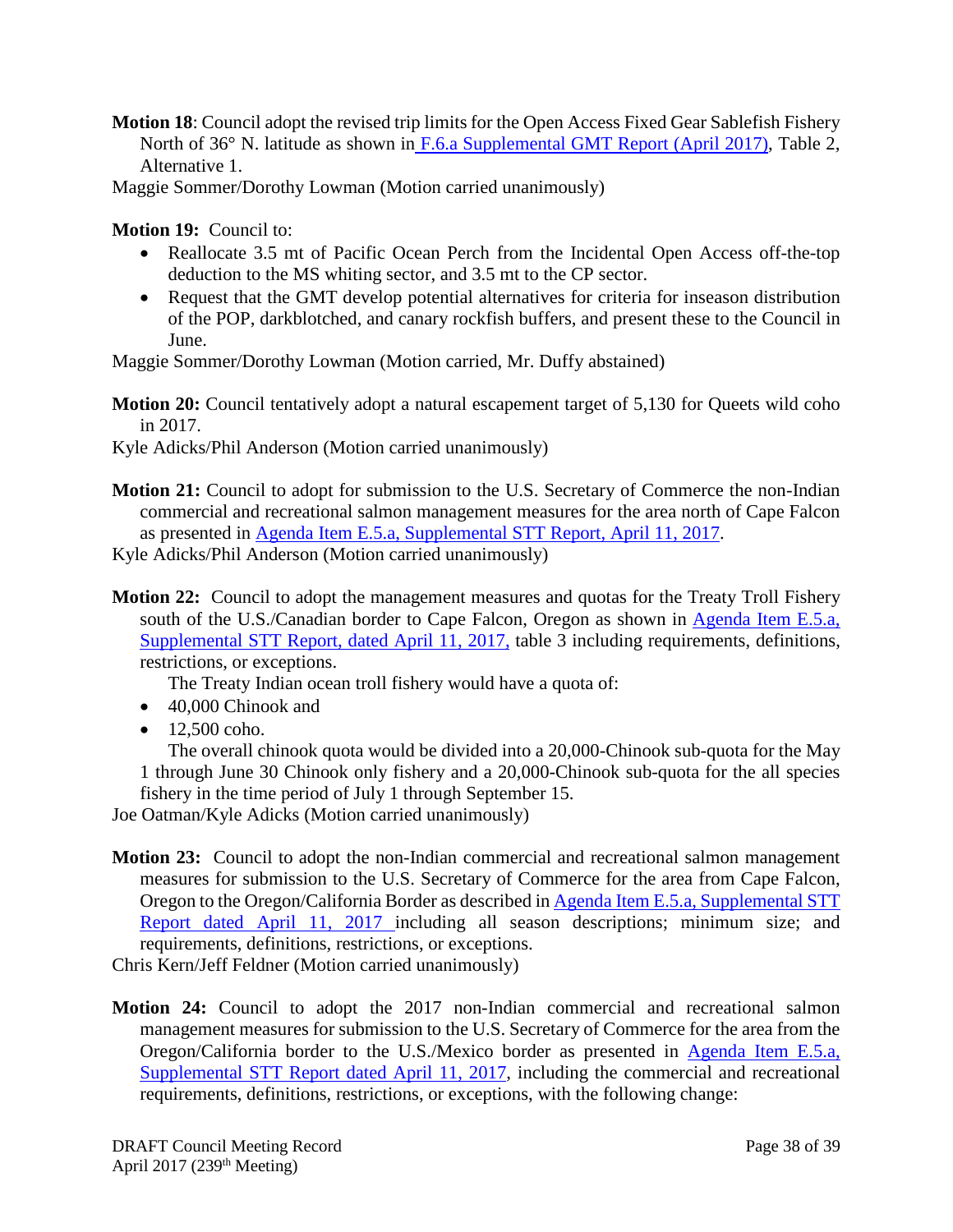**Motion 18**: Council adopt the revised trip limits for the Open Access Fixed Gear Sablefish Fishery North of 36° N. latitude as shown in [F.6.a Supplemental GMT Report \(April 2017\),](http://www.pcouncil.org/wp-content/uploads/2017/04/F6a_Sup_GMT_Rpt_Apr2017BB.pdf) Table 2, Alternative 1.

Maggie Sommer/Dorothy Lowman (Motion carried unanimously)

**Motion 19:** Council to:

- Reallocate 3.5 mt of Pacific Ocean Perch from the Incidental Open Access off-the-top deduction to the MS whiting sector, and 3.5 mt to the CP sector.
- Request that the GMT develop potential alternatives for criteria for inseason distribution of the POP, darkblotched, and canary rockfish buffers, and present these to the Council in June.

Maggie Sommer/Dorothy Lowman (Motion carried, Mr. Duffy abstained)

**Motion 20:** Council tentatively adopt a natural escapement target of 5,130 for Queets wild coho in 2017.

Kyle Adicks/Phil Anderson (Motion carried unanimously)

**Motion 21:** Council to adopt for submission to the U.S. Secretary of Commerce the non-Indian commercial and recreational salmon management measures for the area north of Cape Falcon as presented in [Agenda Item E.5.a, Supplemental STT Report, April 11, 2017.](http://www.pcouncil.org/wp-content/uploads/2017/04/E5a_Sup_STT_Rpt_041117_Apr2017BB.pdf)

Kyle Adicks/Phil Anderson (Motion carried unanimously)

**Motion 22:** Council to adopt the management measures and quotas for the Treaty Troll Fishery south of the U.S./Canadian border to Cape Falcon, Oregon as shown in Agenda Item E.5.a, [Supplemental STT Report, dated April 11, 2017,](http://www.pcouncil.org/wp-content/uploads/2017/04/E5a_Sup_STT_Rpt_041117_Apr2017BB.pdf) table 3 including requirements, definitions, restrictions, or exceptions.

The Treaty Indian ocean troll fishery would have a quota of:

- 40,000 Chinook and
- $\bullet$  12,500 coho.

The overall chinook quota would be divided into a 20,000-Chinook sub-quota for the May 1 through June 30 Chinook only fishery and a 20,000-Chinook sub-quota for the all species fishery in the time period of July 1 through September 15.

Joe Oatman/Kyle Adicks (Motion carried unanimously)

**Motion 23:** Council to adopt the non-Indian commercial and recreational salmon management measures for submission to the U.S. Secretary of Commerce for the area from Cape Falcon, Oregon to the Oregon/California Border as described in [Agenda Item E.5.a,](http://www.pcouncil.org/wp-content/uploads/2017/04/E5a_Sup_STT_Rpt_041117_Apr2017BB.pdf) Supplemental STT Report [dated April 11, 2017 i](http://www.pcouncil.org/wp-content/uploads/2017/04/E5a_Sup_STT_Rpt_041117_Apr2017BB.pdf)ncluding all season descriptions; minimum size; and requirements, definitions, restrictions, or exceptions.

Chris Kern/Jeff Feldner (Motion carried unanimously)

**Motion 24:** Council to adopt the 2017 non-Indian commercial and recreational salmon management measures for submission to the U.S. Secretary of Commerce for the area from the Oregon/California border to the U.S./Mexico border as presented in [Agenda Item E.5.a,](http://www.pcouncil.org/wp-content/uploads/2017/04/E5a_Sup_STT_Rpt_041117_Apr2017BB.pdf)  [Supplemental STT Report dated April 11, 2017,](http://www.pcouncil.org/wp-content/uploads/2017/04/E5a_Sup_STT_Rpt_041117_Apr2017BB.pdf) including the commercial and recreational requirements, definitions, restrictions, or exceptions, with the following change: